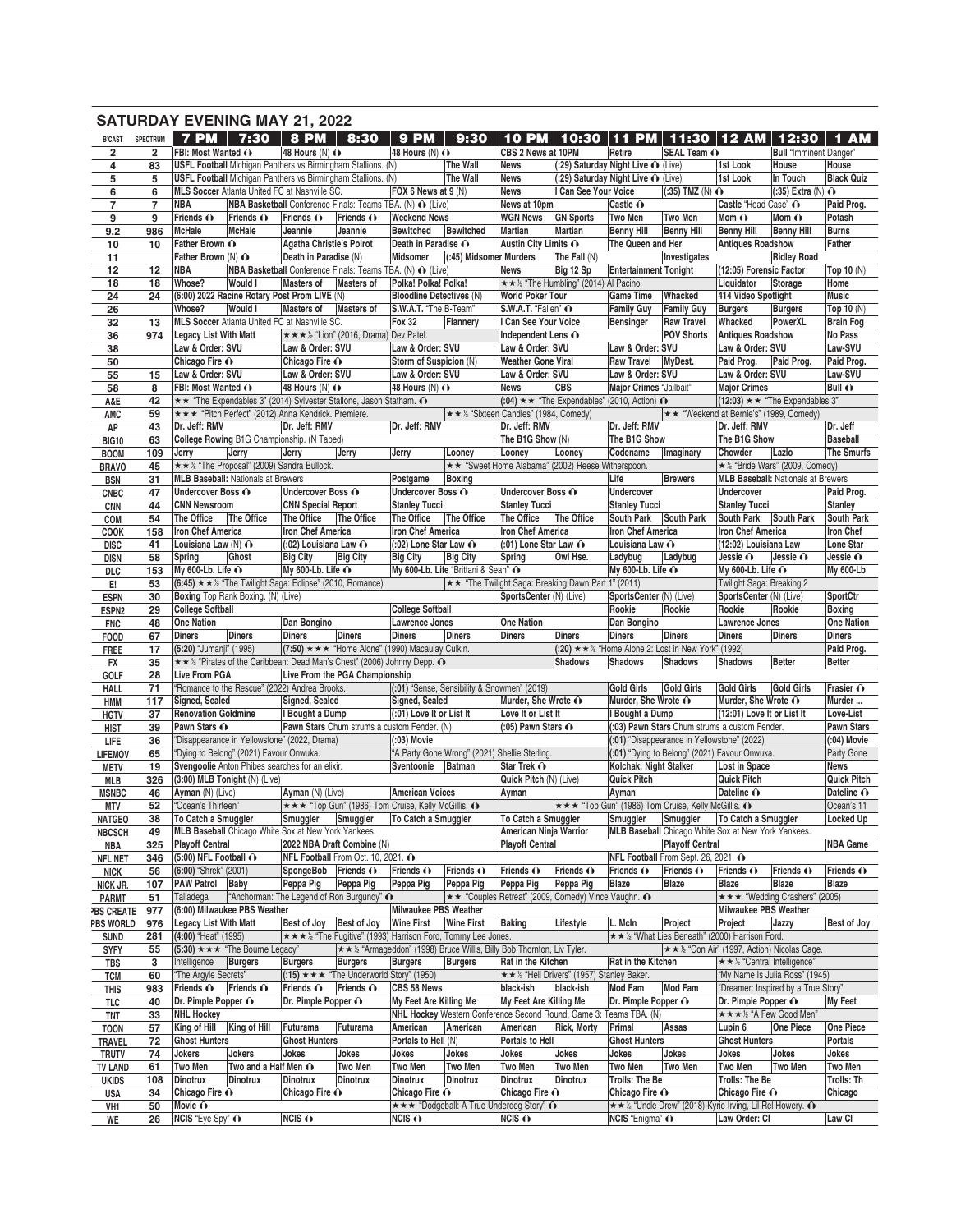|                           |                     | <b>SATURDAY EVENING MAY 21, 2022</b>                                          |                                                                               |                                                         |                                   |                                                                          |                                                                                        |                                                  |                                                                           |                                           |                                                                               |                                                                            |                                           |                                |
|---------------------------|---------------------|-------------------------------------------------------------------------------|-------------------------------------------------------------------------------|---------------------------------------------------------|-----------------------------------|--------------------------------------------------------------------------|----------------------------------------------------------------------------------------|--------------------------------------------------|---------------------------------------------------------------------------|-------------------------------------------|-------------------------------------------------------------------------------|----------------------------------------------------------------------------|-------------------------------------------|--------------------------------|
| <b>B'CAST</b>             | <b>SPECTRUM</b>     |                                                                               | 7 PM 7:30                                                                     | <b>8 PM</b>                                             | 8:30                              | 9 PM                                                                     | 9:30                                                                                   | <b>10 PM</b>                                     | 10:30                                                                     | <b>PM</b><br>66                           |                                                                               | 11:30   12 AM                                                              | 12:30                                     | <b>AM</b><br>1                 |
| $\overline{\mathbf{2}}$   | $\overline{2}$      | FBI: Most Wanted ∩                                                            |                                                                               | 48 Hours $(N)$ $\odot$                                  |                                   | 48 Hours (N) $\odot$                                                     |                                                                                        | CBS 2 News at 10PM                               |                                                                           | Retire                                    | SEAL Team O                                                                   |                                                                            | <b>Bull</b> "Imminent Danger"             |                                |
| 4                         | 83                  |                                                                               | <b>USFL Football</b> Michigan Panthers vs Birmingham Stallions. (N)           |                                                         |                                   |                                                                          | The Wall                                                                               | <b>News</b>                                      | (:29) Saturday Night Live ∩ (Live)                                        |                                           |                                                                               | 1st Look                                                                   | House                                     | House                          |
| 5                         | 5                   | USFL Football Michigan Panthers vs Birmingham Stallions. (N)                  |                                                                               |                                                         |                                   | FOX 6 News at 9 (N)                                                      | The Wall                                                                               | <b>News</b><br><b>News</b>                       | (:29) Saturday Night Live ∩ (Live)<br>I Can See Your Voice                |                                           | $(.35)$ TMZ $(N)$ $\odot$                                                     | 1st Look                                                                   | In Touch<br>$(.35)$ Extra (N) $\odot$     | <b>Black Quiz</b>              |
| 6<br>7                    | 6<br>$\overline{7}$ | NBA                                                                           | MLS Soccer Atlanta United FC at Nashville SC.                                 |                                                         |                                   | NBA Basketball Conference Finals: Teams TBA. (N) ∩ (Live)                |                                                                                        | News at 10pm                                     |                                                                           | Castle O                                  |                                                                               | Castle "Head Case" O                                                       |                                           | Paid Prog.                     |
| 9                         | 9                   | Friends $\hat{\mathbf{O}}$                                                    | Friends $\odot$                                                               | Friends O                                               | Friends O                         | <b>Weekend News</b>                                                      |                                                                                        | <b>WGN News</b>                                  | <b>GN Sports</b>                                                          | Two Men                                   | Two Men                                                                       | Mom $\mathbf{\hat{O}}$                                                     | Mom O                                     | Potash                         |
| 9.2                       | 986                 | <b>McHale</b>                                                                 | <b>McHale</b>                                                                 | Jeannie                                                 | Jeannie                           | <b>Bewitched</b>                                                         | Bewitched                                                                              | Martian                                          | Martian                                                                   | <b>Benny Hill</b>                         | <b>Benny Hill</b>                                                             | <b>Benny Hill</b>                                                          | <b>Benny Hill</b>                         | <b>Burns</b>                   |
| 10                        | 10                  | Father Brown O                                                                |                                                                               | Agatha Christie's Poirot                                |                                   | Death in Paradise O                                                      |                                                                                        | Austin City Limits ∩                             |                                                                           | The Queen and Her                         |                                                                               | <b>Antiques Roadshow</b>                                                   |                                           | Father                         |
| 11                        |                     | Father Brown $(N)$ $\odot$                                                    |                                                                               | Death in Paradise (N)                                   |                                   | Midsomer                                                                 | (:45) Midsomer Murders                                                                 |                                                  | The Fall (N)                                                              |                                           | Investigates                                                                  |                                                                            | <b>Ridley Road</b>                        |                                |
| 12                        | 12                  | NBA                                                                           |                                                                               |                                                         |                                   | NBA Basketball Conference Finals: Teams TBA. (N) ∩ (Live)                |                                                                                        | <b>News</b>                                      | Big 12 Sp                                                                 | <b>Entertainment Tonight</b>              |                                                                               | (12:05) Forensic Factor                                                    |                                           | Top 10 (N)                     |
| 18<br>24                  | 18<br>24            | Whose?                                                                        | <b>Would I</b><br>(6:00) 2022 Racine Rotary Post Prom LIVE (N)                | Masters of                                              | Masters of                        | Polka! Polka! Polka!<br><b>Bloodline Detectives (N)</b>                  |                                                                                        | <b>World Poker Tour</b>                          | ★★ ½ "The Humbling" (2014) Al Pacino.                                     | <b>Game Time</b>                          | Whacked                                                                       | Liquidator<br>414 Video Spotlight                                          | Storage                                   | Home<br><b>Music</b>           |
| 26                        |                     | Whose?                                                                        | <b>Would I</b>                                                                | Masters of                                              | Masters of                        | S.W.A.T. "The B-Team"                                                    |                                                                                        | S.W.A.T. "Fallen" O                              |                                                                           | <b>Family Guy</b>                         | <b>Family Guy</b>                                                             | <b>Burgers</b>                                                             | <b>Burgers</b>                            | Top 10 (N)                     |
| 32                        | 13                  |                                                                               | MLS Soccer Atlanta United FC at Nashville SC.                                 |                                                         |                                   | Fox 32                                                                   | Flannery                                                                               | I Can See Your Voice                             |                                                                           | <b>Bensinger</b>                          | <b>Raw Travel</b>                                                             | Whacked                                                                    | PowerXL                                   | <b>Brain Fog</b>               |
| 36                        | 974                 | <b>Legacy List With Matt</b>                                                  |                                                                               | ★★★ ½ "Lion" (2016, Drama) Dev Patel.                   |                                   |                                                                          |                                                                                        | Independent Lens O                               |                                                                           |                                           | <b>POV Shorts</b>                                                             | <b>Antiques Roadshow</b>                                                   |                                           | No Pass                        |
| 38                        |                     | Law & Order: SVU                                                              |                                                                               | Law & Order: SVU                                        |                                   | Law & Order: SVU                                                         |                                                                                        | Law & Order: SVU                                 |                                                                           | Law & Order: SVU                          |                                                                               | Law & Order: SVU                                                           |                                           | Law-SVU                        |
| 50                        |                     | Chicago Fire O                                                                |                                                                               | Chicago Fire ∩                                          |                                   | Storm of Suspicion (N)                                                   |                                                                                        | <b>Weather Gone Viral</b>                        |                                                                           | <b>Raw Travel</b>                         | MyDest.                                                                       | Paid Prog.                                                                 | Paid Prog.                                | Paid Prog.                     |
| 55                        | 15                  | Law & Order: SVU                                                              |                                                                               | Law & Order: SVU                                        |                                   | Law & Order: SVU                                                         |                                                                                        | Law & Order: SVU                                 |                                                                           | Law & Order: SVU                          |                                                                               | Law & Order: SVU                                                           |                                           | Law-SVU                        |
| 58                        | 8<br>42             | FBI: Most Wanted O                                                            | ★★ "The Expendables 3" (2014) Sylvester Stallone, Jason Statham. ^            | 48 Hours $(N)$ $\odot$                                  |                                   | 48 Hours (N) $\odot$                                                     |                                                                                        | <b>News</b>                                      | <b>CBS</b><br>$(0.04)$ ★ $\star$ "The Expendables" (2010, Action) $\odot$ | Major Crimes "Jailbait"                   |                                                                               | <b>Major Crimes</b><br>$(12:03) \star \star$ "The Expendables 3"           |                                           | Bull O                         |
| A&E<br>AMC                | 59                  |                                                                               | ★★★ "Pitch Perfect" (2012) Anna Kendrick. Premiere.                           |                                                         |                                   |                                                                          |                                                                                        | ★★½ "Sixteen Candles" (1984, Comedy)             |                                                                           |                                           |                                                                               | ★★ "Weekend at Bernie's" (1989, Comedy)                                    |                                           |                                |
| AP                        | 43                  | Dr. Jeff: RMV                                                                 |                                                                               | Dr. Jeff: RMV                                           |                                   | Dr. Jeff: RMV                                                            |                                                                                        | Dr. Jeff: RMV                                    |                                                                           | Dr. Jeff: RMV                             |                                                                               | Dr. Jeff: RMV                                                              |                                           | Dr. Jeff                       |
| <b>BIG10</b>              | 63                  |                                                                               | College Rowing B1G Championship. (N Taped)                                    |                                                         |                                   |                                                                          |                                                                                        | The B1G Show (N)                                 |                                                                           | The B1G Show                              |                                                                               | The B1G Show                                                               |                                           | <b>Baseball</b>                |
| <b>BOOM</b>               | 109                 | Jerry                                                                         | Jerry                                                                         | Jerry                                                   | Jerry                             | Jerry                                                                    | Looney                                                                                 | Looney                                           | Looney                                                                    | Codename                                  | Imaginary                                                                     | Chowder                                                                    | Lazlo                                     | <b>The Smurfs</b>              |
| <b>BRAVO</b>              | 45                  |                                                                               | ★★½ "The Proposal" (2009) Sandra Bullock.                                     |                                                         |                                   |                                                                          |                                                                                        |                                                  | ** "Sweet Home Alabama" (2002) Reese Witherspoon.                         |                                           |                                                                               |                                                                            | ★ ½ "Bride Wars" (2009, Comedy)           |                                |
| <b>BSN</b>                | 31                  |                                                                               | <b>MLB Baseball: Nationals at Brewers</b>                                     |                                                         |                                   | Postgame                                                                 | Boxing                                                                                 |                                                  |                                                                           | Life                                      | <b>Brewers</b>                                                                |                                                                            | <b>MLB Baseball: Nationals at Brewers</b> |                                |
| <b>CNBC</b>               | 47                  | Undercover Boss O<br><b>CNN Newsroom</b>                                      |                                                                               | Undercover Boss O                                       |                                   | Undercover Boss O                                                        |                                                                                        | Undercover Boss O<br><b>Stanley Tucci</b>        |                                                                           | <b>Undercover</b>                         |                                                                               | <b>Undercover</b>                                                          |                                           | Paid Prog.                     |
| <b>CNN</b><br>COM         | 44<br>54            | The Office                                                                    | The Office                                                                    | <b>CNN Special Report</b><br>The Office                 | The Office                        | <b>Stanley Tucci</b><br>The Office                                       | The Office                                                                             | The Office                                       | The Office                                                                | <b>Stanley Tucci</b><br><b>South Park</b> | South Park                                                                    | <b>Stanley Tucci</b><br>South Park                                         | South Park                                | Stanley<br><b>South Park</b>   |
| COOK                      | 158                 | <b>Iron Chef America</b>                                                      |                                                                               | <b>Iron Chef America</b>                                |                                   | Iron Chef America                                                        |                                                                                        | <b>Iron Chef America</b>                         |                                                                           | <b>Iron Chef America</b>                  |                                                                               | <b>Iron Chef America</b>                                                   |                                           | Iron Chef                      |
| <b>DISC</b>               | 41                  | Louisiana Law (N) ∩                                                           |                                                                               | (:02) Louisiana Law ∩                                   |                                   | (:02) Lone Star Law ∩                                                    |                                                                                        | (:01) Lone Star Law ∩                            |                                                                           | Louisiana Law O                           |                                                                               | (12:02) Louisiana Law                                                      |                                           | Lone Star                      |
| <b>DISN</b>               | 58                  | Spring                                                                        | Ghost                                                                         | <b>Big City</b>                                         | <b>Big City</b>                   | <b>Big City</b>                                                          | <b>Big City</b>                                                                        | Spring                                           | Owl Hse.                                                                  | Ladybug                                   | Ladybug                                                                       | Jessie O                                                                   | $\vert$ Jessie $\vert$                    | Jessie O                       |
| DLC                       | 153                 | My 600-Lb. Life $\odot$                                                       |                                                                               | My 600-Lb. Life $\odot$                                 |                                   |                                                                          | My 600-Lb. Life "Brittani & Sean" O                                                    |                                                  |                                                                           | My 600-Lb. Life $\odot$                   |                                                                               | My 600-Lb. Life $\odot$                                                    |                                           | <b>My 600-Lb</b>               |
| E!                        | 53                  |                                                                               | $(6:45) \star \star \frac{1}{2}$ "The Twilight Saga: Eclipse" (2010, Romance) |                                                         |                                   |                                                                          |                                                                                        |                                                  | <b>★★ "The Twilight Saga: Breaking Dawn Part 1" (2011)</b>                |                                           |                                                                               | Twilight Saga: Breaking 2                                                  |                                           |                                |
| <b>ESPN</b>               | 30                  |                                                                               | <b>Boxing</b> Top Rank Boxing. (N) (Live)                                     |                                                         |                                   |                                                                          |                                                                                        | SportsCenter (N) (Live)                          |                                                                           | SportsCenter (N) (Live)                   |                                                                               | SportsCenter (N) (Live)                                                    |                                           | SportCtr                       |
| ESPN <sub>2</sub>         | 29<br>48            | <b>College Softball</b><br><b>One Nation</b>                                  |                                                                               | Dan Bongino                                             |                                   | <b>College Softball</b><br>Lawrence Jones                                |                                                                                        | <b>One Nation</b>                                |                                                                           | Rookie<br>Dan Bongino                     | Rookie                                                                        | Rookie<br>Lawrence Jones                                                   | Rookie                                    | Boxing<br><b>One Nation</b>    |
| <b>FNC</b><br><b>FOOD</b> | 67                  | <b>Diners</b>                                                                 | <b>Diners</b>                                                                 | <b>Diners</b>                                           | <b>Diners</b>                     | <b>Diners</b>                                                            | <b>Diners</b>                                                                          | <b>Diners</b>                                    | <b>Diners</b>                                                             | <b>Diners</b>                             | <b>Diners</b>                                                                 | <b>Diners</b>                                                              | Diners                                    | <b>Diners</b>                  |
| <b>FREE</b>               | 17                  | (5:20) "Jumanji" (1995)                                                       |                                                                               |                                                         |                                   | $(7:50) \star \star \star$ "Home Alone" (1990) Macaulay Culkin.          |                                                                                        |                                                  |                                                                           |                                           | (:20) ★ ★ ½ "Home Alone 2: Lost in New York" (1992)                           |                                                                            |                                           | Paid Prog.                     |
| FX                        | 35                  |                                                                               |                                                                               |                                                         |                                   | ★ ★ ½ "Pirates of the Caribbean: Dead Man's Chest" (2006) Johnny Depp. ^ |                                                                                        |                                                  | <b>Shadows</b>                                                            | Shadows                                   | <b>Shadows</b>                                                                | <b>Shadows</b>                                                             | <b>Better</b>                             | <b>Better</b>                  |
| <b>GOLF</b>               | 28                  | <b>Live From PGA</b>                                                          |                                                                               | Live From the PGA Championship                          |                                   |                                                                          |                                                                                        |                                                  |                                                                           |                                           |                                                                               |                                                                            |                                           |                                |
| HALL                      | 71                  |                                                                               | "Romance to the Rescue" (2022) Andrea Brooks.                                 |                                                         |                                   |                                                                          | (:01) "Sense, Sensibility & Snowmen" (2019)                                            |                                                  |                                                                           | <b>Gold Girls</b>                         | <b>Gold Girls</b>                                                             | <b>Gold Girls</b>                                                          | Gold Girls                                | Frasier O                      |
| <b>HMM</b>                | 117                 | Signed, Sealed                                                                |                                                                               | Signed, Sealed                                          |                                   | Signed, Sealed                                                           |                                                                                        | Murder, She Wrote $\odot$                        |                                                                           | Murder, She Wrote O                       |                                                                               | Murder. She Wrote O                                                        |                                           | Murder                         |
| <b>HGTV</b>               | 37                  | <b>Renovation Goldmine</b>                                                    |                                                                               | I Bought a Dump                                         |                                   | (:01) Love It or List It<br>Pawn Stars Chum strums a custom Fender. (N)  |                                                                                        | Love It or List It                               |                                                                           | I Bought a Dump                           | (:03) Pawn Stars Chum strums a custom Fender.                                 | (12:01) Love It or List It                                                 |                                           | Love-List<br><b>Pawn Stars</b> |
| HIST<br>LIFE              | 39<br>36            | <b>Pawn Stars ∩</b>                                                           | "Disappearance in Yellowstone" (2022, Drama)                                  |                                                         |                                   | (:03) Movie                                                              |                                                                                        | $(0.05)$ Pawn Stars $\odot$                      |                                                                           |                                           | (:01) "Disappearance in Yellowstone" (2022)                                   |                                                                            |                                           | $(.04)$ Movie                  |
| <b>LIFEMOV</b>            | 65                  |                                                                               | "Dying to Belong" (2021) Favour Onwuka.                                       |                                                         |                                   |                                                                          | "A Party Gone Wrong" (2021) Shellie Sterling.                                          |                                                  |                                                                           |                                           | (:01) "Dying to Belong" (2021) Favour Onwuka.                                 |                                                                            |                                           | Party Gone                     |
| <b>METV</b>               | 19                  | Svengoolie Anton Phibes searches for an elixir.                               |                                                                               |                                                         |                                   |                                                                          | Sventoonie Batman Star Trek O                                                          |                                                  |                                                                           | Kolchak: Night Stalker                    |                                                                               | Lost in Space                                                              |                                           | <b>News</b>                    |
| MLB                       | 326                 |                                                                               | (3:00) MLB Tonight (N) (Live)                                                 |                                                         |                                   |                                                                          |                                                                                        | Quick Pitch (N) (Live)                           |                                                                           | <b>Quick Pitch</b>                        |                                                                               | <b>Quick Pitch</b>                                                         |                                           | Quick Pitch                    |
| <b>MSNBC</b>              | 46                  | Ayman (N) (Live)                                                              |                                                                               | Ayman (N) (Live)                                        |                                   | <b>American Voices</b>                                                   |                                                                                        | Ayman                                            |                                                                           | Ayman                                     |                                                                               | Dateline O                                                                 |                                           | Dateline O                     |
| <b>MTV</b>                | 52                  | "Ocean's Thirteen"                                                            |                                                                               |                                                         |                                   | *** "Top Gun" (1986) Tom Cruise, Kelly McGillis. ^                       |                                                                                        |                                                  |                                                                           |                                           | ★★★ "Top Gun" (1986) Tom Cruise, Kelly McGillis. ^                            |                                                                            |                                           | Ocean's 11                     |
| <b>NATGEO</b>             | 38                  | To Catch a Smuggler                                                           |                                                                               | Smuggler                                                | Smuggler                          | To Catch a Smuggler                                                      |                                                                                        | To Catch a Smuggler                              |                                                                           | Smuggler                                  | Smuggler                                                                      | To Catch a Smuggler                                                        |                                           | Locked Up                      |
| <b>NBCSCH</b>             | 49<br>325           | MLB Baseball Chicago White Sox at New York Yankees.<br><b>Playoff Central</b> |                                                                               | 2022 NBA Draft Combine (N)                              |                                   |                                                                          |                                                                                        | American Ninja Warrior<br><b>Playoff Central</b> |                                                                           |                                           | MLB Baseball Chicago White Sox at New York Yankees.<br><b>Playoff Central</b> |                                                                            |                                           | <b>NBA Game</b>                |
| NBA<br><b>NFL NET</b>     | 346                 | (5:00) NFL Football ∩                                                         |                                                                               | NFL Football From Oct. 10, 2021. O                      |                                   |                                                                          |                                                                                        |                                                  |                                                                           |                                           | NFL Football From Sept. 26, 2021. O                                           |                                                                            |                                           |                                |
| NICK                      | 56                  | (6:00) "Shrek" (2001)                                                         |                                                                               | SpongeBob                                               | Friends $\odot$                   | Friends O                                                                | Friends O                                                                              | Friends $\odot$                                  | Friends O                                                                 | Friends $\odot$                           | Friends $\odot$                                                               | Friends $\odot$                                                            | Friends $\odot$                           | Friends $\odot$                |
| NICK JR.                  | 107                 | <b>PAW Patrol</b>                                                             | Baby                                                                          | Peppa Pig                                               | Peppa Piq                         | Peppa Pig                                                                | Peppa Pig                                                                              | Peppa Pig                                        | Peppa Pig                                                                 | Blaze                                     | <b>Blaze</b>                                                                  | <b>Blaze</b>                                                               | <b>Blaze</b>                              | <b>Blaze</b>                   |
| <b>PARMT</b>              | 51                  | Talladega                                                                     | "Anchorman: The Legend of Ron Burgundy" O                                     |                                                         |                                   |                                                                          |                                                                                        |                                                  | ★★ "Couples Retreat" (2009, Comedy) Vince Vaughn. ①                       |                                           |                                                                               |                                                                            | ★★★ "Wedding Crashers" (2005)             |                                |
| <b>BS CREATE</b>          | 977                 |                                                                               | (6:00) Milwaukee PBS Weather                                                  |                                                         |                                   | Milwaukee PBS Weather                                                    |                                                                                        |                                                  |                                                                           |                                           |                                                                               | <b>Milwaukee PBS Weather</b>                                               |                                           |                                |
| PBS WORLD                 | 976                 | <b>Legacy List With Matt</b>                                                  |                                                                               | Best of Joy                                             | Best of Joy                       | <b>Wine First</b>                                                        | <b>Wine First</b>                                                                      | <b>Baking</b>                                    | Lifestyle                                                                 | L. McIn                                   | Project                                                                       | Project                                                                    | Jazzy                                     | Best of Joy                    |
| <b>SUND</b>               | 281                 | (4:00) "Heat" (1995)                                                          |                                                                               |                                                         |                                   |                                                                          | ★★★½ "The Fugitive" (1993) Harrison Ford, Tommy Lee Jones.                             |                                                  |                                                                           |                                           | ★★½ "What Lies Beneath" (2000) Harrison Ford.                                 |                                                                            |                                           |                                |
| <b>SYFY</b><br><b>TBS</b> | 55<br>3             | Intelligence                                                                  | $(5:30) \star \star \star$ "The Bourne Legacy"<br><b>Burgers</b>              | <b>Burgers</b>                                          | <b>Burgers</b>                    | <b>Burgers</b>                                                           | ★★½ "Armageddon" (1998) Bruce Willis, Billy Bob Thornton, Liv Tyler.<br><b>Burgers</b> | Rat in the Kitchen                               |                                                                           | Rat in the Kitchen                        |                                                                               | ★★ ½ "Con Air" (1997, Action) Nicolas Cage.<br>★★ ½ "Central Intelligence" |                                           |                                |
| <b>TCM</b>                | 60                  | "The Argyle Secrets"                                                          |                                                                               | (:15) $\star \star \star$ "The Underworld Story" (1950) |                                   |                                                                          |                                                                                        |                                                  | ★ ★ ½ "Hell Drivers" (1957) Stanley Baker.                                |                                           |                                                                               |                                                                            | "My Name Is Julia Ross" (1945)            |                                |
| <b>THIS</b>               | 983                 | Friends $\odot$                                                               | Friends $\odot$                                                               | Friends O                                               | Friends $\odot$                   | CBS 58 News                                                              |                                                                                        | black-ish                                        | black-ish                                                                 | Mod Fam                                   | <b>Mod Fam</b>                                                                |                                                                            | "Dreamer: Inspired by a True Story"       |                                |
| TLC                       | 40                  | Dr. Pimple Popper $\hat{\mathbf{O}}$                                          |                                                                               | Dr. Pimple Popper O                                     |                                   | My Feet Are Killing Me                                                   |                                                                                        | My Feet Are Killing Me                           |                                                                           | Dr. Pimple Popper $\mathbf{\odot}$        |                                                                               | Dr. Pimple Popper $\hat{\mathbf{O}}$                                       |                                           | My Feet                        |
| TNT                       | 33                  | <b>NHL Hockey</b>                                                             |                                                                               |                                                         |                                   |                                                                          |                                                                                        |                                                  | NHL Hockey Western Conference Second Round, Game 3: Teams TBA. (N)        |                                           |                                                                               | ★★★½ "A Few Good Men"                                                      |                                           |                                |
| <b>TOON</b>               | 57                  | King of Hill                                                                  | King of Hill                                                                  | Futurama                                                | Futurama                          | American                                                                 | American                                                                               | American                                         | <b>Rick, Morty</b>                                                        | Primal                                    | Assas                                                                         | Lupin 6                                                                    | One Piece                                 | One Piece                      |
| <b>TRAVEL</b>             | 72                  | <b>Ghost Hunters</b>                                                          |                                                                               | <b>Ghost Hunters</b>                                    |                                   | Portals to Hell (N)                                                      |                                                                                        | <b>Portals to Hell</b>                           |                                                                           | <b>Ghost Hunters</b>                      |                                                                               | <b>Ghost Hunters</b>                                                       |                                           | Portals                        |
| <b>TRUTV</b>              | 74                  | Jokers                                                                        | Jokers                                                                        | Jokes                                                   | Jokes                             | Jokes                                                                    | Jokes                                                                                  | Jokes                                            | Jokes                                                                     | Jokes                                     | Jokes                                                                         | Jokes                                                                      | Jokes                                     | Jokes                          |
| <b>TV LAND</b>            | 61                  | <b>Two Men</b><br><b>Dinotrux</b>                                             | Two and a Half Men O<br><b>Dinotrux</b>                                       | <b>Dinotrux</b>                                         | <b>Two Men</b><br><b>Dinotrux</b> | Two Men<br>Dinotrux                                                      | <b>Two Men</b>                                                                         | Two Men<br><b>Dinotrux</b>                       | <b>Two Men</b>                                                            | <b>Two Men</b><br><b>Trolls: The Be</b>   | <b>Two Men</b>                                                                | Two Men<br>Trolls: The Be                                                  | <b>Two Men</b>                            | Two Men<br>Trolls: Th          |
| <b>UKIDS</b><br>USA       | 108<br>34           | Chicago Fire O                                                                |                                                                               | Chicago Fire ∩                                          |                                   | Chicago Fire O                                                           | <b>Dinotrux</b>                                                                        | Chicago Fire O                                   | <b>Dinotrux</b>                                                           | Chicago Fire ∩                            |                                                                               | Chicago Fire O                                                             |                                           | Chicago                        |
| VH1                       | 50                  | Movie $\mathbf{\odot}$                                                        |                                                                               |                                                         |                                   |                                                                          | <b>***</b> "Dodgeball: A True Underdog Story" ∩                                        |                                                  |                                                                           |                                           | ★★½ "Uncle Drew" (2018) Kyrie Irving, Lil Rel Howery. ^                       |                                                                            |                                           |                                |
| WE                        | 26                  | NCIS "Eye Spy" ∩                                                              |                                                                               | $NCIS$ $\odot$                                          |                                   | NCIS ∩                                                                   |                                                                                        | $NCIS$ $\odot$                                   |                                                                           | NCIS "Enigma" ∩                           |                                                                               | Law Order: CI                                                              |                                           | Law CI                         |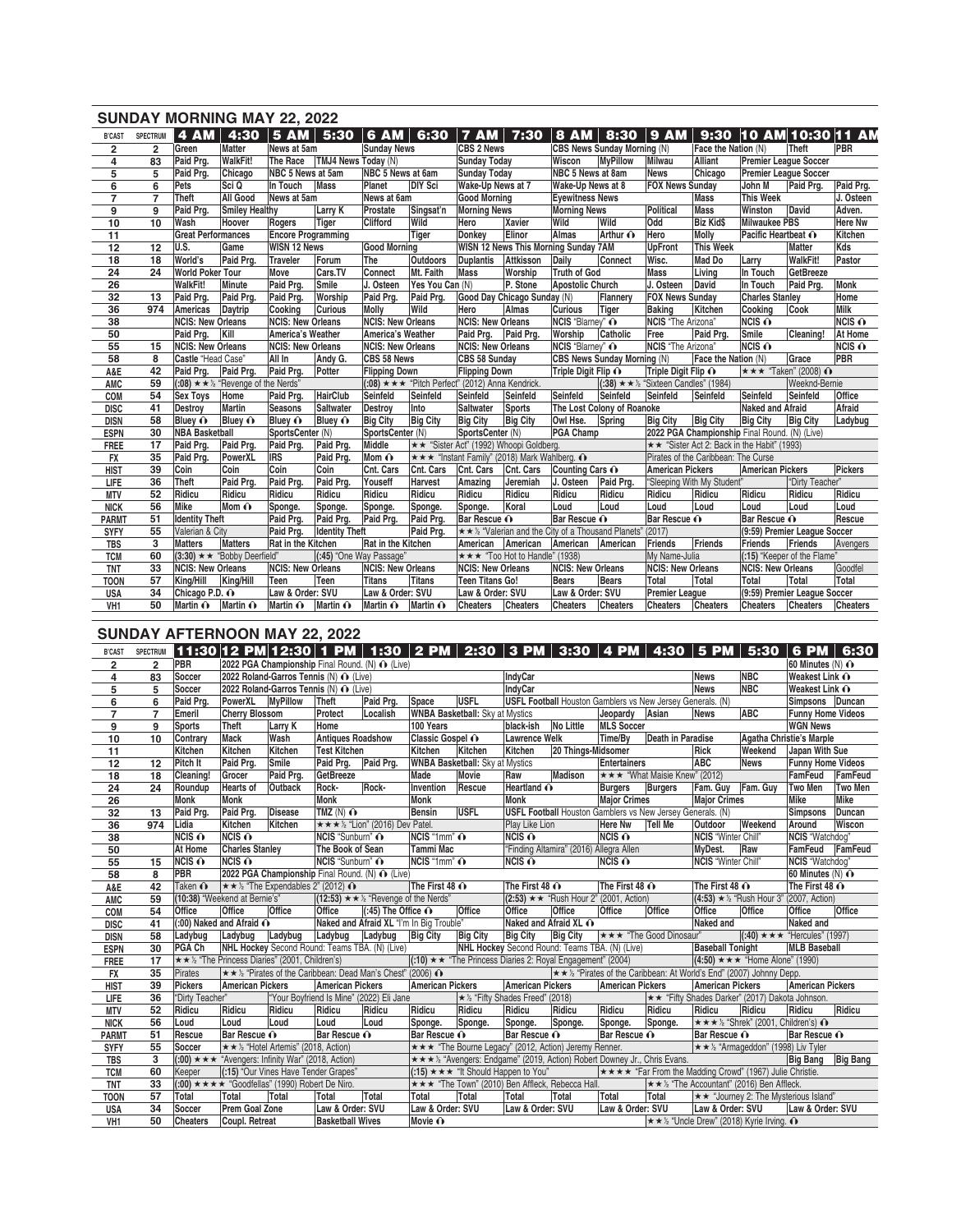|                 |                 |                           | <b>SUNDAY MORNING MAY 22, 2022</b>                     |                           |                         |                          |                         |                                                      |                                |                                                          |                 |                                                         |                     |                          |                              |                 |
|-----------------|-----------------|---------------------------|--------------------------------------------------------|---------------------------|-------------------------|--------------------------|-------------------------|------------------------------------------------------|--------------------------------|----------------------------------------------------------|-----------------|---------------------------------------------------------|---------------------|--------------------------|------------------------------|-----------------|
| <b>B'CAST</b>   | <b>SPECTRUM</b> | <b>4 AM</b>               |                                                        | $4:30$ 5 AM 5:30          |                         | $6$ AM 6:30              |                         | <b>7 AM</b>                                          | 7:30                           | <b>8 AM</b>                                              |                 | $8:30$   9 AM                                           |                     |                          | 9:30 10 AM 10:30 11 AM       |                 |
| 2               | $\overline{2}$  | Green                     | <b>Matter</b>                                          | News at 5am               |                         | <b>Sunday News</b>       |                         | <b>CBS 2 News</b>                                    |                                | CBS News Sunday Morning (N)                              |                 |                                                         | Face the Nation (N) |                          | Theft                        | PBR             |
| 4               | 83              | Paid Prg.                 | <b>WalkFit!</b>                                        | The Race                  | TMJ4 News Today (N)     |                          |                         | <b>Sunday Today</b>                                  |                                | Wiscon                                                   | <b>MvPillow</b> | Milwau                                                  | <b>Alliant</b>      |                          | <b>Premier League Soccer</b> |                 |
| 5               | 5               | Paid Prg.                 | Chicago                                                | NBC 5 News at 5am         |                         | NBC 5 News at 6am        |                         | <b>Sunday Today</b>                                  |                                | NBC 5 News at 8am                                        |                 | News                                                    | Chicago             |                          | <b>Premier League Soccer</b> |                 |
| 6               | 6               | Pets                      | Sci Q                                                  | In Touch                  | <b>Mass</b>             | Planet                   | <b>DIY Sci</b>          | Wake-Up News at 7                                    |                                | Wake-Up News at 8                                        |                 | <b>FOX News Sunday</b>                                  |                     | John M                   | Paid Prg.                    | Paid Prg.       |
| $\overline{7}$  | $\overline{7}$  | Theft                     | All Good                                               | News at 5am               |                         | News at 6am              |                         | <b>Good Morning</b>                                  |                                | <b>Eyewitness News</b>                                   |                 |                                                         | Mass                | <b>This Week</b>         |                              | J. Osteen       |
| 9               | 9               | Paid Prg.                 | <b>Smiley Healthy</b>                                  |                           | Larry K                 | Prostate                 | Singsat'n               | <b>Morning News</b>                                  |                                | <b>Morning News</b>                                      |                 | Political                                               | <b>Mass</b>         | Winston                  | David                        | Adven.          |
| 10              | 10              | <b>Wash</b>               | Hoover                                                 | Rogers                    | Tiger                   | <b>Clifford</b>          | Wild                    | Hero                                                 | Xavier                         | Wild                                                     | Wild            | Odd                                                     | <b>Biz Kid\$</b>    | <b>Milwaukee PBS</b>     |                              | <b>Here Nw</b>  |
| 11              |                 | <b>Great Performances</b> |                                                        | <b>Encore Programming</b> |                         |                          | <b>Tiger</b>            | Donkey                                               | Elinor                         | <b>Almas</b>                                             | Arthur O        | Hero                                                    | <b>Molly</b>        | Pacific Heartbeat O      |                              | Kitchen         |
| 12              | 12              | U.S.                      | Game                                                   | <b>WISN 12 News</b>       |                         | <b>Good Morning</b>      |                         |                                                      |                                | WISN 12 News This Morning Sunday 7AM                     |                 | <b>UpFront</b>                                          | <b>This Week</b>    |                          | Matter                       | Kds             |
| 18              | 18              | World's                   | Paid Pra.                                              | <b>Traveler</b>           | Forum                   | The                      | <b>Outdoors</b>         | <b>Duplantis</b>                                     | Attkisson                      | Daily                                                    | Connect         | Wisc.                                                   | <b>Mad Do</b>       | Larry                    | <b>WalkFit!</b>              | Pastor          |
| 24              | 24              | <b>World Poker Tour</b>   |                                                        | Move                      | Cars.TV                 | Connect                  | Mt. Faith               | <b>Mass</b>                                          | Worship                        | Truth of God                                             |                 | Mass                                                    | Living              | In Touch                 | GetBreeze                    |                 |
| 26              |                 | <b>WalkFit!</b>           | <b>Minute</b>                                          | Paid Prg.                 | Smile                   | J. Osteen                | Yes You Can (N)         |                                                      | P. Stone                       | <b>Apostolic Church</b>                                  |                 | J. Osteen                                               | <b>David</b>        | In Touch                 | Paid Pra.                    | Monk            |
| 32              | 13              | Paid Prg.                 | Paid Prg.                                              | Paid Prg.                 | Worship                 | Paid Prg.                | Paid Prg.               |                                                      | Good Day Chicago Sunday (N)    |                                                          | Flannery        | <b>FOX News Sunday</b>                                  |                     | <b>Charles Stanley</b>   |                              | Home            |
| 36              | 974             | Americas                  | Daytrip                                                | Cooking                   | <b>Curious</b>          | Molly                    | Wild                    | Hero                                                 | Almas                          | <b>Curious</b>                                           | <b>Tiger</b>    | <b>Baking</b>                                           | Kitchen             | Cooking                  | Cook                         | Milk            |
| 38              |                 | <b>NCIS: New Orleans</b>  |                                                        | <b>NCIS: New Orleans</b>  |                         | <b>NCIS: New Orleans</b> |                         | <b>NCIS: New Orleans</b>                             |                                | NCIS "Blarney" O                                         |                 | NCIS "The Arizona"                                      |                     | NCIS O                   |                              | $NCIS$ $\odot$  |
| 50              |                 | Paid Prg.                 | Kill                                                   | America's Weather         |                         | America's Weather        |                         | Paid Prg. Paid Prg.                                  |                                | Worship                                                  | Catholic        | Free                                                    | Paid Prg.           | Smile                    | Cleaning!                    | At Home         |
| 55              | 15              | <b>NCIS: New Orleans</b>  |                                                        | <b>NCIS: New Orleans</b>  |                         | <b>NCIS: New Orleans</b> |                         | <b>NCIS: New Orleans</b>                             |                                | <b>NCIS</b> "Blarney" O                                  |                 | NCIS "The Arizona"                                      |                     | $NCIS$ $\odot$           |                              | $NCIS$ $\odot$  |
| 58              | 8               | Castle "Head Case"        |                                                        | All In                    | Andy G.                 | CBS 58 News              |                         | CBS 58 Sunday                                        |                                | <b>CBS News Sunday Morning (N)</b>                       |                 |                                                         | Face the Nation (N) |                          | Grace                        | PBR             |
| A&E             | 42              | Paid Prg.                 | Paid Prg.                                              | Paid Prg.                 | Potter                  | <b>Flipping Down</b>     |                         | <b>Flipping Down</b>                                 |                                | Triple Digit Flip ∩                                      |                 | Triple Digit Flip ∩                                     |                     |                          | <b>★★★ "Taken" (2008) 心</b>  |                 |
| AMC             | 59              |                           | (:08) $\star \star \frac{1}{2}$ "Revenge of the Nerds" |                           |                         |                          |                         | $(0.08)$ * * * "Pitch Perfect" (2012) Anna Kendrick. |                                |                                                          |                 | $(38) \star \star \frac{1}{2}$ "Sixteen Candles" (1984) |                     |                          | Weeknd-Bernie                |                 |
| <b>COM</b>      | 54              | <b>Sex Toys</b>           | Home                                                   | Paid Prg.                 | <b>HairClub</b>         | Seinfeld                 | Seinfeld                | Seinfeld                                             | Seinfeld                       | Seinfeld                                                 | Seinfeld        | Seinfeld                                                | Seinfeld            | Seinfeld                 | Seinfeld                     | <b>Office</b>   |
| <b>DISC</b>     | 41              | Destroy                   | <b>Martin</b>                                          | Seasons                   | <b>Saltwater</b>        | Destroy                  | Into                    | <b>Saltwater</b>                                     | <b>Sports</b>                  | The Lost Colony of Roanoke                               |                 |                                                         |                     | <b>Naked and Afraid</b>  |                              | Afraid          |
| <b>DISN</b>     | 58              | Bluey O                   | Bluey O                                                | Bluey O                   | Bluey O                 | <b>Big City</b>          | <b>Big City</b>         | <b>Big City</b>                                      | <b>Big City</b>                | Owl Hse.                                                 | Spring          | <b>Big City</b>                                         | <b>Big City</b>     | <b>Big City</b>          | <b>Big City</b>              | Ladybug         |
| <b>ESPN</b>     | 30              | <b>NBA Basketball</b>     |                                                        | SportsCenter (N)          |                         | SportsCenter (N)         |                         | SportsCenter (N)                                     |                                | PGA Champ                                                |                 | 2022 PGA Championship Final Round. (N) (Live)           |                     |                          |                              |                 |
| <b>FREE</b>     | 17              | Paid Prg.                 | Paid Prg.                                              | Paid Prg.                 | Paid Prg.               | Middle                   |                         | ★★ "Sister Act" (1992) Whoopi Goldberg.              |                                |                                                          |                 | <del>★★</del> "Sister Act 2: Back in the Habit" (1993)  |                     |                          |                              |                 |
| <b>FX</b>       | 35              | Paid Prg.                 | PowerXL                                                | <b>IRS</b>                | Paid Prg.               | Mom O                    |                         | ★★★ "Instant Family" (2018) Mark Wahlberg. $\odot$   |                                |                                                          |                 | Pirates of the Caribbean: The Curse                     |                     |                          |                              |                 |
| <b>HIST</b>     | 39              | Coin                      | Coin                                                   | Coin                      | Coin                    | Cnt. Cars                | Cnt. Cars               | Cnt. Cars                                            | Cnt. Cars                      | Counting Cars O                                          |                 | <b>American Pickers</b>                                 |                     | <b>American Pickers</b>  |                              | <b>Pickers</b>  |
| LIFE            | 36              | Theft                     | Paid Pra.                                              | Paid Prg.                 | Paid Prg.               | Youseff                  | <b>Harvest</b>          | Amazing                                              | Jeremiah                       | J. Osteen                                                | Paid Pra.       | "Sleeping With My Student"                              |                     |                          | "Dirty Teacher"              |                 |
| <b>MTV</b>      | 52              | Ridicu                    | Ridicu                                                 | Ridicu                    | Ridicu                  | Ridicu                   | Ridicu                  | Ridicu                                               | Ridicu                         | Ridicu                                                   | Ridicu          | Ridicu                                                  | Ridicu              | Ridicu                   | Ridicu                       | Ridicu          |
| <b>NICK</b>     | 56              | Mike                      | Mom $\hat{\mathbf{O}}$                                 | Sponge.                   | Sponge.                 | Sponge.                  | Sponge.                 | Sponge.                                              | Koral                          | Loud                                                     | Loud            | Loud                                                    | Loud                | Loud                     | Loud                         | Loud            |
| <b>PARMT</b>    | 51              | <b>Identity Theft</b>     |                                                        | Paid Prg.                 | Paid Prg.               | Paid Prg.                | Paid Prg.               | Bar Rescue O                                         |                                | Bar Rescue O                                             |                 | Bar Rescue O                                            |                     | Bar Rescue O             |                              | Rescue          |
| <b>SYFY</b>     | 55              | Valerian & City           |                                                        | Paid Prg.                 | <b>Identity Theft</b>   |                          | Paid Prg.               |                                                      |                                | ★★½ "Valerian and the City of a Thousand Planets" (2017) |                 |                                                         |                     |                          | (9:59) Premier League Soccer |                 |
| <b>TBS</b>      | 3               | <b>Matters</b>            | <b>Matters</b>                                         | Rat in the Kitchen        |                         | Rat in the Kitchen       |                         | American American                                    |                                | American American                                        |                 | Friends                                                 | Friends             | <b>Friends</b>           | Friends                      | Avengers        |
| <b>TCM</b>      | 60              |                           | $(3:30) \star \star$ "Bobby Deerfield"                 |                           | (:45) "One Way Passage" |                          |                         |                                                      | ★★★ "Too Hot to Handle" (1938) |                                                          |                 | My Name-Julia                                           |                     |                          | (:15) "Keeper of the Flame"  |                 |
| <b>TNT</b>      | 33              | <b>NCIS: New Orleans</b>  |                                                        | <b>NCIS: New Orleans</b>  |                         | <b>NCIS: New Orleans</b> |                         | <b>NCIS: New Orleans</b>                             |                                | <b>NCIS: New Orleans</b>                                 |                 | <b>NCIS: New Orleans</b>                                |                     | <b>NCIS: New Orleans</b> |                              | Goodfel         |
| <b>TOON</b>     | 57              | King/Hill                 | King/Hill                                              | Teen                      | Teen                    | <b>Titans</b>            | <b>Titans</b>           | <b>Teen Titans Go!</b>                               |                                | <b>Bears</b>                                             | <b>Bears</b>    | Total                                                   | <b>Total</b>        | <b>Total</b>             | <b>Total</b>                 | Total           |
| <b>USA</b>      | 34              | Chicago P.D. o            |                                                        | Law & Order: SVU          |                         | Law & Order: SVU         |                         | Law & Order: SVU                                     |                                | Law & Order: SVU                                         |                 | <b>Premier League</b>                                   |                     |                          | (9:59) Premier League Soccer |                 |
| VH <sub>1</sub> | 50              | Martin O                  | Martin $\mathbf{\Omega}$                               | Martin $\mathbf{\odot}$   | Martin $\mathbf{\odot}$ | Martin O                 | Martin $\mathbf{\odot}$ | <b>Cheaters</b>                                      | <b>Cheaters</b>                | <b>Cheaters</b>                                          | <b>Cheaters</b> | Cheaters                                                | <b>Cheaters</b>     | <b>Cheaters</b>          | <b>Cheaters</b>              | <b>Cheaters</b> |

## **SUNDAY AFTERNOON MAY 22, 2022**

| <u> 11:30  12 PM   12:30   1 PM   1:30   2 PM   2:30   3 PM   3:30   4 PM   4:30   5 PM   5:30   6 PM   6:30 </u><br>$\overline{\mathbf{2}}$<br>PBR<br>2022 PGA Championship Final Round. (N) ∩ (Live)<br>$\overline{2}$<br><b>NBC</b><br>$\overline{\mathbf{4}}$<br>2022 Roland-Garros Tennis (N) O (Live)<br><b>IndyCar</b><br><b>News</b><br>83<br>Soccer<br><b>News</b><br><b>NBC</b><br>5<br>Soccer<br>IndyCar | 60 Minutes $(N)$ $\odot$<br>Weakest Link $\odot$<br>Weakest Link $\odot$<br>Simpsons Duncan |
|---------------------------------------------------------------------------------------------------------------------------------------------------------------------------------------------------------------------------------------------------------------------------------------------------------------------------------------------------------------------------------------------------------------------|---------------------------------------------------------------------------------------------|
|                                                                                                                                                                                                                                                                                                                                                                                                                     |                                                                                             |
|                                                                                                                                                                                                                                                                                                                                                                                                                     |                                                                                             |
| 5<br>2022 Roland-Garros Tennis (N) $\bigcap$ (Live)                                                                                                                                                                                                                                                                                                                                                                 |                                                                                             |
| $\overline{6}$<br>6<br><b>USFL</b><br>Paid Prg.<br>PowerXL<br><b>MyPillow</b><br>Theft<br>Paid Prg.<br>Space<br><b>USFL Football</b> Houston Gamblers vs New Jersey Generals. (N)                                                                                                                                                                                                                                   |                                                                                             |
| $\overline{7}$<br>$\overline{7}$<br><b>Cherry Blossom</b><br>Protect<br><b>WNBA Basketball:</b> Sky at Mystics<br><b>ABC</b><br>Emeril<br>Jeopardy Asian<br><b>News</b><br>Localish                                                                                                                                                                                                                                 | <b>Funny Home Videos</b>                                                                    |
| 9<br>9<br>No Little<br><b>Theft</b><br>Home<br>100 Years<br>black-ish<br><b>MLS Soccer</b><br>Sports<br>Larry K                                                                                                                                                                                                                                                                                                     | <b>WGN News</b>                                                                             |
| Wash<br>Classic Gospel O<br>Death in Paradise<br><b>Mack</b><br><b>Antiques Roadshow</b><br><b>Lawrence Welk</b><br>Time/By<br>10<br>10 <sup>1</sup><br>Contrary                                                                                                                                                                                                                                                    | Agatha Christie's Marple                                                                    |
| Kitchen<br>Kitchen<br>Kitchen<br>Kitchen<br>Kitchen<br>Rick<br>11<br>Kitchen<br><b>Test Kitchen</b><br>20 Things-Midsomer<br>Weekend                                                                                                                                                                                                                                                                                | Japan With Sue                                                                              |
| ABC<br>Paid Prg.<br>Paid Prg.<br>12<br>12<br>Pitch It<br>Smile<br>Paid Prg.<br><b>WNBA Basketball:</b> Sky at Mystics<br><b>Entertainers</b><br><b>News</b>                                                                                                                                                                                                                                                         | <b>Funny Home Videos</b>                                                                    |
| Madison<br><b>★★★ "What Maisie Knew" (2012)</b><br>Grocer<br>Paid Prg.<br>GetBreeze<br>Made<br>Movie<br>Raw<br>18<br>18<br>Cleaning!                                                                                                                                                                                                                                                                                | FamFeud<br>FamFeud                                                                          |
| Rock-<br>Heartland O<br>24<br><b>Hearts of</b><br>Rock-<br>Invention<br>Rescue<br>Burgers<br>Fam. Guy<br>24<br>Roundup<br>Outback<br><b>Burgers</b><br>Fam. Guy                                                                                                                                                                                                                                                     | Two Men<br>Two Men                                                                          |
| <b>Major Crimes</b><br>26<br>Monk<br><b>Monk</b><br><b>Monk</b><br><b>Monk</b><br><b>Monk</b><br><b>Maior Crimes</b>                                                                                                                                                                                                                                                                                                | Mike<br>Mike                                                                                |
| <b>USFL</b><br>32<br>Paid Prg.<br>Disease<br><b>USFL Football</b> Houston Gamblers vs New Jersey Generals. (N)<br>13<br>Paid Pra.<br>TMZ(N)<br><b>Bensin</b>                                                                                                                                                                                                                                                        | Duncan<br><b>Simpsons</b>                                                                   |
| Weekend<br>36<br>★★★ ½ "Lion" (2016) Dev Patel.<br>Kitchen<br>Kitchen<br>Here Nw<br>974<br>Lidia<br>Play Like Lion<br>Tell Me<br>Outdoor                                                                                                                                                                                                                                                                            | Wiscon<br>Around                                                                            |
| NCIS "1mm" O<br>$NCIS$ $\odot$<br>38<br>$NCIS$ $\odot$<br>NCIS "Sunburn" ∩<br>$NCIS$ $\odot$<br>$NCIS$ $\odot$<br><b>NCIS</b> "Winter Chill"                                                                                                                                                                                                                                                                        | NCIS "Watchdog"                                                                             |
| <b>Charles Stanley</b><br>"Finding Altamira" (2016) Allegra Allen<br><b>Tammi Mac</b><br>At Home<br>The Book of Sean<br>MyDest.<br>Raw<br>50                                                                                                                                                                                                                                                                        | FamFeud FamFeud                                                                             |
| NCIS "1mm" O<br>$NCIS$ $\odot$<br>$NCIS$ $\odot$<br>$NCIS$ $\odot$<br><b>NCIS</b> "Sunburn" O<br>NCIS "Winter Chill"<br>$NCIS$ $\odot$<br>55<br>15                                                                                                                                                                                                                                                                  | NCIS "Watchdog"                                                                             |
| 2022 PGA Championship Final Round. (N) O (Live)<br>58<br>8<br>PBR                                                                                                                                                                                                                                                                                                                                                   | 60 Minutes (N) $\odot$                                                                      |
| The First 48 $\odot$<br>The First 48 $\odot$<br>42<br>Taken $\Omega$<br>$\star \star \frac{1}{2}$ "The Expendables 2" (2012) $\odot$<br>The First 48 $\odot$<br>The First 48 $\odot$<br>A&E                                                                                                                                                                                                                         | The First 48 $\odot$                                                                        |
| 59<br>(10:38) "Weekend at Bernie's"<br>$(12:53) \star \star \cdot$ "Revenge of the Nerds"<br>$(2:53) \star \star$ "Rush Hour 2" (2001, Action)<br>(4:53) $★$ % "Rush Hour 3" (2007, Action)<br><b>AMC</b>                                                                                                                                                                                                           |                                                                                             |
| Office<br>Office<br>Office<br>54<br>Office<br>$(45)$ The Office $\odot$<br>Office<br>Office<br>Office<br>Office<br>Office<br>Office<br>Office<br>COM                                                                                                                                                                                                                                                                | <b>Office</b><br>Office                                                                     |
| $(00)$ Naked and Afraid $\odot$<br>Naked and Afraid XL O<br>Naked and Afraid XL "I'm In Big Trouble"<br><b>Naked and</b><br>41<br><b>DISC</b>                                                                                                                                                                                                                                                                       | <b>Naked and</b>                                                                            |
| ★★★ "The Good Dinosaur"<br>58<br>Ladybug Ladybug<br>Ladybug<br>Ladybug Big City Big City<br><b>Big City</b><br><b>Big City</b><br>Ladybug<br><b>DISN</b>                                                                                                                                                                                                                                                            | $ (.40) \star \star \star$ "Hercules" (1997)                                                |
| NHL Hockey Second Round: Teams TBA. (N) (Live)<br><b>Baseball Tonight</b><br>PGA Ch<br>NHL Hockey Second Round: Teams TBA. (N) (Live)<br>30<br><b>ESPN</b>                                                                                                                                                                                                                                                          | <b>MLB</b> Baseball                                                                         |
| $(10) \star \star$ "The Princess Diaries 2: Royal Engagement" (2004)<br>$\star \star \frac{1}{2}$ "The Princess Diaries" (2001, Children's)<br>$(4:50) \star \star \star$ "Home Alone" (1990)<br>17<br><b>FREE</b>                                                                                                                                                                                                  |                                                                                             |
| ★★½ "Pirates of the Caribbean: Dead Man's Chest" (2006) ^<br>$\star \star \frac{1}{2}$ "Pirates of the Caribbean: At World's End" (2007) Johnny Depp.<br>Pirates<br>35<br><b>FX</b>                                                                                                                                                                                                                                 |                                                                                             |
| <b>American Pickers</b><br>39<br>Pickers<br><b>American Pickers</b><br><b>American Pickers</b><br><b>American Pickers</b><br><b>American Pickers</b><br><b>American Pickers</b><br><b>HIST</b>                                                                                                                                                                                                                      | <b>American Pickers</b>                                                                     |
| "Dirty Teacher"<br>"Your Boyfriend Is Mine" (2022) Eli Jane<br>$\star$ 1/ <sub>2</sub> "Fifty Shades Freed" (2018)<br><b>★★ "Fifty Shades Darker" (2017) Dakota Johnson.</b><br>36<br>LIFE                                                                                                                                                                                                                          |                                                                                             |
| Ridicu<br>52<br>Ridicu<br>Ridicu<br>Ridicu<br>Ridicu<br>Ridicu<br>Ridicu<br>Ridicu<br>Ridicu<br>Ridicu<br>Ridicu<br>Ridicu<br>Ridicu<br><b>MTV</b>                                                                                                                                                                                                                                                                  | Ridicu<br>Ridicu                                                                            |
| <b>★★★½ "Shrek" (2001, Children's) 心</b><br>56<br>Loud<br>Loud<br>Loud<br>Loud<br>Loud<br>Sponge.<br>Sponge.<br>Sponge.<br>Sponge.<br>Sponge.<br>Sponge.<br><b>NICK</b>                                                                                                                                                                                                                                             |                                                                                             |
| Bar Rescue O<br>Bar Rescue O<br>Bar Rescue O<br>Rescue<br>Bar Rescue O<br>Bar Rescue O<br>51<br>Bar Rescue O<br><b>PARMT</b>                                                                                                                                                                                                                                                                                        | Bar Rescue O                                                                                |
| 55<br>Soccer<br>★★½ "Hotel Artemis" (2018, Action)<br>★★★ "The Bourne Legacy" (2012, Action) Jeremy Renner.<br>★★ ½ "Armageddon" (1998) Liv Tyler<br><b>SYFY</b>                                                                                                                                                                                                                                                    |                                                                                             |
| ★★★½ "Avengers: Endgame" (2019, Action) Robert Downey Jr., Chris Evans.<br>3<br>$(0.00)$ $\star \star \star$ "Avengers: Infinity War" (2018, Action)<br><b>TBS</b>                                                                                                                                                                                                                                                  | <b>Big Bang</b><br><b>Big Bang</b>                                                          |
| (:15) $\star \star \star$ "It Should Happen to You" $\star \star \star \star$ "Far From the Madding Crowd" (1967) Julie Christie.<br>60<br>Keeper<br>(:15) "Our Vines Have Tender Grapes"<br><b>TCM</b>                                                                                                                                                                                                             |                                                                                             |
| ★★★ "The Town" (2010) Ben Affleck, Rebecca Hall.<br>$(0.00)$ * * * * "Goodfellas" (1990) Robert De Niro.<br>$\star \star \frac{1}{2}$ "The Accountant" (2016) Ben Affleck.<br>33<br><b>TNT</b>                                                                                                                                                                                                                      |                                                                                             |
| Total<br>Total<br>Total<br>Total<br>Total<br>Total<br>Total<br>Total<br>Total<br>★★ "Journey 2: The Mysterious Island"<br>57<br>Total<br>Total<br><b>TOON</b>                                                                                                                                                                                                                                                       |                                                                                             |
| 34<br>Prem Goal Zone<br>Law & Order: SVU<br>Law & Order: SVU<br>Law & Order: SVU<br>Law & Order: SVU<br>Soccer<br>Law & Order: SVU<br><b>USA</b>                                                                                                                                                                                                                                                                    | Law & Order: SVU                                                                            |
| 50<br><b>Cheaters</b><br><b>Basketball Wives</b><br>★★½ "Uncle Drew" (2018) Kyrie Irving. ①<br>Coupl. Retreat<br>Movie $\mathbf{\Omega}$<br>VH <sub>1</sub>                                                                                                                                                                                                                                                         |                                                                                             |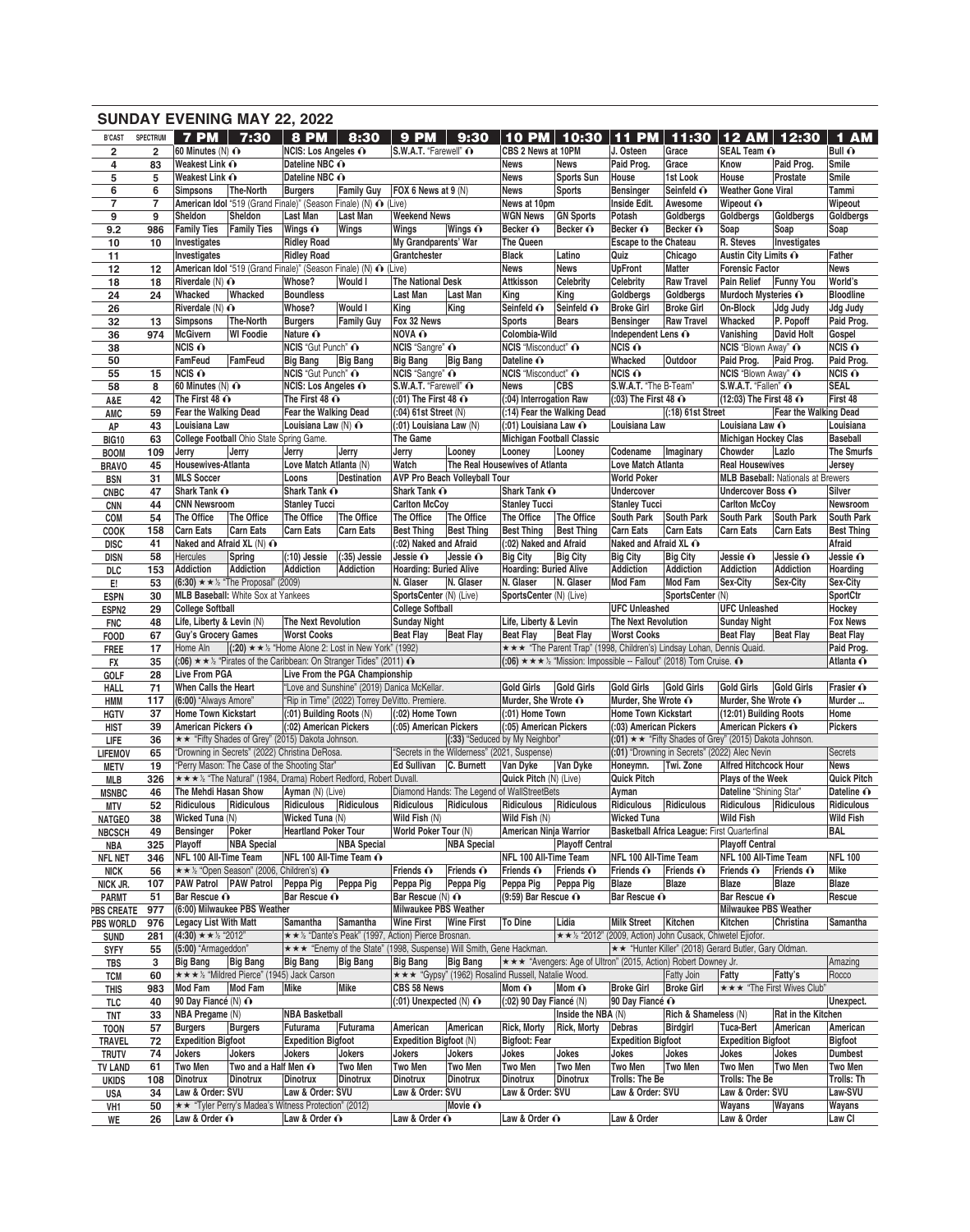|                                 |                | <b>SUNDAY EVENING MAY 22, 2022</b>                    |                                                |                                                                                           |                                |                                                                          |                               |                                                    |                             |                                                                                         |                                                                   |                                                |                                           |                      |
|---------------------------------|----------------|-------------------------------------------------------|------------------------------------------------|-------------------------------------------------------------------------------------------|--------------------------------|--------------------------------------------------------------------------|-------------------------------|----------------------------------------------------|-----------------------------|-----------------------------------------------------------------------------------------|-------------------------------------------------------------------|------------------------------------------------|-------------------------------------------|----------------------|
| <b>B'CAST</b>                   | SPECTRUM       | $7$ PM $\parallel$                                    | 7:30                                           | 8 PM                                                                                      | 8:30                           | <b>9 PM</b>                                                              | 9:30                          |                                                    |                             | 10 PM 10:30 11 PM                                                                       |                                                                   | 11:30   12 AM   12:30                          |                                           | 1 AM                 |
| $\overline{\mathbf{2}}$         | $\overline{2}$ | 60 Minutes (N) $\odot$                                |                                                | NCIS: Los Angeles ∩                                                                       |                                | S.W.A.T. "Farewell" O                                                    |                               | CBS 2 News at 10PM                                 |                             | J. Osteen                                                                               | Grace                                                             | SEAL Team O                                    |                                           | Bull $\odot$         |
| 4                               | 83             | Weakest Link $\odot$                                  |                                                | Dateline NBC O                                                                            |                                |                                                                          |                               | <b>News</b>                                        | <b>News</b>                 | Paid Prog.                                                                              | Grace                                                             | Know                                           | Paid Prog.                                | Smile                |
| 5                               | 5              | Weakest Link $\odot$                                  |                                                | Dateline NBC O                                                                            |                                |                                                                          |                               | <b>News</b>                                        | <b>Sports Sun</b>           | House                                                                                   | 1st Look                                                          | House                                          | Prostate                                  | Smile                |
| 6                               | 6              | Simpsons                                              | <b>The-North</b>                               | <b>Burgers</b>                                                                            | <b>Family Guy</b>              | FOX 6 News at $9(N)$                                                     |                               | <b>News</b>                                        | <b>Sports</b>               | <b>Bensinger</b>                                                                        | Seinfeld O                                                        | <b>Weather Gone Viral</b>                      |                                           | Tammi                |
| $\overline{\mathbf{7}}$         | 7              |                                                       |                                                | American Idol "519 (Grand Finale)" (Season Finale) (N) 心 (Live)                           |                                |                                                                          |                               | News at 10pm                                       |                             | Inside Edit.                                                                            | Awesome                                                           | Wipeout O                                      |                                           | Wipeout              |
| 9                               | 9              | Sheldon                                               | Sheldon                                        | Last Man                                                                                  | Last Man                       | <b>Weekend News</b>                                                      |                               | <b>WGN News</b>                                    | <b>GN Sports</b>            | Potash                                                                                  | Goldbergs                                                         | Goldbergs                                      | Goldbergs                                 | Goldbergs            |
| 9.2                             | 986            | <b>Family Ties</b>                                    | <b>Family Ties</b>                             | Wings $\odot$                                                                             | Wings                          | Wings                                                                    | Wings $\odot$                 | Becker O                                           | Becker O                    | Becker O                                                                                | Becker O                                                          | Soap                                           | Soap                                      | Soap                 |
| 10                              | 10             | Investigates                                          |                                                | <b>Ridley Road</b>                                                                        |                                | My Grandparents' War<br>Grantchester                                     |                               | The Queen<br><b>Black</b>                          |                             | Escape to the Chateau                                                                   |                                                                   | R. Steves                                      | Investigates                              | Father               |
| 11<br>12                        | 12             | Investigates                                          |                                                | <b>Ridley Road</b><br>American Idol "519 (Grand Finale)" (Season Finale) (N) ∩ (Live)     |                                |                                                                          |                               | <b>News</b>                                        | Latino<br>News              | Quiz<br><b>UpFront</b>                                                                  | Chicago<br><b>Matter</b>                                          | Austin City Limits O<br><b>Forensic Factor</b> |                                           | <b>News</b>          |
| 18                              | 18             | Riverdale $(N)$ $\odot$                               |                                                | Whose?                                                                                    | <b>Would I</b>                 | <b>The National Desk</b>                                                 |                               | Attkisson                                          | Celebrity                   | <b>Celebrity</b>                                                                        | <b>Raw Travel</b>                                                 | <b>Pain Relief</b>                             | <b>Funny You</b>                          | World's              |
| 24                              | 24             | Whacked                                               | Whacked                                        | <b>Boundless</b>                                                                          |                                | Last Man                                                                 | Last Man                      | King                                               | King                        | Goldbergs                                                                               | Goldbergs                                                         | Murdoch Mysteries O                            |                                           | <b>Bloodline</b>     |
| 26                              |                | Riverdale $(N)$ $\odot$                               |                                                | Whose?                                                                                    | <b>Would I</b>                 | King                                                                     | King                          | Seinfeld O                                         | Seinfeld O                  | <b>Broke Girl</b>                                                                       | <b>Broke Girl</b>                                                 | On-Block                                       | <b>Jdg Judy</b>                           | Jdq Judy             |
| 32                              | 13             | Simpsons                                              | <b>The-North</b>                               | <b>Burgers</b>                                                                            | <b>Family Guy</b>              | Fox 32 News                                                              |                               | <b>Sports</b>                                      | <b>Bears</b>                | <b>Bensinger</b>                                                                        | <b>Raw Travel</b>                                                 | Whacked                                        | P. Popoff                                 | Paid Prog.           |
| 36                              | 974            | McGivern                                              | <b>WI Foodie</b>                               | Nature $\mathbf{\Omega}$                                                                  |                                | NOVA O                                                                   |                               | Colombia-Wild                                      |                             | Independent Lens O                                                                      |                                                                   | Vanishing                                      | <b>David Holt</b>                         | Gospel               |
| 38                              |                | $NCIS$ $\odot$                                        |                                                | NCIS "Gut Punch" O                                                                        |                                | NCIS "Sangre" ∩                                                          |                               | NCIS "Misconduct" ∩                                |                             | NCIS O                                                                                  |                                                                   | <b>NCIS "Blown Away" O</b>                     |                                           | NCIS O               |
| 50                              |                | FamFeud                                               | FamFeud                                        | <b>Big Bang</b>                                                                           | <b>Big Bang</b>                | <b>Big Bang</b>                                                          | <b>Big Bang</b>               | Dateline O                                         |                             | Whacked                                                                                 | Outdoor                                                           | Paid Prog.                                     | Paid Prog.                                | Paid Prog.           |
| 55                              | 15             | $NCIS$ $\odot$                                        |                                                | NCIS "Gut Punch" O                                                                        |                                | NCIS "Sangre" O                                                          |                               | NCIS "Misconduct" ∩                                |                             | $NCIS$ $\odot$                                                                          |                                                                   | <b>NCIS "Blown Away" O</b>                     |                                           | NCIS O               |
| 58                              | 8              | 60 Minutes (N) $\odot$                                |                                                | NCIS: Los Angeles ∩                                                                       |                                | S.W.A.T. "Farewell" O                                                    |                               | <b>News</b>                                        | <b>CBS</b>                  | S.W.A.T. "The B-Team"                                                                   |                                                                   | S.W.A.T. "Fallen" O                            |                                           | <b>SEAL</b>          |
| A&E                             | 42             | The First 48 $\odot$                                  |                                                | The First 48 $\odot$<br>Fear the Walking Dead                                             |                                | $(.01)$ The First 48 $\odot$                                             |                               | (:04) Interrogation Raw                            | (:14) Fear the Walking Dead | (:03) The First 48 ∩                                                                    |                                                                   | (12:03) The First 48 ∩                         | Fear the Walking Dead                     | First 48             |
| AMC                             | 59<br>43       | Fear the Walking Dead<br>Louisiana Law                |                                                | Louisiana Law (N) ∩                                                                       |                                | (:04) 61st Street (N)<br>(:01) Louisiana Law (N)                         |                               | (:01) Louisiana Law ∩                              |                             | Louisiana Law                                                                           | $(18)$ 61st Street                                                | Louisiana Law O                                |                                           | Louisiana            |
| AP<br><b>BIG10</b>              | 63             |                                                       | College Football Ohio State Spring Game.       |                                                                                           |                                | The Game                                                                 |                               | <b>Michigan Football Classic</b>                   |                             |                                                                                         |                                                                   | Michigan Hockey Clas                           |                                           | Baseball             |
| <b>BOOM</b>                     | 109            | Jerry                                                 | Jerry                                          | Jerry                                                                                     | Jerry                          | Jerry                                                                    | Looney                        | Looney                                             | Looney                      | Codename                                                                                | Imaginary                                                         | Chowder                                        | Lazlo                                     | <b>The Smurfs</b>    |
| <b>BRAVO</b>                    | 45             | Housewives-Atlanta                                    |                                                | Love Match Atlanta (N)                                                                    |                                | Watch                                                                    |                               | The Real Housewives of Atlanta                     |                             | Love Match Atlanta                                                                      |                                                                   | <b>Real Housewives</b>                         |                                           | Jersey               |
| <b>BSN</b>                      | 31             | <b>MLS Soccer</b>                                     |                                                | Loons                                                                                     | <b>Destination</b>             |                                                                          | AVP Pro Beach Volleyball Tour |                                                    |                             | <b>World Poker</b>                                                                      |                                                                   |                                                | <b>MLB Baseball: Nationals at Brewers</b> |                      |
| <b>CNBC</b>                     | 47             | Shark Tank O                                          |                                                | Shark Tank O                                                                              |                                | Shark Tank O                                                             |                               | Shark Tank O                                       |                             | <b>Undercover</b>                                                                       |                                                                   | Undercover Boss O                              |                                           | Silver               |
| <b>CNN</b>                      | 44             | <b>CNN Newsroom</b>                                   |                                                | <b>Stanley Tucci</b>                                                                      |                                | <b>Carlton McCoy</b>                                                     |                               | <b>Stanley Tucci</b>                               |                             | <b>Stanley Tucci</b>                                                                    |                                                                   | <b>Carlton McCoy</b>                           |                                           | <b>Newsroom</b>      |
| COM                             | 54             | The Office                                            | The Office                                     | The Office                                                                                | <b>The Office</b>              | The Office                                                               | The Office                    | The Office                                         | The Office                  | South Park                                                                              | South Park                                                        | <b>South Park</b>                              | <b>South Park</b>                         | <b>South Park</b>    |
| <b>COOK</b>                     | 158            | <b>Carn Eats</b>                                      | <b>Carn Eats</b>                               | <b>Carn Eats</b>                                                                          | Carn Eats                      | <b>Best Thing</b>                                                        | <b>Best Thing</b>             | <b>Best Thing</b>                                  | <b>Best Thing</b>           | <b>Carn Eats</b>                                                                        | Carn Eats                                                         | <b>Carn Eats</b>                               | <b>Carn Eats</b>                          | <b>Best Thing</b>    |
| <b>DISC</b>                     | 41             | Naked and Afraid XL (N) O                             |                                                |                                                                                           |                                | (:02) Naked and Afraid                                                   |                               | (:02) Naked and Afraid                             |                             | Naked and Afraid XL ∩                                                                   |                                                                   |                                                |                                           | Afraid               |
| <b>DISN</b>                     | 58             | Hercules                                              | Spring                                         | $(:10)$ Jessie                                                                            | $(.35)$ Jessie                 | Jessie O                                                                 | Jessie O                      | <b>Big City</b>                                    | <b>Big City</b>             | <b>Big City</b>                                                                         | <b>Big City</b>                                                   | Jessie O                                       | Jessie O                                  | Jessie O             |
| DLC                             | 153            | <b>Addiction</b>                                      | <b>Addiction</b>                               | <b>Addiction</b>                                                                          | <b>Addiction</b>               | <b>Hoarding: Buried Alive</b>                                            |                               | <b>Hoarding: Buried Alive</b>                      |                             | <b>Addiction</b>                                                                        | <b>Addiction</b>                                                  | <b>Addiction</b>                               | Addiction                                 | Hoarding             |
| E!                              | 53             | <b>MLB Baseball:</b> White Sox at Yankees             | (6:30) $\star \star$ % "The Proposal" (2009)   |                                                                                           |                                | N. Glaser<br>SportsCenter (N) (Live)                                     | N. Glaser                     | N. Glaser                                          | N. Glaser                   | <b>Mod Fam</b>                                                                          | Mod Fam<br>SportsCenter (N)                                       | Sex-City                                       | Sex-City                                  | Sex-City<br>SportCtr |
| <b>ESPN</b>                     | 30<br>29       | <b>College Softball</b>                               |                                                |                                                                                           |                                | <b>College Softball</b>                                                  |                               | SportsCenter (N) (Live)                            |                             | <b>UFC Unleashed</b>                                                                    |                                                                   | <b>UFC Unleashed</b>                           |                                           | Hockey               |
| ESPN <sub>2</sub><br><b>FNC</b> | 48             | Life, Liberty & Levin (N)                             |                                                | <b>The Next Revolution</b>                                                                |                                | <b>Sunday Night</b>                                                      |                               | Life, Liberty & Levin                              |                             | <b>The Next Revolution</b>                                                              |                                                                   | <b>Sunday Night</b>                            |                                           | <b>Fox News</b>      |
| <b>FOOD</b>                     | 67             | <b>Guy's Grocery Games</b>                            |                                                | <b>Worst Cooks</b>                                                                        |                                | <b>Beat Flay</b>                                                         | <b>Beat Flay</b>              | <b>Beat Flay</b>                                   | <b>Beat Flay</b>            | <b>Worst Cooks</b>                                                                      |                                                                   | <b>Beat Flay</b>                               | <b>Beat Flay</b>                          | <b>Beat Flay</b>     |
| <b>FREE</b>                     | 17             | Home Aln                                              |                                                | $(.20) \star \star \cdot \cdot$ "Home Alone 2: Lost in New York" (1992)                   |                                |                                                                          |                               |                                                    |                             | ★★★ "The Parent Trap" (1998, Children's) Lindsay Lohan, Dennis Quaid.                   |                                                                   |                                                |                                           | Paid Prog.           |
| FX                              | 35             |                                                       |                                                | (:06) $\star \star \text{ }$ "Pirates of the Caribbean: On Stranger Tides" (2011) $\odot$ |                                |                                                                          |                               |                                                    |                             | (:06) $\star \star \star$ % "Mission: Impossible -- Fallout" (2018) Tom Cruise. $\odot$ |                                                                   |                                                |                                           | Atlanta O            |
| GOLF                            | 28             | <b>Live From PGA</b>                                  |                                                |                                                                                           | Live From the PGA Championship |                                                                          |                               |                                                    |                             |                                                                                         |                                                                   |                                                |                                           |                      |
| <b>HALL</b>                     | 71             | <b>When Calls the Heart</b>                           |                                                |                                                                                           |                                | "Love and Sunshine" (2019) Danica McKellar.                              |                               | <b>Gold Girls</b>                                  | <b>Gold Girls</b>           | <b>Gold Girls</b>                                                                       | <b>Gold Girls</b>                                                 | <b>Gold Girls</b>                              | <b>Gold Girls</b>                         | Frasier O            |
| HMM                             | 117            | (6:00) "Always Amore"                                 |                                                |                                                                                           |                                | "Rip in Time" (2022) Torrey DeVitto. Premiere.                           |                               | Murder. She Wrote ∩                                |                             | Murder, She Wrote O                                                                     |                                                                   | Murder, She Wrote O                            |                                           | Murder               |
| <b>HGTV</b>                     | 37             | <b>Home Town Kickstart</b>                            |                                                | (:01) Building Roots (N)                                                                  |                                | $(0.02)$ Home Town                                                       |                               | (:01) Home Town                                    |                             | <b>Home Town Kickstart</b>                                                              |                                                                   | (12:01) Building Roots                         |                                           | Home                 |
| <b>HIST</b>                     | 39             | American Pickers O                                    |                                                | (:02) American Pickers                                                                    |                                | (:05) American Pickers                                                   |                               | (:05) American Pickers                             |                             | (:03) American Pickers                                                                  |                                                                   | American Pickers O                             |                                           | <b>Pickers</b>       |
| <b>LIFE</b>                     | 36             |                                                       |                                                | ★★ "Fifty Shades of Grey" (2015) Dakota Johnson.                                          |                                |                                                                          |                               | (:33) "Seduced by My Neighbor"                     |                             |                                                                                         | $(.01) \star \star$ "Fifty Shades of Grey" (2015) Dakota Johnson. |                                                |                                           | Secrets              |
| <b>LIFEMOV</b>                  | 65             | "Drowning in Secrets" (2022) Christina DeRosa.        |                                                | "Perry Mason: The Case of the Shooting Star"                                              |                                | "Secrets in the Wilderness" (2021, Suspense)<br>Ed Sullivan   C. Burnett |                               | Van Dyke                                           | Van Dyke                    | Honeymn.                                                                                | (:01) "Drowning in Secrets" (2022) Alec Nevin<br>Twi. Zone        | <b>Alfred Hitchcock Hour</b>                   |                                           | News                 |
| <b>METV</b><br>MLB              | 19<br>326      |                                                       |                                                | *** % "The Natural" (1984, Drama) Robert Redford, Robert Duvall.                          |                                |                                                                          |                               | Quick Pitch (N) (Live)                             |                             | <b>Quick Pitch</b>                                                                      |                                                                   | Plays of the Week                              |                                           | <b>Quick Pitch</b>   |
| <b>MSNBC</b>                    | 46             | The Mehdi Hasan Show                                  |                                                | Ayman (N) (Live)                                                                          |                                | Diamond Hands: The Legend of WallStreetBets                              |                               |                                                    |                             | Ayman                                                                                   |                                                                   | Dateline "Shining Star"                        |                                           | Dateline O           |
| MTV                             | 52             | Ridiculous                                            | <b>Ridiculous</b>                              | Ridiculous                                                                                | Ridiculous                     | Ridiculous                                                               | Ridiculous                    | Ridiculous                                         | Ridiculous                  | Ridiculous                                                                              | Ridiculous                                                        | Ridiculous                                     | Ridiculous                                | Ridiculous           |
| <b>NATGEO</b>                   | 38             | Wicked Tuna (N)                                       |                                                | Wicked Tuna (N)                                                                           |                                | Wild Fish (N)                                                            |                               | Wild Fish (N)                                      |                             | <b>Wicked Tuna</b>                                                                      |                                                                   | Wild Fish                                      |                                           | <b>Wild Fish</b>     |
| <b>NBCSCH</b>                   | 49             | Bensinger                                             | Poker                                          | <b>Heartland Poker Tour</b>                                                               |                                | World Poker Tour (N)                                                     |                               | American Ninja Warrior                             |                             |                                                                                         | Basketball Africa League: First Quarterfinal                      |                                                |                                           | <b>BAL</b>           |
| NBA                             | 325            | Playoff                                               | <b>NBA Special</b>                             |                                                                                           | <b>NBA Special</b>             |                                                                          | <b>NBA Special</b>            |                                                    | <b>Playoff Central</b>      |                                                                                         |                                                                   | <b>Playoff Central</b>                         |                                           |                      |
| <b>NFL NET</b>                  | 346            | NFL 100 All-Time Team                                 |                                                | NFL 100 All-Time Team ∩                                                                   |                                |                                                                          |                               | NFL 100 All-Time Team                              |                             | NFL 100 All-Time Team                                                                   |                                                                   | NFL 100 All-Time Team                          |                                           | <b>NFL 100</b>       |
| <b>NICK</b>                     | 56             |                                                       | <b>★★ ½ "Open Season" (2006, Children's) 心</b> |                                                                                           |                                | Friends O                                                                | Friends O                     | Friends $\odot$                                    | Friends O                   | Friends $\odot$                                                                         | Friends $\odot$                                                   | Friends O                                      | Friends $\odot$                           | Mike                 |
| NICK JR.                        | 107            | <b>PAW Patrol PAW Patrol</b>                          |                                                | Peppa Piq                                                                                 | Peppa Pig                      | Peppa Pig                                                                | Peppa Pig                     | Peppa Pig                                          | Peppa Pig                   | Blaze                                                                                   | Blaze                                                             | Blaze                                          | <b>Blaze</b>                              | <b>Blaze</b>         |
| <b>PARMT</b>                    | 51             | Bar Rescue O                                          |                                                | Bar Rescue O                                                                              |                                | Bar Rescue (N) O                                                         |                               | $(9:59)$ Bar Rescue $\odot$                        |                             | Bar Rescue O                                                                            |                                                                   | Bar Rescue O                                   |                                           | Rescue               |
| <b>PBS CREATE</b>               | 977            |                                                       | (6:00) Milwaukee PBS Weather                   |                                                                                           |                                | <b>Milwaukee PBS Weather</b>                                             |                               |                                                    | Lidia                       | <b>Milk Street</b>                                                                      | Kitchen                                                           | <b>Milwaukee PBS Weather</b>                   | <b>Christina</b>                          |                      |
| <b>PBS WORLD</b>                | 976            | <b>Legacy List With Matt</b><br>$(4:30)$ ★ ★ ½ "2012" |                                                | Samantha                                                                                  | Samantha                       | <b>Wine First</b><br>★★ ½ "Dante's Peak" (1997, Action) Pierce Brosnan.  | <b>Wine First</b>             | To Dine                                            |                             | ★★ ½ "2012" (2009, Action) John Cusack, Chiwetel Ejiofor.                               |                                                                   | Kitchen                                        |                                           | Samantha             |
| <b>SUND</b><br><b>SYFY</b>      | 281<br>55      | (5:00) "Armageddon"                                   |                                                |                                                                                           |                                | ★★★ "Enemy of the State" (1998, Suspense) Will Smith, Gene Hackman.      |                               |                                                    |                             |                                                                                         | ★★ "Hunter Killer" (2018) Gerard Butler, Gary Oldman.             |                                                |                                           |                      |
| TBS                             | 3              | <b>Big Bang</b>                                       | <b>Big Bang</b>                                | <b>Big Bang</b>                                                                           | <b>Big Bang</b>                | <b>Big Bang</b>                                                          | <b>Big Bang</b>               |                                                    |                             | ★★★ "Avengers: Age of Ultron" (2015, Action) Robert Downey Jr.                          |                                                                   |                                                |                                           | Amazing              |
| <b>TCM</b>                      | 60             |                                                       |                                                | ★★★½ "Mildred Pierce" (1945) Jack Carson                                                  |                                |                                                                          |                               | *** "Gypsy" (1962) Rosalind Russell, Natalie Wood. |                             |                                                                                         | Fatty Join                                                        | Fatty                                          | Fatty's                                   | Rocco                |
| <b>THIS</b>                     | 983            | Mod Fam                                               | <b>Mod Fam</b>                                 | Mike                                                                                      | Mike                           | CBS 58 News                                                              |                               | Mom $\mathbf{\Omega}$                              | Mom $\mathbf{\Omega}$       | <b>Broke Girl</b>                                                                       | <b>Broke Girl</b>                                                 |                                                | ★★★ "The First Wives Club"                |                      |
| TLC                             | 40             | 90 Day Fiancé (N) ∩                                   |                                                |                                                                                           |                                | $(:01)$ Unexpected (N) $\odot$                                           |                               | (:02) 90 Day Fiancé (N)                            |                             | 90 Day Fiancé ∩                                                                         |                                                                   |                                                |                                           | Unexpect.            |
| TNT                             | 33             | NBA Pregame (N)                                       |                                                | <b>NBA Basketball</b>                                                                     |                                |                                                                          |                               |                                                    | Inside the NBA (N)          |                                                                                         | Rich & Shameless (N)                                              |                                                | Rat in the Kitchen                        |                      |
| <b>TOON</b>                     | 57             | <b>Burgers</b>                                        | <b>Burgers</b>                                 | Futurama                                                                                  | Futurama                       | American                                                                 | American                      | <b>Rick, Morty</b>                                 | <b>Rick, Morty</b>          | Debras                                                                                  | <b>Birdgirl</b>                                                   | <b>Tuca-Bert</b>                               | American                                  | American             |
| <b>TRAVEL</b>                   | 72             | <b>Expedition Bigfoot</b>                             |                                                | <b>Expedition Bigfoot</b>                                                                 |                                | Expedition Bigfoot (N)                                                   |                               | <b>Bigfoot: Fear</b>                               |                             | <b>Expedition Bigfoot</b>                                                               |                                                                   | <b>Expedition Bigfoot</b>                      |                                           | <b>Bigfoot</b>       |
| <b>TRUTV</b>                    | 74             | Jokers                                                | Jokers                                         | Jokers                                                                                    | Jokers                         | Jokers                                                                   | Jokers                        | Jokes                                              | Jokes                       | Jokes                                                                                   | Jokes                                                             | Jokes                                          | Jokes                                     | <b>Dumbest</b>       |
| <b>TV LAND</b>                  | 61             | Two Men                                               | Two and a Half Men ∩                           |                                                                                           | <b>Two Men</b>                 | Two Men                                                                  | <b>Two Men</b>                | <b>Two Men</b>                                     | <b>Two Men</b>              | Two Men                                                                                 | Two Men                                                           | Two Men                                        | <b>Two Men</b>                            | <b>Two Men</b>       |
| <b>UKIDS</b>                    | 108            | Dinotrux                                              | <b>Dinotrux</b>                                | <b>Dinotrux</b>                                                                           | <b>Dinotrux</b>                | <b>Dinotrux</b>                                                          | <b>Dinotrux</b>               | <b>Dinotrux</b>                                    | Dinotrux                    | Trolls: The Be                                                                          |                                                                   | Trolls: The Be                                 |                                           | Trolls: Th           |
| USA                             | 34             | Law & Order: SVU                                      |                                                | Law & Order: SVU                                                                          |                                | Law & Order: SVU                                                         |                               | Law & Order: SVU                                   |                             | Law & Order: SVU                                                                        |                                                                   | Law & Order: SVU                               |                                           | Law-SVU              |
| VH <sub>1</sub>                 | 50<br>26       | Law & Order $\odot$                                   |                                                | <b>★★ "Tyler Perry's Madea's Witness Protection" (2012)</b><br>Law & Order O              |                                | Law & Order O                                                            | Movie O                       | Law & Order ∩                                      |                             | Law & Order                                                                             |                                                                   | Wayans<br>Law & Order                          | Wayans                                    | Wayans<br>Law CI     |
| WE                              |                |                                                       |                                                |                                                                                           |                                |                                                                          |                               |                                                    |                             |                                                                                         |                                                                   |                                                |                                           |                      |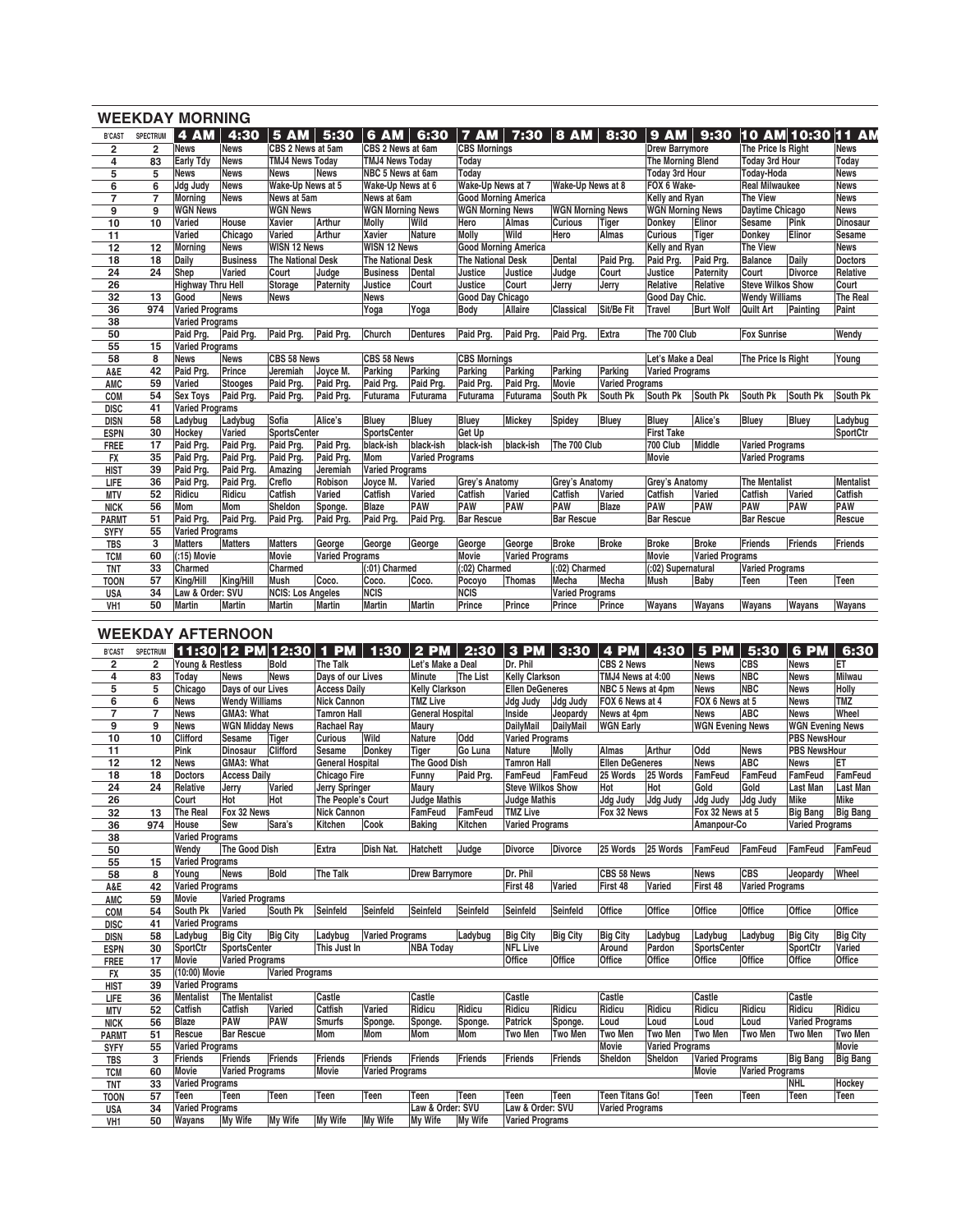|                 |                 | <b>WEEKDAY MORNING</b>   |                 |                          |                        |                          |                        |                          |                             |                         |                        |                          |                        |                          |                        |                 |
|-----------------|-----------------|--------------------------|-----------------|--------------------------|------------------------|--------------------------|------------------------|--------------------------|-----------------------------|-------------------------|------------------------|--------------------------|------------------------|--------------------------|------------------------|-----------------|
| <b>B'CAST</b>   | <b>SPECTRUM</b> | 4 AM                     | 4:30            | 5AM                      | 5:30                   | 6 AM                     | 6:30                   | $\overline{7}$ AM        |                             | 7:30   8 AM $\vert$     | 8:30                   | <b>9 AM</b>              |                        |                          | 9:30 10 AM 10:30 11 AM |                 |
| 2               | $\overline{2}$  | <b>News</b>              | <b>News</b>     | CBS 2 News at 5am        |                        | CBS 2 News at 6am        |                        | <b>CBS Mornings</b>      |                             |                         |                        | <b>Drew Barrymore</b>    |                        | The Price Is Right       |                        | <b>News</b>     |
| 4               | 83              | Early Tdy                | <b>News</b>     | <b>TMJ4 News Today</b>   |                        | <b>TMJ4 News Todav</b>   |                        | Todav                    |                             |                         |                        | <b>The Morning Blend</b> |                        | <b>Todav 3rd Hour</b>    |                        | Today           |
| 5               | 5               | News                     | <b>News</b>     | <b>News</b>              | <b>News</b>            | NBC 5 News at 6am        |                        | Today                    |                             |                         |                        | <b>Today 3rd Hour</b>    |                        | <b>Today-Hoda</b>        |                        | <b>News</b>     |
| 6               | 6               | <b>Jdg Judy</b>          | <b>News</b>     | Wake-Up News at 5        |                        | Wake-Up News at 6        |                        | Wake-Up News at 7        |                             | Wake-Up News at 8       |                        | FOX 6 Wake-              |                        | <b>Real Milwaukee</b>    |                        | <b>News</b>     |
| $\overline{7}$  | $\overline{7}$  | Morning                  | <b>News</b>     | News at 5am              |                        | News at 6am              |                        |                          | <b>Good Morning America</b> |                         |                        | Kelly and Ryan           |                        | <b>The View</b>          |                        | <b>News</b>     |
| 9               | 9               | <b>WGN News</b>          |                 | <b>WGN News</b>          |                        | <b>WGN Morning News</b>  |                        | <b>WGN Morning News</b>  |                             | <b>WGN Morning News</b> |                        | <b>WGN Morning News</b>  |                        | <b>Daytime Chicago</b>   |                        | <b>News</b>     |
| 10              | 10              | Varied                   | House           | <b>Xavier</b>            | <b>Arthur</b>          | <b>Molly</b>             | Wild                   | Hero                     | <b>Almas</b>                | <b>Curious</b>          | Tiger                  | Donkey                   | Elinor                 | <b>Sesame</b>            | Pink                   | <b>Dinosaur</b> |
| 11              |                 | Varied                   | Chicago         | Varied                   | <b>Arthur</b>          | Xavier                   | <b>Nature</b>          | Molly                    | Wild                        | Hero                    | Almas                  | <b>Curious</b>           | Tiger                  | Donkey                   | Elinor                 | Sesame          |
| 12              | 12              | Morning                  | <b>News</b>     | <b>WISN 12 News</b>      |                        | <b>WISN 12 News</b>      |                        |                          | <b>Good Morning America</b> |                         |                        | Kelly and Ryan           |                        | <b>The View</b>          |                        | <b>News</b>     |
| 18              | 18              | Daily                    | <b>Business</b> | <b>The National Desk</b> |                        | <b>The National Desk</b> |                        | <b>The National Desk</b> |                             | Dental                  | Paid Prg.              | Paid Prg.                | Paid Prg.              | <b>Balance</b>           | Daily                  | <b>Doctors</b>  |
| 24              | 24              | Shep                     | Varied          | Court                    | Judge                  | <b>Business</b>          | <b>Dental</b>          | Justice                  | Justice                     | Judae                   | Court                  | Justice                  | Paternity              | Court                    | Divorce                | Relative        |
| 26              |                 | <b>Highway Thru Hell</b> |                 | Storage                  | Paternity              | Justice                  | Court                  | Justice                  | Court                       | Jerry                   | Jerry                  | Relative                 | Relative               | <b>Steve Wilkos Show</b> |                        | Court           |
| 32              | 13              | Good                     | <b>News</b>     | <b>News</b>              |                        | <b>News</b>              |                        | Good Day Chicago         |                             |                         |                        | Good Day Chic.           |                        | <b>Wendy Williams</b>    |                        | The Real        |
| 36              | 974             | <b>Varied Programs</b>   |                 |                          |                        | Yoga                     | Yoga                   | Body                     | Allaire                     | Classical               | Sit/Be Fit             | Travel                   | <b>Burt Wolf</b>       | Quilt Art                | Painting               | Paint           |
| 38              |                 | <b>Varied Programs</b>   |                 |                          |                        |                          |                        |                          |                             |                         |                        |                          |                        |                          |                        |                 |
| 50              |                 | Paid Pra.                | Paid Prg.       | Paid Prg.                | Paid Prg.              | Church                   | <b>Dentures</b>        | Paid Pra.                | Paid Prg.                   | Paid Prg.               | Extra                  | The 700 Club             |                        | <b>Fox Sunrise</b>       |                        | Wendy           |
| 55              | 15              | <b>Varied Programs</b>   |                 |                          |                        |                          |                        |                          |                             |                         |                        |                          |                        |                          |                        |                 |
| 58              | 8               | <b>News</b>              | <b>News</b>     | CBS 58 News              |                        | CBS 58 News              |                        | <b>CBS Mornings</b>      |                             |                         |                        | Let's Make a Deal        |                        | The Price Is Right       |                        | Young           |
| A&E             | 42              | Paid Prg.                | Prince          | Jeremiah                 | Joyce M.               | Parking                  | Parking                | Parking                  | Parking                     | Parking                 | Parking                | Varied Programs          |                        |                          |                        |                 |
| AMC             | 59              | Varied                   | <b>Stooges</b>  | Paid Prg.                | Paid Prg.              | Paid Prg.                | Paid Prg.              | Paid Prg.                | Paid Prg.                   | Movie                   | <b>Varied Programs</b> |                          |                        |                          |                        |                 |
| COM             | 54              | <b>Sex Toys</b>          | Paid Prg.       | Paid Prg.                | Paid Prg.              | Futurama                 | Futurama               | Futurama                 | Futurama                    | South Pk                | South Pk               | South Pk                 | South Pk               | South Pk                 | South Pk               | South Pk        |
| <b>DISC</b>     | 41              | <b>Varied Programs</b>   |                 |                          |                        |                          |                        |                          |                             |                         |                        |                          |                        |                          |                        |                 |
| <b>DISN</b>     | 58              | Ladybug                  | Ladybug         | Sofia                    | Alice's                | Bluey                    | <b>Bluey</b>           | Bluey                    | Mickey                      | Spidey                  | <b>Bluey</b>           | <b>Bluey</b>             | Alice's                | Bluey                    | <b>Bluey</b>           | Ladybug         |
| <b>ESPN</b>     | 30              | Hockey                   | Varied          | <b>SportsCenter</b>      |                        | <b>SportsCenter</b>      |                        | Get Up                   |                             |                         |                        | <b>First Take</b>        |                        |                          |                        | SportCtr        |
| FREE            | 17              | Paid Prg.                | Paid Prg.       | Paid Prg.                | Paid Prg.              | black-ish                | black-ish              | black-ish                | black-ish                   | The 700 Club            |                        | 700 Club                 | Middle                 | <b>Varied Programs</b>   |                        |                 |
| <b>FX</b>       | 35              | Paid Prg.                | Paid Pra.       | Paid Prg.                | Paid Prg.              | <b>Mom</b>               | <b>Varied Programs</b> |                          |                             |                         |                        | Movie                    |                        | <b>Varied Programs</b>   |                        |                 |
| <b>HIST</b>     | 39              | Paid Prg.                | Paid Prg.       | Amazing                  | Jeremiah               | <b>Varied Programs</b>   |                        |                          |                             |                         |                        |                          |                        |                          |                        |                 |
| LIFE            | 36              | Paid Prg.                | Paid Prg.       | Creflo                   | Robison                | Joyce M.                 | Varied                 | Grey's Anatomy           |                             | Grey's Anatomy          |                        | Grey's Anatomy           |                        | <b>The Mentalist</b>     |                        | Mentalist       |
| <b>MTV</b>      | 52              | Ridicu                   | Ridicu          | Catfish                  | Varied                 | Catfish                  | Varied                 | Catfish                  | Varied                      | Catfish                 | Varied                 | Catfish                  | Varied                 | Catfish                  | Varied                 | Catfish         |
| <b>NICK</b>     | 56              | Mom                      | Mom             | Sheldon                  | Sponge.                | <b>Blaze</b>             | <b>PAW</b>             | PAW                      | PAW                         | PAW                     | <b>Blaze</b>           | PAW                      | PAW                    | PAW                      | PAW                    | <b>PAW</b>      |
| <b>PARMT</b>    | 51              | Paid Prg.                | Paid Prg.       | Paid Prg.                | Paid Prg.              | Paid Prg.                | Paid Pra.              | <b>Bar Rescue</b>        |                             | <b>Bar Rescue</b>       |                        | <b>Bar Rescue</b>        |                        | <b>Bar Rescue</b>        |                        | Rescue          |
| <b>SYFY</b>     | 55              | <b>Varied Programs</b>   |                 |                          |                        |                          |                        |                          |                             |                         |                        |                          |                        |                          |                        |                 |
| <b>TBS</b>      | 3               | <b>Matters</b>           | <b>Matters</b>  | Matters                  | George                 | George                   | George                 | George                   | George                      | <b>Broke</b>            | <b>Broke</b>           | <b>Broke</b>             | <b>Broke</b>           | Friends                  | Friends                | Friends         |
| <b>TCM</b>      | 60              | (:15) Movie              |                 | <b>Movie</b>             | <b>Varied Programs</b> |                          |                        | <b>Movie</b>             | <b>Varied Programs</b>      |                         |                        | <b>Movie</b>             | <b>Varied Programs</b> |                          |                        |                 |
| <b>TNT</b>      | 33              | Charmed                  |                 | Charmed                  |                        | (:01) Charmed            |                        | (:02) Charmed            |                             | (:02) Charmed           |                        | (:02) Supernatural       |                        | Varied Programs          |                        |                 |
| <b>TOON</b>     | 57              | King/Hill                | King/Hill       | <b>Mush</b>              | Coco.                  | Coco.                    | Coco.                  | Pocoyo                   | <b>Thomas</b>               | Mecha                   | Mecha                  | <b>Mush</b>              | Baby                   | Teen                     | Teen                   | Teen            |
| <b>USA</b>      | 34              | Law & Order: SVU         |                 | <b>NCIS: Los Angeles</b> |                        | <b>NCIS</b>              |                        | <b>NCIS</b>              |                             | Varied Programs         |                        |                          |                        |                          |                        |                 |
| VH <sub>1</sub> | 50              | <b>Martin</b>            | <b>Martin</b>   | <b>Martin</b>            | <b>Martin</b>          | <b>Martin</b>            | <b>Martin</b>          | Prince                   | Prince                      | Prince                  | Prince                 | Wayans                   | Wayans                 | Wayans                   | Wavans                 | Wayans          |
|                 |                 |                          |                 |                          |                        |                          |                        |                          |                             |                         |                        |                          |                        |                          |                        |                 |

## **WEEKDAY AFTERNOON**

| <b>B'CAST</b>   | SPECTRUM       |                        |                        |                        |                         | 1:30                   | $2$ PM                  | 2:30      | $3$ PM                   | 3:30             | <b>4 PM</b>            | 4:30                   | <b>5 PM</b>             | 5:30                   | 6 PM                    | 6:30            |
|-----------------|----------------|------------------------|------------------------|------------------------|-------------------------|------------------------|-------------------------|-----------|--------------------------|------------------|------------------------|------------------------|-------------------------|------------------------|-------------------------|-----------------|
| $\overline{2}$  | $\overline{2}$ | Young & Restless       |                        | Bold                   | The Talk                |                        | Let's Make a Deal       |           | Dr. Phil                 |                  | <b>CBS 2 News</b>      |                        | <b>News</b>             | <b>CBS</b>             | <b>News</b>             | ET              |
| 4               | 83             | Todav                  | <b>News</b>            | <b>News</b>            | Days of our Lives       |                        | Minute                  | The List  | <b>Kelly Clarkson</b>    |                  | TMJ4 News at 4:00      |                        | <b>News</b>             | <b>NBC</b>             | News                    | <b>Milwau</b>   |
| 5               | 5              | Chicago                | Days of our Lives      |                        | <b>Access Daily</b>     |                        | <b>Kelly Clarkson</b>   |           | <b>Ellen DeGeneres</b>   |                  | NBC 5 News at 4pm      |                        | <b>News</b>             | <b>NBC</b>             | <b>News</b>             | Holly           |
| 6               | 6              | <b>News</b>            | <b>Wendy Williams</b>  |                        | <b>Nick Cannon</b>      |                        | <b>TMZ Live</b>         |           | <b>Jdg Judy</b>          | Jdg Judy         | FOX 6 News at 4        |                        | FOX 6 News at 5         |                        | <b>News</b>             | <b>TMZ</b>      |
| $\overline{7}$  | $\overline{7}$ | <b>News</b>            | GMA3: What             |                        | <b>Tamron Hall</b>      |                        | <b>General Hospital</b> |           | Inside                   | Jeopardy         | News at 4pm            |                        | <b>News</b>             | ABC                    | <b>News</b>             | Wheel           |
| 9               | 9              | <b>News</b>            | <b>WGN Midday News</b> |                        | <b>Rachael Ray</b>      |                        | Maury                   |           | <b>DailyMail</b>         | <b>DailvMail</b> | <b>WGN</b> Early       |                        | <b>WGN Evening News</b> |                        | <b>WGN Evening News</b> |                 |
| 10              | 10             | Clifford               | <b>Sesame</b>          | Tiger                  | <b>Curious</b>          | Wild                   | <b>Nature</b>           | Odd       | <b>Varied Programs</b>   |                  |                        |                        |                         |                        | <b>PBS NewsHour</b>     |                 |
| 11              |                | Pink                   | <b>Dinosaur</b>        | Clifford               | Sesame                  | Donkey                 | Tiger                   | Go Luna   | <b>Nature</b>            | Molly            | <b>Almas</b>           | Arthur                 | Odd                     | <b>News</b>            | <b>PBS NewsHour</b>     |                 |
| 12              | 12             | <b>News</b>            | <b>GMA3: What</b>      |                        | <b>General Hospital</b> |                        | <b>The Good Dish</b>    |           | <b>Tamron Hall</b>       |                  | <b>Ellen DeGeneres</b> |                        | <b>News</b>             | <b>ABC</b>             | <b>News</b>             | ET              |
| 18              | 18             | <b>Doctors</b>         | <b>Access Daily</b>    |                        | <b>Chicago Fire</b>     |                        | Funny                   | Paid Prg. | <b>FamFeud</b>           | FamFeud          | 25 Words               | 25 Words               | <b>FamFeud</b>          | <b>FamFeud</b>         | <b>FamFeud</b>          | FamFeud         |
| 24              | 24             | Relative               | Jerry                  | Varied                 | <b>Jerry Springer</b>   |                        | Maury                   |           | <b>Steve Wilkos Show</b> |                  | <b>Hot</b>             | Hot                    | Gold                    | Gold                   | <b>Last Man</b>         | <b>Last Man</b> |
| 26              |                | Court                  | Hot                    | Hot                    | The People's Court      |                        | <b>Judge Mathis</b>     |           | <b>Judge Mathis</b>      |                  | Jdg Judy               | Jdq Judy               | Jdg Judy                | Jdq Judy               | <b>Mike</b>             | Mike            |
| 32              | 13             | <b>The Real</b>        | Fox 32 News            |                        | <b>Nick Cannon</b>      |                        | FamFeud                 | FamFeud   | <b>TMZ Live</b>          |                  | Fox 32 News            |                        | Fox 32 News at 5        |                        | <b>Big Bang</b>         | <b>Big Bang</b> |
| 36              | 974            | House                  | <b>Sew</b>             | Sara's                 | Kitchen                 | Cook                   | <b>Baking</b>           | Kitchen   | <b>Varied Programs</b>   |                  |                        |                        | Amanpour-Co             |                        | <b>Varied Programs</b>  |                 |
| 38              |                | <b>Varied Programs</b> |                        |                        |                         |                        |                         |           |                          |                  |                        |                        |                         |                        |                         |                 |
| 50              |                | Wendy                  | <b>The Good Dish</b>   |                        | <b>Extra</b>            | Dish Nat.              | Hatchett                | Judge     | <b>Divorce</b>           | Divorce          | 25 Words               | 25 Words               | FamFeud                 | FamFeud                | FamFeud                 | FamFeud         |
| 55              | 15             | <b>Varied Programs</b> |                        |                        |                         |                        |                         |           |                          |                  |                        |                        |                         |                        |                         |                 |
| 58              | 8              | Young                  | <b>News</b>            | Bold                   | <b>The Talk</b>         |                        | <b>Drew Barrymore</b>   |           | Dr. Phil                 |                  | CBS 58 News            |                        | <b>News</b>             | <b>CBS</b>             | Jeopardy                | Wheel           |
| A&E             | 42             | <b>Varied Programs</b> |                        |                        |                         |                        |                         |           | First 48                 | Varied           | First 48               | Varied                 | First 48                | <b>Varied Programs</b> |                         |                 |
| AMC             | 59             | Movie                  | <b>Varied Programs</b> |                        |                         |                        |                         |           |                          |                  |                        |                        |                         |                        |                         |                 |
| COM             | 54             | South Pk               | Varied                 | South Pk               | Seinfeld                | Seinfeld               | Seinfeld                | Seinfeld  | Seinfeld                 | Seinfeld         | Office                 | Office                 | Office                  | Office                 | Office                  | Office          |
| <b>DISC</b>     | 41             | <b>Varied Programs</b> |                        |                        |                         |                        |                         |           |                          |                  |                        |                        |                         |                        |                         |                 |
| <b>DISN</b>     | 58             | Ladybuq                | <b>Big City</b>        | <b>Big City</b>        | Ladybug                 | <b>Varied Programs</b> |                         | Ladybug   | <b>Big City</b>          | <b>Big City</b>  | <b>Big City</b>        | Ladybug                | Ladybug                 | Ladybug                | <b>Big City</b>         | <b>Big City</b> |
| <b>ESPN</b>     | 30             | SportCtr               | <b>SportsCenter</b>    |                        | This Just In            |                        | <b>NBA Today</b>        |           | <b>NFL Live</b>          |                  | Around                 | Pardon                 | <b>SportsCenter</b>     |                        | SportCtr                | Varied          |
| <b>FREE</b>     | 17             | Movie                  | <b>Varied Programs</b> |                        |                         |                        |                         |           | <b>Office</b>            | Office           | Office                 | Office                 | Office                  | Office                 | Office                  | Office          |
| <b>FX</b>       | 35             | (10:00) Movie          |                        | <b>Varied Programs</b> |                         |                        |                         |           |                          |                  |                        |                        |                         |                        |                         |                 |
| <b>HIST</b>     | 39             | <b>Varied Programs</b> |                        |                        |                         |                        |                         |           |                          |                  |                        |                        |                         |                        |                         |                 |
| LIFE            | 36             | <b>Mentalist</b>       | <b>The Mentalist</b>   |                        | Castle                  |                        | Castle                  |           | Castle                   |                  | Castle                 |                        | Castle                  |                        | Castle                  |                 |
| <b>MTV</b>      | 52             | Catfish                | Catfish                | Varied                 | Catfish                 | Varied                 | Ridicu                  | Ridicu    | Ridicu                   | Ridicu           | Ridicu                 | Ridicu                 | Ridicu                  | Ridicu                 | Ridicu                  | Ridicu          |
| <b>NICK</b>     | 56             | <b>Blaze</b>           | <b>PAW</b>             | PAW                    | <b>Smurfs</b>           | Sponge.                | Sponge.                 | Sponge.   | <b>Patrick</b>           | Sponge.          | Loud                   | Loud                   | Loud                    | Loud                   | <b>Varied Programs</b>  |                 |
| <b>PARMT</b>    | 51             | Rescue                 | <b>Bar Rescue</b>      |                        | <b>Mom</b>              | Mom                    | Mom                     | Mom       | <b>Two Men</b>           | <b>Two Men</b>   | Two Men                | <b>Two Men</b>         | <b>Two Men</b>          | <b>Two Men</b>         | <b>Two Men</b>          | <b>Two Men</b>  |
| <b>SYFY</b>     | 55             | <b>Varied Programs</b> |                        |                        |                         |                        |                         |           |                          |                  | Movie                  | <b>Varied Programs</b> |                         |                        |                         | Movie           |
| <b>TBS</b>      | 3              | <b>Friends</b>         | <b>Friends</b>         | Friends                | <b>Friends</b>          | Friends                | Friends                 | Friends   | Friends                  | Friends          | Sheldon                | Sheldon                | <b>Varied Programs</b>  |                        | <b>Big Bang</b>         | <b>Big Bang</b> |
| <b>TCM</b>      | 60             | Movie                  | <b>Varied Programs</b> |                        | <b>Movie</b>            | <b>Varied Programs</b> |                         |           |                          |                  |                        |                        | <b>Movie</b>            | <b>Varied Programs</b> |                         |                 |
| <b>TNT</b>      | 33             | <b>Varied Programs</b> |                        |                        |                         |                        |                         |           |                          |                  |                        |                        |                         |                        | <b>NHL</b>              | Hockey          |
| <b>TOON</b>     | 57             | <b>Teen</b>            | Teen                   | Teen                   | Teen                    | Teen                   | Teen                    | Teen      | Teen                     | Teen             | <b>Teen Titans Go!</b> |                        | Teen                    | Teen                   | Teen                    | Teen            |
| <b>USA</b>      | 34             | Varied Programs        |                        |                        |                         |                        | Law & Order: SVU        |           | Law & Order: SVU         |                  | Varied Programs        |                        |                         |                        |                         |                 |
| VH <sub>1</sub> | 50             | Wayans                 | <b>My Wife</b>         | My Wife                | <b>My Wife</b>          | My Wife                | My Wife                 | My Wife   | <b>Varied Programs</b>   |                  |                        |                        |                         |                        |                         |                 |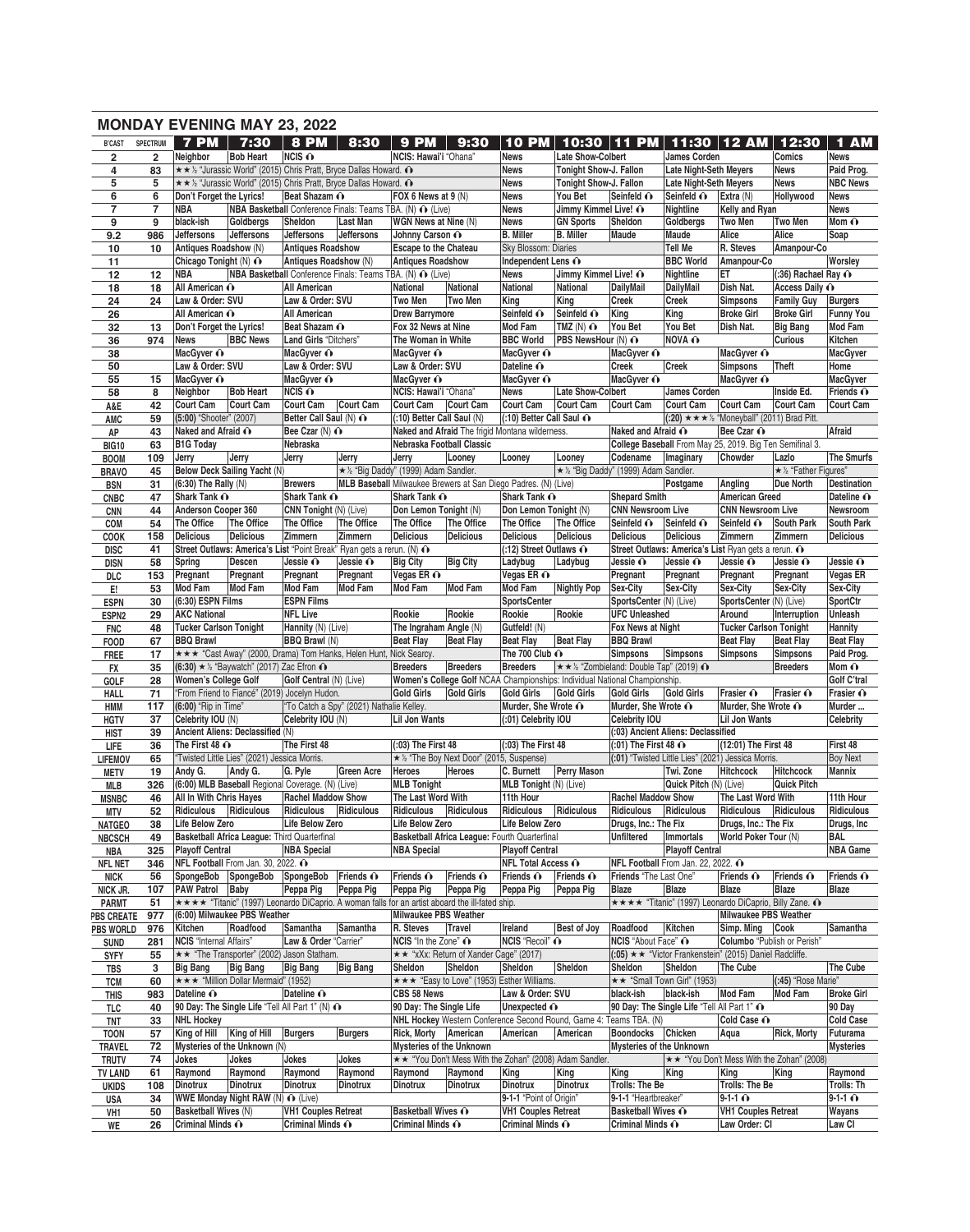|                                 |                         |                                           | <b>MONDAY EVENING MAY 23, 2022</b>                                    |                                        |                                          |                                                         |                                                                                                 |                                              |                                                                                       |                                                      |                                             |                                                                    |                                                  |                                  |
|---------------------------------|-------------------------|-------------------------------------------|-----------------------------------------------------------------------|----------------------------------------|------------------------------------------|---------------------------------------------------------|-------------------------------------------------------------------------------------------------|----------------------------------------------|---------------------------------------------------------------------------------------|------------------------------------------------------|---------------------------------------------|--------------------------------------------------------------------|--------------------------------------------------|----------------------------------|
| <b>B'CAST</b>                   | SPECTRUM                | <b>7 PM</b>                               | 7:30                                                                  | <b>8 PM</b>                            | 8:30                                     | <b>9 PM</b>                                             | 9:30                                                                                            | <b>10 PM</b>                                 | 10:30                                                                                 | 11<br><b>PM</b>                                      |                                             | 11:30 12 AM                                                        | 12:30                                            | 1 AM                             |
| $\overline{\mathbf{2}}$         | $\overline{\mathbf{2}}$ | Neighbor                                  | <b>Bob Heart</b>                                                      | $NCIS$ $\odot$                         |                                          | NCIS: Hawai'i "Ohana"                                   |                                                                                                 | <b>News</b>                                  | Late Show-Colbert                                                                     |                                                      | James Corden                                |                                                                    | Comics                                           | <b>News</b>                      |
| 4                               | 83                      |                                           | ★★½ "Jurassic World" (2015) Chris Pratt, Bryce Dallas Howard. ^       |                                        |                                          |                                                         |                                                                                                 | <b>News</b>                                  | Tonight Show-J. Fallon                                                                |                                                      | <b>Late Night-Seth Meyers</b>               |                                                                    | <b>News</b>                                      | Paid Prog.                       |
| 5<br>6                          | 5<br>6                  | Don't Forget the Lyrics!                  | ★★½ "Jurassic World" (2015) Chris Pratt, Bryce Dallas Howard. ^       | Beat Shazam O                          |                                          | FOX 6 News at 9 (N)                                     |                                                                                                 | <b>News</b><br><b>News</b>                   | Tonight Show-J. Fallon<br>You Bet                                                     | Seinfeld O                                           | <b>Late Night-Seth Meyers</b><br>Seinfeld O | Extra (N)                                                          | <b>News</b><br>Hollywood                         | <b>NBC News</b><br><b>News</b>   |
| $\overline{\phantom{a}}$        | $\overline{7}$          | <b>NBA</b>                                | <b>NBA Basketball Conference Finals: Teams TBA. (N) O (Live)</b>      |                                        |                                          |                                                         |                                                                                                 | <b>News</b>                                  | Jimmy Kimmel Live! O                                                                  |                                                      | <b>Nightline</b>                            | Kelly and Ryan                                                     |                                                  | <b>News</b>                      |
| 9                               | 9                       | black-ish                                 | Goldbergs                                                             | Sheldon                                | Last Man                                 | WGN News at Nine (N)                                    |                                                                                                 | <b>News</b>                                  | <b>GN Sports</b>                                                                      | Sheldon                                              | Goldbergs                                   | Two Men                                                            | <b>Two Men</b>                                   | Mom $\mathbf{\odot}$             |
| 9.2                             | 986                     | <b>Jeffersons</b>                         | <b>Jeffersons</b>                                                     | Jeffersons                             | <b>Jeffersons</b>                        | Johnny Carson O                                         |                                                                                                 | <b>B.</b> Miller                             | <b>B.</b> Miller                                                                      | Maude                                                | Maude                                       | Alice                                                              | Alice                                            | Soap                             |
| 10                              | 10                      | Antiques Roadshow (N)                     |                                                                       | <b>Antiques Roadshow</b>               |                                          | <b>Escape to the Chateau</b>                            |                                                                                                 | <b>Sky Blossom: Diaries</b>                  |                                                                                       |                                                      | <b>Tell Me</b>                              | R. Steves                                                          | Amanpour-Co                                      |                                  |
| 11                              |                         | Chicago Tonight (N) ∩                     |                                                                       | Antiques Roadshow (N)                  |                                          | <b>Antiques Roadshow</b>                                |                                                                                                 | Independent Lens O                           |                                                                                       |                                                      | <b>BBC World</b>                            | Amanpour-Co                                                        |                                                  | Worsley                          |
| 12                              | 12<br>18                | <b>NBA</b><br>All American O              | <b>NBA Basketball Conference Finals: Teams TBA. (N) O (Live)</b>      | <b>All American</b>                    |                                          | <b>National</b>                                         | National                                                                                        | <b>News</b><br>National                      | Jimmy Kimmel Live! O<br>National                                                      | <b>DailyMail</b>                                     | Nightline<br><b>DailvMail</b>               | ET<br>Dish Nat.                                                    | $(.36)$ Rachael Ray $\odot$<br>Access Daily O    |                                  |
| 18<br>24                        | 24                      | Law & Order: SVU                          |                                                                       | Law & Order: SVU                       |                                          | Two Men                                                 | <b>Two Men</b>                                                                                  | King                                         | King                                                                                  | Creek                                                | Creek                                       | <b>Simpsons</b>                                                    | <b>Family Guy</b>                                | <b>Burgers</b>                   |
| 26                              |                         | All American O                            |                                                                       | <b>All American</b>                    |                                          | <b>Drew Barrymore</b>                                   |                                                                                                 | Seinfeld O                                   | Seinfeld O                                                                            | King                                                 | King                                        | <b>Broke Girl</b>                                                  | <b>Broke Girl</b>                                | <b>Funny You</b>                 |
| 32                              | 13                      | Don't Forget the Lyrics!                  |                                                                       | Beat Shazam O                          |                                          | Fox 32 News at Nine                                     |                                                                                                 | <b>Mod Fam</b>                               | TMZ $(N)$ $\odot$                                                                     | You Bet                                              | You Bet                                     | Dish Nat.                                                          | <b>Big Bang</b>                                  | <b>Mod Fam</b>                   |
| 36                              | 974                     | News                                      | <b>BBC News</b>                                                       | Land Girls "Ditchers"                  |                                          | The Woman in White                                      |                                                                                                 | <b>BBC World</b>                             | PBS NewsHour (N) O                                                                    |                                                      | NOVA O                                      |                                                                    | <b>Curious</b>                                   | Kitchen                          |
| 38                              |                         | MacGyver O                                |                                                                       | MacGyver O                             |                                          | MacGyver O                                              |                                                                                                 | MacGyver O                                   |                                                                                       | MacGyver O                                           |                                             | MacGyver O                                                         |                                                  | MacGyver                         |
| 50                              |                         | Law & Order: SVU                          |                                                                       | Law & Order: SVU                       |                                          | Law & Order: SVU                                        |                                                                                                 | Dateline O                                   |                                                                                       | Creek                                                | Creek                                       | <b>Simpsons</b>                                                    | <b>Theft</b>                                     | Home                             |
| 55<br>58                        | 15<br>8                 | MacGyver O                                | <b>Bob Heart</b>                                                      | MacGyver O<br>$NCIS$ $\odot$           |                                          | MacGyver O<br>NCIS: Hawai'i "Ohana"                     |                                                                                                 | MacGyver O<br><b>News</b>                    | <b>Late Show-Colbert</b>                                                              | MacGyver O                                           | James Corden                                | MacGyver O                                                         | Inside Ed.                                       | MacGyver<br>Friends $\odot$      |
| A&E                             | 42                      | Neighbor<br><b>Court Cam</b>              | <b>Court Cam</b>                                                      | Court Cam                              | Court Cam                                | <b>Court Cam</b>                                        | <b>Court Cam</b>                                                                                | <b>Court Cam</b>                             | Court Cam                                                                             | Court Cam                                            | <b>Court Cam</b>                            | <b>Court Cam</b>                                                   | <b>Court Cam</b>                                 | <b>Court Cam</b>                 |
| AMC                             | 59                      | (5:00) "Shooter" (2007)                   |                                                                       | Better Call Saul (N) O                 |                                          | (:10) Better Call Saul (N)                              |                                                                                                 | (:10) Better Call Saul ∩                     |                                                                                       |                                                      |                                             | $(20)$ * * * 2 "Moneyball" (2011) Brad Pitt.                       |                                                  |                                  |
| АP                              | 43                      | Naked and Afraid ∩                        |                                                                       | Bee Czar $(N)$ $\odot$                 |                                          |                                                         | Naked and Afraid The frigid Montana wilderness.                                                 |                                              |                                                                                       | Naked and Afraid O                                   |                                             | Bee Czar O                                                         |                                                  | Afraid                           |
| <b>BIG10</b>                    | 63                      | <b>B1G Today</b>                          |                                                                       | Nebraska                               |                                          | Nebraska Football Classic                               |                                                                                                 |                                              |                                                                                       |                                                      |                                             | College Baseball From May 25, 2019. Big Ten Semifinal 3.           |                                                  |                                  |
| <b>BOOM</b>                     | 109                     | Jerry                                     | Jerry                                                                 | Jerry                                  | Jerry                                    | Jerry                                                   | Looney                                                                                          | Looney                                       | Looney                                                                                | Codename                                             | Imaginary                                   | Chowder                                                            | Lazlo                                            | <b>The Smurfs</b>                |
| <b>BRAVO</b>                    | 45                      |                                           | Below Deck Sailing Yacht (N)                                          |                                        |                                          | * 1/2 "Big Daddy" (1999) Adam Sandler.                  |                                                                                                 |                                              | * 1/2 "Big Daddy" (1999) Adam Sandler.                                                |                                                      |                                             |                                                                    | * 1/2 "Father Figures"                           |                                  |
| <b>BSN</b>                      | 31                      | $(6:30)$ The Rally $(N)$<br>Shark Tank O  |                                                                       | <b>Brewers</b>                         |                                          |                                                         | MLB Baseball Milwaukee Brewers at San Diego Padres. (N) (Live)                                  |                                              |                                                                                       |                                                      | Postgame                                    | Angling<br><b>American Greed</b>                                   | Due North                                        | <b>Destination</b><br>Dateline O |
| <b>CNBC</b>                     | 47<br>44                | Anderson Cooper 360                       |                                                                       | Shark Tank O<br>CNN Tonight (N) (Live) |                                          | Shark Tank O<br>Don Lemon Tonight (N)                   |                                                                                                 | <b>Shark Tank ∩</b><br>Don Lemon Tonight (N) |                                                                                       | <b>Shepard Smith</b><br><b>CNN Newsroom Live</b>     |                                             | <b>CNN Newsroom Live</b>                                           |                                                  | Newsroom                         |
| <b>CNN</b><br><b>COM</b>        | 54                      | The Office                                | The Office                                                            | The Office                             | The Office                               | The Office                                              | The Office                                                                                      | The Office                                   | The Office                                                                            | Seinfeld O                                           | Seinfeld O                                  | Seinfeld O                                                         | South Park                                       | <b>South Park</b>                |
| COOK                            | 158                     | <b>Delicious</b>                          | <b>Delicious</b>                                                      | Zimmern                                | Zimmern                                  | <b>Delicious</b>                                        | <b>Delicious</b>                                                                                | <b>Delicious</b>                             | <b>Delicious</b>                                                                      | <b>Delicious</b>                                     | <b>Delicious</b>                            | Zimmern                                                            | Zimmern                                          | <b>Delicious</b>                 |
| <b>DISC</b>                     | 41                      |                                           | Street Outlaws: America's List "Point Break" Ryan gets a rerun. (N) O |                                        |                                          |                                                         |                                                                                                 | (:12) Street Outlaws ∩                       |                                                                                       |                                                      |                                             | Street Outlaws: America's List Ryan gets a rerun. O                |                                                  |                                  |
| <b>DISN</b>                     | 58                      | Spring                                    | Descen                                                                | Jessie O                               | Jessie O                                 | <b>Big City</b>                                         | <b>Big City</b>                                                                                 | Ladybug                                      | Ladybug                                                                               | Jessie O                                             | Jessie O                                    | Jessie O                                                           | Jessie O                                         | Jessie O                         |
| DLC                             | 153                     | Pregnant                                  | Pregnant                                                              | Pregnant                               | Pregnant                                 | Vegas ER $\odot$                                        |                                                                                                 | Vegas ER $\odot$                             |                                                                                       | Pregnant                                             | Pregnant                                    | Pregnant                                                           | Pregnant                                         | Vegas ER                         |
| E!                              | 53                      | Mod Fam                                   | <b>Mod Fam</b>                                                        | Mod Fam                                | Mod Fam                                  | Mod Fam                                                 | <b>Mod Fam</b>                                                                                  | <b>Mod Fam</b>                               | Nightly Pop                                                                           | Sex-City                                             | Sex-City                                    | Sex-City                                                           | Sex-City                                         | Sex-City                         |
| <b>ESPN</b>                     | 30<br>29                | (6:30) ESPN Films<br><b>AKC National</b>  |                                                                       | <b>ESPN Films</b><br><b>NFL Live</b>   |                                          | Rookie                                                  | Rookie                                                                                          | <b>SportsCenter</b><br>Rookie                | Rookie                                                                                | SportsCenter (N) (Live)<br><b>UFC Unleashed</b>      |                                             | SportsCenter (N) (Live)<br>Around                                  | Interruption                                     | SportCtr<br>Unleash              |
| ESPN <sub>2</sub><br><b>FNC</b> | 48                      | <b>Tucker Carlson Tonight</b>             |                                                                       | Hannity (N) (Live)                     |                                          | The Ingraham Angle (N)                                  |                                                                                                 | Gutfeld! (N)                                 |                                                                                       | Fox News at Night                                    |                                             | <b>Tucker Carlson Tonight</b>                                      |                                                  | <b>Hannity</b>                   |
| <b>FOOD</b>                     | 67                      | <b>BBQ Brawl</b>                          |                                                                       | <b>BBQ Brawl (N)</b>                   |                                          | <b>Beat Flay</b>                                        | <b>Beat Flay</b>                                                                                | <b>Beat Flay</b>                             | <b>Beat Flay</b>                                                                      | <b>BBQ Brawl</b>                                     |                                             | <b>Beat Flay</b>                                                   | <b>Beat Flay</b>                                 | <b>Beat Flay</b>                 |
| <b>FREE</b>                     | 17                      |                                           | ★★★ "Cast Away" (2000, Drama) Tom Hanks, Helen Hunt, Nick Searcy.     |                                        |                                          |                                                         |                                                                                                 | The 700 Club $\odot$                         |                                                                                       | Simpsons                                             | <b>Simpsons</b>                             | <b>Simpsons</b>                                                    | <b>Simpsons</b>                                  | Paid Prog.                       |
| FX                              | 35                      |                                           | $(6:30) \star \frac{1}{2}$ "Baywatch" (2017) Zac Efron $\odot$        |                                        |                                          | <b>Breeders</b>                                         | <b>Breeders</b>                                                                                 | <b>Breeders</b>                              | ★★½ "Zombieland: Double Tap" (2019) 心                                                 |                                                      |                                             |                                                                    | <b>Breeders</b>                                  | Mom $\mathbf{\Omega}$            |
| GOLF                            | 28                      | Women's College Golf                      |                                                                       | Golf Central (N) (Live)                |                                          |                                                         |                                                                                                 |                                              | Women's College Golf NCAA Championships: Individual National Championship.            |                                                      |                                             |                                                                    |                                                  | Golf C'tral                      |
| <b>HALL</b>                     | 71                      |                                           | "From Friend to Fiancé" (2019) Jocelyn Hudon.                         |                                        |                                          | <b>Gold Girls</b>                                       | <b>Gold Girls</b>                                                                               | <b>Gold Girls</b>                            | Gold Girls                                                                            | Gold Girls                                           | <b>Gold Girls</b>                           | Frasier O                                                          | Frasier O                                        | Frasier O                        |
| <b>HMM</b>                      | 117<br>37               | (6:00) "Rip in Time"<br>Celebrity IOU (N) |                                                                       | Celebrity IOU (N)                      | "To Catch a Spy" (2021) Nathalie Kelley. | Lil Jon Wants                                           |                                                                                                 | Murder, She Wrote O<br>(:01) Celebrity IOU   |                                                                                       | Murder, She Wrote ∩<br>Celebrity IOU                 |                                             | Murder, She Wrote O<br><b>Lil Jon Wants</b>                        |                                                  | Murder<br>Celebrity              |
| <b>HGTV</b><br>HIST             | 39                      |                                           | Ancient Aliens: Declassified (N)                                      |                                        |                                          |                                                         |                                                                                                 |                                              |                                                                                       |                                                      | (:03) Ancient Aliens: Declassified          |                                                                    |                                                  |                                  |
| <b>LIFE</b>                     | 36                      | The First 48 $\odot$                      |                                                                       | The First 48                           |                                          | (:03) The First 48                                      |                                                                                                 | (:03) The First 48                           |                                                                                       | $(.01)$ The First 48 $\odot$                         |                                             | (12:01) The First 48                                               |                                                  | First 48                         |
| <b>LIFEMOV</b>                  | 65                      |                                           | "Twisted Little Lies" (2021) Jessica Morris.                          |                                        |                                          |                                                         | ★ ½ "The Boy Next Door" (2015, Suspense)                                                        |                                              |                                                                                       |                                                      |                                             | (:01) "Twisted Little Lies" (2021) Jessica Morris.                 |                                                  | <b>Boy Next</b>                  |
| <b>METV</b>                     | 19                      |                                           |                                                                       |                                        |                                          |                                                         |                                                                                                 |                                              | Andy G.   Andy G.   G. Pyle   Green Acre   Heroes   Heroes   C. Burnett   Perry Mason |                                                      |                                             | Twi. Zone Hitchcock Hitchcock                                      |                                                  | Mannix                           |
| MLB                             | 326                     |                                           | (6:00) MLB Baseball Regional Coverage. (N) (Live)                     |                                        |                                          | <b>MLB Tonight</b>                                      |                                                                                                 | MLB Tonight (N) (Live)                       |                                                                                       |                                                      | Quick Pitch (N) (Live)                      |                                                                    | <b>Quick Pitch</b>                               |                                  |
| <b>MSNBC</b>                    | 46                      | All In With Chris Hayes                   |                                                                       | <b>Rachel Maddow Show</b>              |                                          | The Last Word With                                      |                                                                                                 | 11th Hour                                    |                                                                                       | <b>Rachel Maddow Show</b>                            |                                             | The Last Word With                                                 |                                                  | 11th Hour                        |
| MTV                             | 52                      | Ridiculous Ridiculous                     |                                                                       | Ridiculous<br>Life Below Zero          | Ridiculous                               | Ridiculous Ridiculous<br>Life Below Zero                |                                                                                                 | Ridiculous<br>Life Below Zero                | Ridiculous                                                                            | Ridiculous<br>Drugs, Inc.: The Fix                   | Ridiculous                                  | Ridiculous<br>Drugs, Inc.: The Fix                                 | Ridiculous                                       | Ridiculous<br>Drugs, Inc.        |
| <b>NATGEO</b><br><b>NBCSCH</b>  | 38<br>49                | Life Below Zero                           | Basketball Africa League: Third Quarterfinal                          |                                        |                                          |                                                         | Basketball Africa League: Fourth Quarterfinal                                                   |                                              |                                                                                       | Unfiltered                                           | Immortals                                   | World Poker Tour (N)                                               |                                                  | BAL                              |
| NBA                             | 325                     | <b>Playoff Central</b>                    |                                                                       | <b>NBA</b> Special                     |                                          | <b>NBA Special</b>                                      |                                                                                                 | <b>Playoff Central</b>                       |                                                                                       |                                                      | <b>Playoff Central</b>                      |                                                                    |                                                  | <b>NBA</b> Game                  |
| <b>NFL NET</b>                  | 346                     |                                           | NFL Football From Jan. 30, 2022. O                                    |                                        |                                          |                                                         |                                                                                                 | <b>NFL Total Access O</b>                    |                                                                                       | NFL Football From Jan. 22, 2022. O                   |                                             |                                                                    |                                                  |                                  |
| NICK                            | 56                      |                                           | SpongeBob SpongeBob SpongeBob Friends ∩                               |                                        |                                          | Friends $\odot$                                         | Friends $\odot$                                                                                 | Friends $\odot$                              | Friends $\odot$                                                                       | Friends "The Last One"                               |                                             | Friends $\odot$                                                    | Friends $\odot$                                  | Friends O                        |
| NICK JR.                        | 107                     | <b>PAW Patrol Baby</b>                    |                                                                       | Peppa Pig                              | Peppa Pig                                | Peppa Pig                                               | Peppa Pig                                                                                       | Peppa Pig                                    | Peppa Pig                                                                             | Blaze                                                | Blaze                                       | <b>Blaze</b>                                                       | <b>Blaze</b>                                     | <b>Blaze</b>                     |
| <b>PARMT</b>                    | 51                      |                                           |                                                                       |                                        |                                          |                                                         | ★★★★ "Titanic" (1997) Leonardo DiCaprio. A woman falls for an artist aboard the ill-fated ship. |                                              |                                                                                       |                                                      |                                             | **** "Titanic" (1997) Leonardo DiCaprio, Billy Zane. ↑             |                                                  |                                  |
| <b>PBS CREATE</b>               | 977                     |                                           | (6:00) Milwaukee PBS Weather                                          |                                        |                                          | <b>Milwaukee PBS Weather</b>                            |                                                                                                 |                                              |                                                                                       |                                                      | Kitchen                                     | <b>Milwaukee PBS Weather</b>                                       |                                                  |                                  |
| <b>PBS WORLD</b><br><b>SUND</b> | 976<br>281              | Kitchen<br><b>NCIS</b> "Internal Affairs" | Roadfood                                                              | Samantha<br>Law & Order "Carrier"      | Samantha                                 | R. Steves<br>NCIS "In the Zone" ∩                       | Travel                                                                                          | Ireland<br>NCIS "Recoil" ∩                   | <b>Best of Joy</b>                                                                    | Roadfood<br>NCIS "About Face" O                      |                                             | Simp. Ming Cook<br>Columbo "Publish or Perish"                     |                                                  | Samantha                         |
| <b>SYFY</b>                     | 55                      |                                           | ★★ "The Transporter" (2002) Jason Statham.                            |                                        |                                          |                                                         | ★★ "xXx: Return of Xander Cage" (2017)                                                          |                                              |                                                                                       |                                                      |                                             | $(.05) \star \star$ "Victor Frankenstein" (2015) Daniel Radcliffe. |                                                  |                                  |
| TBS                             | 3                       | <b>Big Bang</b>                           | <b>Big Bang</b>                                                       | <b>Big Bang</b>                        | <b>Big Bang</b>                          | Sheldon                                                 | Sheldon                                                                                         | Sheldon                                      | Sheldon                                                                               | Sheldon                                              | Sheldon                                     | The Cube                                                           |                                                  | <b>The Cube</b>                  |
| <b>TCM</b>                      | 60                      |                                           | ★★★ "Million Dollar Mermaid" (1952)                                   |                                        |                                          |                                                         | *** "Easy to Love" (1953) Esther Williams.                                                      |                                              |                                                                                       | ★★ "Small Town Girl" (1953)                          |                                             |                                                                    | (:45) "Rose Marie"                               |                                  |
| <b>THIS</b>                     | 983                     | Dateline O                                |                                                                       | Dateline O                             |                                          | CBS 58 News                                             |                                                                                                 | Law & Order: SVU                             |                                                                                       | black-ish                                            | black-ish                                   | Mod Fam                                                            | <b>Mod Fam</b>                                   | <b>Broke Girl</b>                |
| TLC                             | 40                      |                                           | 90 Day: The Single Life "Tell All Part 1" (N) $\odot$                 |                                        |                                          | 90 Day: The Single Life                                 |                                                                                                 | Unexpected O                                 |                                                                                       | 90 Day: The Single Life "Tell All Part 1" O          |                                             |                                                                    |                                                  | 90 Day                           |
| TNT                             | 33                      | <b>NHL Hockey</b>                         |                                                                       |                                        |                                          |                                                         |                                                                                                 |                                              | NHL Hockey Western Conference Second Round, Game 4: Teams TBA. (N)                    |                                                      |                                             | Cold Case O                                                        |                                                  | <b>Cold Case</b>                 |
| <b>TOON</b>                     | 57                      | King of Hill King of Hill                 | Mysteries of the Unknown (N)                                          | <b>Burgers</b>                         | <b>Burgers</b>                           | Rick, Morty American<br><b>Mysteries of the Unknown</b> |                                                                                                 | American                                     | American                                                                              | Boondocks Chicken<br><b>Mysteries of the Unknown</b> |                                             | Aqua                                                               | <b>Rick, Morty</b>                               | Futurama<br><b>Mysteries</b>     |
| <b>TRAVEL</b><br><b>TRUTV</b>   | 72<br>74                | Jokes                                     | Jokes                                                                 | Jokes                                  | Jokes                                    |                                                         |                                                                                                 |                                              | ★★ "You Don't Mess With the Zohan" (2008) Adam Sandler.                               |                                                      |                                             |                                                                    | <b>★★ "You Don't Mess With the Zohan" (2008)</b> |                                  |
| <b>TV LAND</b>                  | 61                      | Raymond                                   | Raymond                                                               | Raymond                                | Raymond                                  | Raymond                                                 | Raymond                                                                                         | King                                         | King                                                                                  | King                                                 | King                                        | King                                                               | King                                             | Raymond                          |
| <b>UKIDS</b>                    | 108                     | Dinotrux                                  | <b>Dinotrux</b>                                                       | <b>Dinotrux</b>                        | <b>Dinotrux</b>                          | <b>Dinotrux</b>                                         | <b>Dinotrux</b>                                                                                 | Dinotrux                                     | Dinotrux                                                                              | Trolls: The Be                                       |                                             | <b>Trolls: The Be</b>                                              |                                                  | Trolls: Th                       |
| USA                             | 34                      |                                           | WWE Monday Night RAW (N) ∩ (Live)                                     |                                        |                                          |                                                         |                                                                                                 | 9-1-1 "Point of Origin"                      |                                                                                       | 9-1-1 "Heartbreaker"                                 |                                             | $9-1-1$ $\odot$                                                    |                                                  | $9-1-1$ $\odot$                  |
| VH1                             | 50                      | <b>Basketball Wives (N)</b>               |                                                                       | <b>VH1 Couples Retreat</b>             |                                          | Basketball Wives O                                      |                                                                                                 | <b>VH1 Couples Retreat</b>                   |                                                                                       | Basketball Wives O                                   |                                             | <b>VH1 Couples Retreat</b>                                         |                                                  | Wayans                           |
| WE                              | 26                      | Criminal Minds O                          |                                                                       | Criminal Minds O                       |                                          | Criminal Minds O                                        |                                                                                                 | Criminal Minds O                             |                                                                                       | Criminal Minds O                                     |                                             | Law Order: CI                                                      |                                                  | Law CI                           |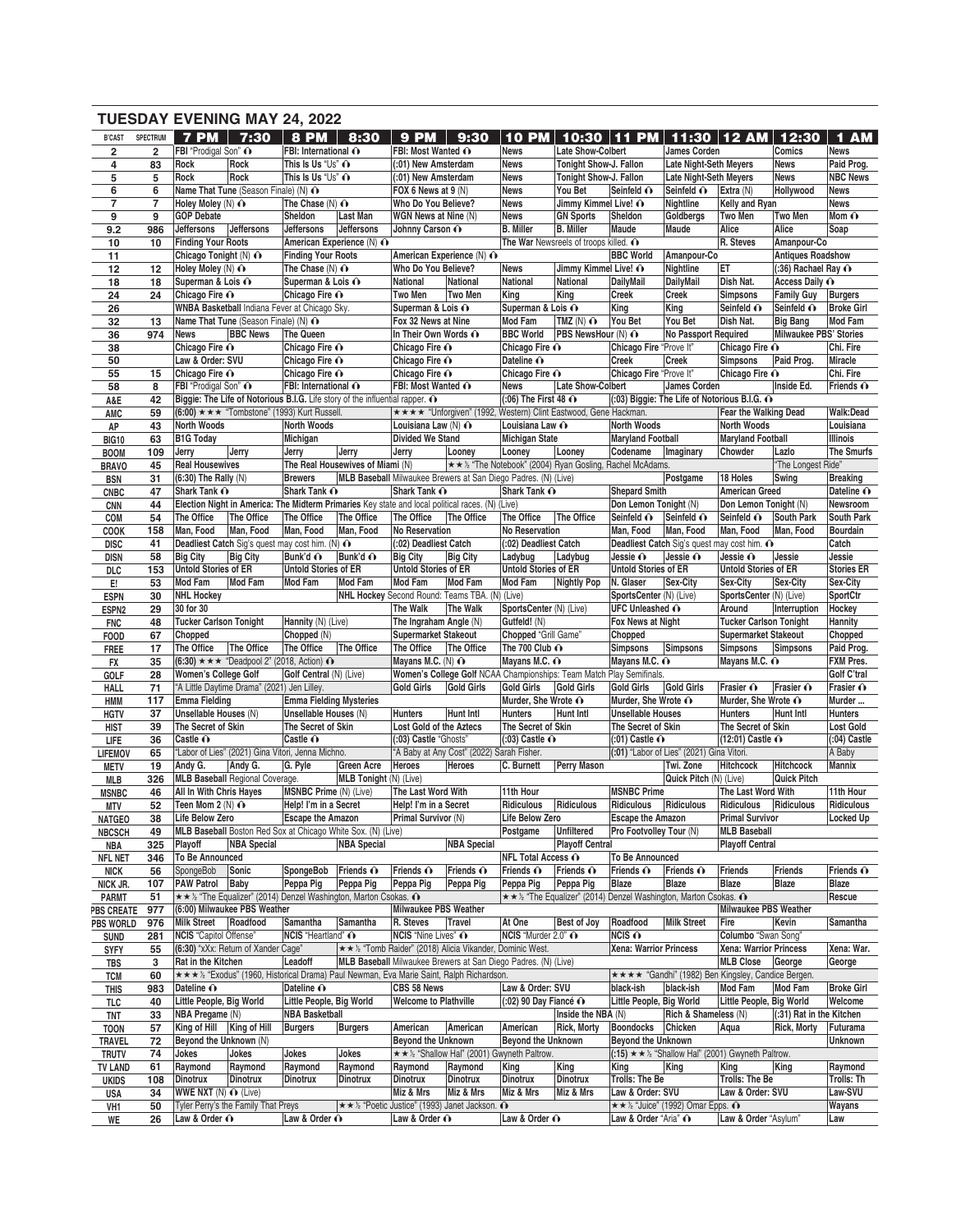|                            |                |                                         |                                                                | <b>TUESDAY EVENING MAY 24, 2022</b>                                                  |                                         |                                          |                                                                                                                                                             |                                          |                                                                  |                                          |                                                                |                                               |                               |                          |
|----------------------------|----------------|-----------------------------------------|----------------------------------------------------------------|--------------------------------------------------------------------------------------|-----------------------------------------|------------------------------------------|-------------------------------------------------------------------------------------------------------------------------------------------------------------|------------------------------------------|------------------------------------------------------------------|------------------------------------------|----------------------------------------------------------------|-----------------------------------------------|-------------------------------|--------------------------|
| <b>B'CAST</b>              | SPECTRUM       | $7$ PM $\parallel$                      | 7:30                                                           | <b>8 PM</b>                                                                          | 8:30                                    | <b>9 PM</b>                              | 9:30                                                                                                                                                        | <b>10 PM</b>                             | 10:30                                                            | <b>PM</b><br>11.                         |                                                                | 11:30   12 AM                                 | 12:30                         | 1 AM                     |
| $\overline{\mathbf{2}}$    | $\overline{2}$ | FBI "Prodigal Son" O                    |                                                                | FBI: International O                                                                 |                                         | FBI: Most Wanted $\odot$                 |                                                                                                                                                             | <b>News</b>                              | Late Show-Colbert                                                |                                          | James Corden                                                   |                                               | Comics                        | <b>News</b>              |
| 4                          | 83             | Rock                                    | Rock                                                           | This Is Us "Us" $\odot$                                                              |                                         | (:01) New Amsterdam                      |                                                                                                                                                             | <b>News</b>                              | Tonight Show-J. Fallon                                           |                                          | <b>Late Night-Seth Meyers</b>                                  |                                               | <b>News</b>                   | Paid Prog.               |
| 5                          | 5              | Rock                                    | Rock                                                           | This Is Us "Us" $\odot$                                                              |                                         | (:01) New Amsterdam                      |                                                                                                                                                             | <b>News</b>                              | Tonight Show-J. Fallon                                           |                                          | <b>Late Night-Seth Meyers</b>                                  |                                               | <b>News</b>                   | <b>NBC News</b>          |
| 6                          | 6              |                                         | Name That Tune (Season Finale) (N) ∩                           |                                                                                      |                                         | FOX 6 News at 9 (N)                      |                                                                                                                                                             | <b>News</b>                              | You Bet                                                          | Seinfeld O                               | Seinfeld O                                                     | Extra (N)                                     | Hollywood                     | <b>News</b>              |
| $\overline{7}$             | 7              | Holey Moley $(N)$ $\odot$               |                                                                | The Chase $(N)$ $\odot$                                                              |                                         | Who Do You Believe?                      |                                                                                                                                                             | <b>News</b>                              | Jimmy Kimmel Live! O                                             |                                          | Nightline                                                      | Kelly and Ryan                                |                               | <b>News</b>              |
| 9                          | 9              | <b>GOP Debate</b>                       |                                                                | Sheldon                                                                              | <b>Last Man</b>                         | WGN News at Nine (N)                     |                                                                                                                                                             | <b>News</b>                              | <b>GN Sports</b>                                                 | Sheldon                                  | Goldbergs                                                      | Two Men                                       | <b>Two Men</b>                | Mom $\mathbf{\Omega}$    |
| 9.2                        | 986<br>10      | Jeffersons<br><b>Finding Your Roots</b> | <b>Jeffersons</b>                                              | <b>Jeffersons</b>                                                                    | Jeffersons<br>American Experience (N) ∩ | Johnny Carson O                          |                                                                                                                                                             | <b>B.</b> Miller                         | <b>B.</b> Miller<br>The War Newsreels of troops killed. O        | Maude                                    | Maude                                                          | Alice<br>R. Steves                            | Alice<br>Amanpour-Co          | Soap                     |
| 10<br>11                   |                | Chicago Tonight $(N)$ $\odot$           |                                                                | <b>Finding Your Roots</b>                                                            |                                         |                                          | American Experience (N) ∩                                                                                                                                   |                                          |                                                                  | <b>BBC World</b>                         | Amanpour-Co                                                    |                                               | <b>Antiques Roadshow</b>      |                          |
| 12                         | 12             | Holey Moley $(N)$ $\odot$               |                                                                | The Chase $(N)$ $\odot$                                                              |                                         | Who Do You Believe?                      |                                                                                                                                                             | <b>News</b>                              | Jimmy Kimmel Live! O                                             |                                          | Nightline                                                      | EΤ                                            | $(.36)$ Rachael Ray $\odot$   |                          |
| 18                         | 18             | Superman & Lois $\odot$                 |                                                                | Superman & Lois ∩                                                                    |                                         | National                                 | National                                                                                                                                                    | <b>National</b>                          | National                                                         | <b>DailyMail</b>                         | DailyMail                                                      | Dish Nat.                                     | Access Daily O                |                          |
| 24                         | 24             | Chicago Fire O                          |                                                                | Chicago Fire O                                                                       |                                         | Two Men                                  | Two Men                                                                                                                                                     | King                                     | King                                                             | <b>Creek</b>                             | Creek                                                          | <b>Simpsons</b>                               | <b>Family Guy</b>             | <b>Burgers</b>           |
| 26                         |                |                                         |                                                                | WNBA Basketball Indiana Fever at Chicago Sky.                                        |                                         | Superman & Lois O                        |                                                                                                                                                             | Superman & Lois O                        |                                                                  | King                                     | King                                                           | Seinfeld O                                    | Seinfeld O                    | <b>Broke Girl</b>        |
| 32                         | 13             |                                         | Name That Tune (Season Finale) (N) ∩                           |                                                                                      |                                         | Fox 32 News at Nine                      |                                                                                                                                                             | <b>Mod Fam</b>                           | $TMZ(N)$ $\odot$                                                 | You Bet                                  | You Bet                                                        | Dish Nat.                                     | <b>Big Bang</b>               | <b>Mod Fam</b>           |
| 36                         | 974            | <b>News</b>                             | <b>BBC News</b>                                                | The Queen                                                                            |                                         | In Their Own Words O                     |                                                                                                                                                             | <b>BBC World</b>                         | PBS NewsHour (N) O                                               |                                          | No Passport Required                                           |                                               | <b>Milwaukee PBS' Stories</b> |                          |
| 38                         |                | Chicago Fire O                          |                                                                | Chicago Fire O                                                                       |                                         | Chicago Fire O                           |                                                                                                                                                             | Chicago Fire O                           |                                                                  | Chicago Fire "Prove It"                  |                                                                | Chicago Fire O                                |                               | Chi. Fire                |
| 50                         |                | Law & Order: SVU                        |                                                                | Chicago Fire O                                                                       |                                         | Chicago Fire O                           |                                                                                                                                                             | Dateline O                               |                                                                  | <b>Creek</b>                             | <b>Creek</b>                                                   | <b>Simpsons</b>                               | Paid Prog.                    | Miracle                  |
| 55                         | 15<br>8        | Chicago Fire O<br>FBI "Prodigal Son" O  |                                                                | Chicago Fire O<br>FBI: International O                                               |                                         | Chicago Fire O<br>FBI: Most Wanted O     |                                                                                                                                                             | Chicago Fire O<br><b>News</b>            | Late Show-Colbert                                                | Chicago Fire "Prove It"                  | James Corden                                                   | Chicago Fire O                                | Inside Ed.                    | Chi. Fire<br>Friends O   |
| 58<br>A&E                  | 42             |                                         |                                                                | Biggie: The Life of Notorious B.I.G. Life story of the influential rapper. $\odot$   |                                         |                                          |                                                                                                                                                             | $(0.06)$ The First 48 $\odot$            |                                                                  |                                          | $(0.03)$ Biggie: The Life of Notorious B.I.G. $\odot$          |                                               |                               |                          |
| AMC                        | 59             |                                         |                                                                | $(6:00)$ * * * "Tombstone" (1993) Kurt Russell.                                      |                                         |                                          | <b>★★★★ "Unforgiven" (1992, Western) Clint Eastwood, Gene Hackman.</b>                                                                                      |                                          |                                                                  |                                          |                                                                | Fear the Walking Dead                         |                               | <b>Walk:Dead</b>         |
| AP                         | 43             | North Woods                             |                                                                | <b>North Woods</b>                                                                   |                                         | Louisiana Law (N) O                      |                                                                                                                                                             | Louisiana Law O                          |                                                                  | North Woods                              |                                                                | <b>North Woods</b>                            |                               | Louisiana                |
| <b>BIG10</b>               | 63             | <b>B1G Today</b>                        |                                                                | Michigan                                                                             |                                         | <b>Divided We Stand</b>                  |                                                                                                                                                             | <b>Michigan State</b>                    |                                                                  | <b>Maryland Football</b>                 |                                                                | <b>Maryland Football</b>                      |                               | Illinois                 |
| <b>BOOM</b>                | 109            | Jerry                                   | Jerry                                                          | Jerry                                                                                | Jerry                                   | Jerry                                    | Looney                                                                                                                                                      | Looney                                   | Looney                                                           | Codename                                 | Imaginary                                                      | Chowder                                       | Lazlo                         | The Smurfs               |
| <b>BRAVO</b>               | 45             | <b>Real Housewives</b>                  |                                                                |                                                                                      | The Real Housewives of Miami (N)        |                                          |                                                                                                                                                             |                                          | ★★½ "The Notebook" (2004) Ryan Gosling, Rachel McAdams.          |                                          |                                                                |                                               | "The Longest Ride"            |                          |
| <b>BSN</b>                 | 31             | $(6:30)$ The Rally $(N)$                |                                                                | <b>Brewers</b>                                                                       |                                         |                                          | MLB Baseball Milwaukee Brewers at San Diego Padres. (N) (Live)                                                                                              |                                          |                                                                  |                                          | Postgame                                                       | 18 Holes                                      | Swing                         | <b>Breaking</b>          |
| <b>CNBC</b>                | 47             | Shark Tank O                            |                                                                | Shark Tank O                                                                         |                                         | Shark Tank O                             |                                                                                                                                                             | Shark Tank O                             |                                                                  | <b>Shepard Smith</b>                     |                                                                | <b>American Greed</b>                         |                               | Dateline O               |
| <b>CNN</b>                 | 44             |                                         |                                                                |                                                                                      |                                         |                                          | Election Night in America: The Midterm Primaries Key state and local political races. (N) (Live)                                                            |                                          |                                                                  | Don Lemon Tonight (N)                    |                                                                | Don Lemon Tonight (N)                         |                               | Newsroom                 |
| COM                        | 54             | The Office                              | The Office                                                     | The Office                                                                           | The Office                              | The Office                               | The Office                                                                                                                                                  | The Office                               | The Office                                                       | Seinfeld O                               | Seinfeld O                                                     | Seinfeld O                                    | <b>South Park</b>             | <b>South Park</b>        |
| <b>COOK</b>                | 158            | Man. Food                               | Man, Food                                                      | Man, Food                                                                            | Man, Food                               | No Reservation                           |                                                                                                                                                             | <b>No Reservation</b>                    |                                                                  | Man, Food                                | Man, Food                                                      | Man, Food                                     | Man, Food                     | <b>Bourdain</b><br>Catch |
| <b>DISC</b><br><b>DISN</b> | 41<br>58       | <b>Big City</b>                         | <b>Big City</b>                                                | Deadliest Catch Sig's quest may cost him. (N) $\odot$<br>Bunk'd ∩                    | Bunk'd ∩                                | (:02) Deadliest Catch<br><b>Big City</b> | <b>Big City</b>                                                                                                                                             | (:02) Deadliest Catch<br>Ladybug         | Ladybug                                                          | Jessie O                                 | Deadliest Catch Sig's quest may cost him. O<br>Jessie O        | Jessie O                                      | Jessie                        | Jessie                   |
| DLC                        | 153            | <b>Untold Stories of ER</b>             |                                                                | <b>Untold Stories of ER</b>                                                          |                                         | <b>Untold Stories of ER</b>              |                                                                                                                                                             | <b>Untold Stories of ER</b>              |                                                                  | <b>Untold Stories of ER</b>              |                                                                | <b>Untold Stories of ER</b>                   |                               | <b>Stories ER</b>        |
| Е.                         | 53             | <b>Mod Fam</b>                          | <b>Mod Fam</b>                                                 | Mod Fam                                                                              | Mod Fam                                 | <b>Mod Fam</b>                           | <b>Mod Fam</b>                                                                                                                                              | Mod Fam                                  | Nightly Pop                                                      | N. Glaser                                | Sex-City                                                       | Sex-City                                      | Sex-City                      | Sex-City                 |
| <b>ESPN</b>                | 30             | <b>NHL Hockey</b>                       |                                                                |                                                                                      |                                         |                                          | NHL Hockey Second Round: Teams TBA. (N) (Live)                                                                                                              |                                          |                                                                  | SportsCenter (N) (Live)                  |                                                                | SportsCenter (N) (Live)                       |                               | SportCtr                 |
| ESPN <sub>2</sub>          | 29             | 30 for 30                               |                                                                |                                                                                      |                                         | <b>The Walk</b>                          | The Walk                                                                                                                                                    | SportsCenter (N) (Live)                  |                                                                  | <b>UFC Unleashed O</b>                   |                                                                | Around                                        | Interruption                  | Hockey                   |
| <b>FNC</b>                 | 48             | <b>Tucker Carlson Tonight</b>           |                                                                | Hannity (N) (Live)                                                                   |                                         | The Ingraham Angle (N)                   |                                                                                                                                                             | Gutfeld! (N)                             |                                                                  | Fox News at Night                        |                                                                | <b>Tucker Carlson Tonight</b>                 |                               | Hannity                  |
| <b>FOOD</b>                | 67             | Chopped                                 |                                                                | Chopped (N)                                                                          |                                         | <b>Supermarket Stakeout</b>              |                                                                                                                                                             | Chopped "Grill Game"                     |                                                                  | Chopped                                  |                                                                | <b>Supermarket Stakeout</b>                   |                               | Chopped                  |
| <b>FREE</b>                | 17             | The Office                              | The Office                                                     | The Office                                                                           | The Office                              | The Office                               | The Office                                                                                                                                                  | The 700 Club O                           |                                                                  | <b>Simpsons</b>                          | Simpsons                                                       | <b>Simpsons</b>                               | Simpsons                      | Paid Prog.               |
| FX                         | 35             |                                         | $(6:30) \star \star \star$ "Deadpool 2" (2018, Action) $\odot$ |                                                                                      |                                         | Mayans M.C. (N) O                        |                                                                                                                                                             | Mayans M.C. ∩                            |                                                                  | Mayans M.C. O                            |                                                                | Mayans M.C. O                                 |                               | FXM Pres.                |
| GOLF                       | 28             | Women's College Golf                    | "A Little Daytime Drama" (2021) Jen Lilley.                    | Golf Central (N) (Live)                                                              |                                         |                                          | Women's College Golf NCAA Championships: Team Match Play Semifinals.                                                                                        |                                          |                                                                  |                                          |                                                                |                                               |                               | Golf C'tral              |
| HALL                       | 71<br>117      | Emma Fielding                           |                                                                | <b>Emma Fielding Mysteries</b>                                                       |                                         | <b>Gold Girls</b>                        | Gold Girls                                                                                                                                                  | <b>Gold Girls</b><br>Murder, She Wrote ∩ | Gold Girls                                                       | <b>Gold Girls</b><br>Murder, She Wrote O | <b>Gold Girls</b>                                              | Frasier O<br>Murder, She Wrote O              | Frasier O                     | Frasier O<br>Murder      |
| HMM<br><b>HGTV</b>         | 37             | Unsellable Houses (N)                   |                                                                | Unsellable Houses (N)                                                                |                                         | <b>Hunters</b>                           | <b>Hunt Intl</b>                                                                                                                                            | <b>Hunters</b>                           | <b>Hunt Intl</b>                                                 | <b>Unsellable Houses</b>                 |                                                                | <b>Hunters</b>                                | <b>Hunt Intl</b>              | <b>Hunters</b>           |
| <b>HIST</b>                | 39             | The Secret of Skin                      |                                                                | The Secret of Skin                                                                   |                                         | Lost Gold of the Aztecs                  |                                                                                                                                                             | The Secret of Skin                       |                                                                  | The Secret of Skin                       |                                                                | The Secret of Skin                            |                               | <b>Lost Gold</b>         |
| <b>LIFE</b>                | 36             | Castle O                                |                                                                | Castle O                                                                             |                                         | (:03) Castle "Ghosts"                    |                                                                                                                                                             | $(.03)$ Castle $\odot$                   |                                                                  | $(.01)$ Castle $\odot$                   |                                                                | (12:01) Castle ∩                              |                               | $(.04)$ Castle           |
| <b>LIFEMOV</b>             | 65             |                                         |                                                                | "Labor of Lies" (2021) Gina Vitori, Jenna Michno.                                    |                                         |                                          | "A Baby at Any Cost" (2022) Sarah Fisher.                                                                                                                   |                                          |                                                                  |                                          | (:01) "Labor of Lies" (2021) Gina Vitori.                      |                                               |                               | A Baby                   |
| <b>METV</b>                | 19             |                                         | Andy G. Andy G. G. Pyle                                        |                                                                                      | Green Acre Heroes Heroes                |                                          |                                                                                                                                                             |                                          | C. Burnett Perry Mason Twi. Zone                                 |                                          |                                                                | Hitchcock Hitchcock                           |                               | Mannix                   |
| MLB                        | 326            |                                         | <b>MLB Baseball Regional Coverage.</b>                         |                                                                                      | MLB Tonight (N) (Live)                  |                                          |                                                                                                                                                             |                                          |                                                                  |                                          | Quick Pitch (N) (Live)                                         |                                               | Quick Pitch                   |                          |
| <b>MSNBC</b>               | 46             | <b>All In With Chris Hayes</b>          |                                                                | MSNBC Prime (N) (Live)                                                               |                                         | The Last Word With                       |                                                                                                                                                             | 11th Hour                                |                                                                  | <b>MSNBC Prime</b>                       |                                                                | The Last Word With                            |                               | 11th Hour                |
| MTV                        | 52             | Teen Mom 2 $(N)$ $\odot$                |                                                                | Help! I'm in a Secret                                                                |                                         | Help! I'm in a Secret                    |                                                                                                                                                             | Ridiculous                               | Ridiculous                                                       | Ridiculous                               | Ridiculous                                                     | Ridiculous                                    | Ridiculous                    | Ridiculous               |
| <b>NATGEO</b>              | 38             | Life Below Zero                         |                                                                | <b>Escape the Amazon</b>                                                             |                                         | Primal Survivor (N)                      |                                                                                                                                                             | Life Below Zero                          | <b>Unfiltered</b>                                                | <b>Escape the Amazon</b>                 |                                                                | <b>Primal Survivor</b>                        |                               | Locked Up                |
| <b>NBCSCH</b><br>NBA       | 49<br>325      | Playoff                                 | <b>NBA Special</b>                                             | MLB Baseball Boston Red Sox at Chicago White Sox. (N) (Live)                         | <b>NBA Special</b>                      |                                          | <b>NBA Special</b>                                                                                                                                          | Postgame                                 | <b>Playoff Central</b>                                           | Pro Footvolley Tour (N)                  |                                                                | <b>MLB Baseball</b><br><b>Playoff Central</b> |                               |                          |
| <b>NFL NET</b>             | 346            | To Be Announced                         |                                                                |                                                                                      |                                         |                                          |                                                                                                                                                             | NFL Total Access ∩                       |                                                                  | To Be Announced                          |                                                                |                                               |                               |                          |
| <b>NICK</b>                | 56             | SpongeBob Sonic                         |                                                                | SpongeBob                                                                            | Friends O                               | Friends $\odot$                          | Friends $\odot$                                                                                                                                             | Friends $\odot$                          | Friends O                                                        | Friends $\mathbf{\odot}$                 | Friends $\odot$                                                | <b>Friends</b>                                | <b>Friends</b>                | Friends O                |
| NICK JR.                   | 107            | PAW Patrol Baby                         |                                                                | Peppa Pig                                                                            | Peppa Pig                               | Peppa Pig                                | Peppa Pig                                                                                                                                                   | Peppa Pig                                | Peppa Pig                                                        | Blaze                                    | Blaze                                                          | Blaze                                         | <b>Blaze</b>                  | Blaze                    |
| <b>PARMT</b>               | 51             |                                         |                                                                | $\star \star \cdot$ "The Equalizer" (2014) Denzel Washington, Marton Csokas. $\odot$ |                                         |                                          |                                                                                                                                                             |                                          | ★ ★ ½ "The Equalizer" (2014) Denzel Washington, Marton Csokas. ^ |                                          |                                                                |                                               |                               | Rescue                   |
| <b>PBS CREATE</b>          | 977            |                                         | (6:00) Milwaukee PBS Weather                                   |                                                                                      |                                         | Milwaukee PBS Weather                    |                                                                                                                                                             |                                          |                                                                  |                                          |                                                                | <b>Milwaukee PBS Weather</b>                  |                               |                          |
| <b>PBS WORLD</b>           | 976            | Milk Street   Roadfood                  |                                                                | Samantha                                                                             | Samantha                                | R. Steves                                | Travel                                                                                                                                                      | At One                                   | <b>Best of Joy</b>                                               | Roadfood                                 | <b>Milk Street</b>                                             | Fire                                          | Kevin                         | Samantha                 |
| <b>SUND</b>                | 281            | NCIS "Capitol Offense"                  |                                                                | NCIS "Heartland" ∩                                                                   |                                         | <b>NCIS</b> "Nine Lives" O               |                                                                                                                                                             | NCIS "Murder 2.0" O                      |                                                                  | $NCIS$ $\odot$                           |                                                                | Columbo "Swan Song"                           |                               |                          |
| <b>SYFY</b>                | 55             |                                         | (6:30) "xXx: Return of Xander Cage"                            |                                                                                      |                                         |                                          | <b>★★ ½ "Tomb Raider" (2018) Alicia Vikander, Dominic West.</b>                                                                                             |                                          |                                                                  | <b>Xena: Warrior Princess</b>            |                                                                | Xena: Warrior Princess                        |                               | Xena: War.               |
| TBS                        | 3              | Rat in the Kitchen                      |                                                                | Leadoff                                                                              |                                         |                                          | MLB Baseball Milwaukee Brewers at San Diego Padres. (N) (Live)<br>* * * ½ "Exodus" (1960, Historical Drama) Paul Newman, Eva Marie Saint, Ralph Richardson. |                                          |                                                                  |                                          | ★★★★ "Gandhi" (1982) Ben Kingsley, Candice Bergen.             | MLB Close   George                            |                               | George                   |
| <b>TCM</b>                 | 60<br>983      | Dateline O                              |                                                                | Dateline O                                                                           |                                         | CBS 58 News                              |                                                                                                                                                             | Law & Order: SVU                         |                                                                  | black-ish                                | black-ish                                                      | Mod Fam                                       | <b>Mod Fam</b>                | <b>Broke Girl</b>        |
| <b>THIS</b><br>TLC         | 40             | Little People, Big World                |                                                                | Little People, Big World                                                             |                                         | <b>Welcome to Plathville</b>             |                                                                                                                                                             | $(.02)$ 90 Day Fiancé $\odot$            |                                                                  | Little People, Big World                 |                                                                | Little People, Big World                      |                               | Welcome                  |
| TNT                        | 33             | NBA Pregame (N)                         |                                                                | <b>NBA Basketball</b>                                                                |                                         |                                          |                                                                                                                                                             |                                          | Inside the NBA (N)                                               |                                          | Rich & Shameless (N)                                           |                                               | (:31) Rat in the Kitchen      |                          |
| <b>TOON</b>                | 57             | King of Hill King of Hill               |                                                                | <b>Burgers</b>                                                                       | <b>Burgers</b>                          | American                                 | American                                                                                                                                                    | American                                 | <b>Rick, Morty</b>                                               | Boondocks Chicken                        |                                                                | Aqua                                          | <b>Rick, Morty</b>            | Futurama                 |
| TRAVEL                     | 72             | Beyond the Unknown (N)                  |                                                                |                                                                                      |                                         | Beyond the Unknown                       |                                                                                                                                                             | Beyond the Unknown                       |                                                                  | <b>Beyond the Unknown</b>                |                                                                |                                               |                               | <b>Unknown</b>           |
| <b>TRUTV</b>               | 74             | Jokes                                   | Jokes                                                          | Jokes                                                                                | Jokes                                   |                                          | ★ ★ ½ "Shallow Hal" (2001) Gwyneth Paltrow.                                                                                                                 |                                          |                                                                  |                                          | $(15)$ * * $\frac{1}{2}$ "Shallow Hal" (2001) Gwyneth Paltrow. |                                               |                               |                          |
| <b>TV LAND</b>             | 61             | Raymond                                 | Raymond                                                        | Raymond                                                                              | Raymond                                 | Raymond                                  | Raymond                                                                                                                                                     | King                                     | King                                                             | King                                     | King                                                           | King                                          | King                          | Raymond                  |
| <b>UKIDS</b>               | 108            | Dinotrux                                | <b>Dinotrux</b>                                                | <b>Dinotrux</b>                                                                      | Dinotrux                                | <b>Dinotrux</b>                          | <b>Dinotrux</b>                                                                                                                                             | <b>Dinotrux</b>                          | Dinotrux                                                         | Trolls: The Be                           |                                                                | Trolls: The Be                                |                               | Trolls: Th               |
| USA                        | 34             | WWE NXT (N) $\odot$ (Live)              |                                                                |                                                                                      |                                         | Miz & Mrs                                | Miz & Mrs                                                                                                                                                   | Miz & Mrs                                | Miz & Mrs                                                        | Law & Order: SVU                         |                                                                | Law & Order: SVU                              |                               | Law-SVU                  |
| VH1<br>WE                  | 50<br>26       | Law & Order O                           | Tyler Perry's the Family That Preys                            | Law & Order O                                                                        |                                         | Law & Order $\hat{\mathbf{O}}$           | <b>★★½</b> "Poetic Justice" (1993) Janet Jackson. $\Omega$                                                                                                  | Law & Order $\odot$                      |                                                                  | Law & Order "Aria" O                     | $\star \star \star$ "Juice" (1992) Omar Epps. $\bullet$        | Law & Order "Asylum"                          |                               | Wayans<br>Law            |
|                            |                |                                         |                                                                |                                                                                      |                                         |                                          |                                                                                                                                                             |                                          |                                                                  |                                          |                                                                |                                               |                               |                          |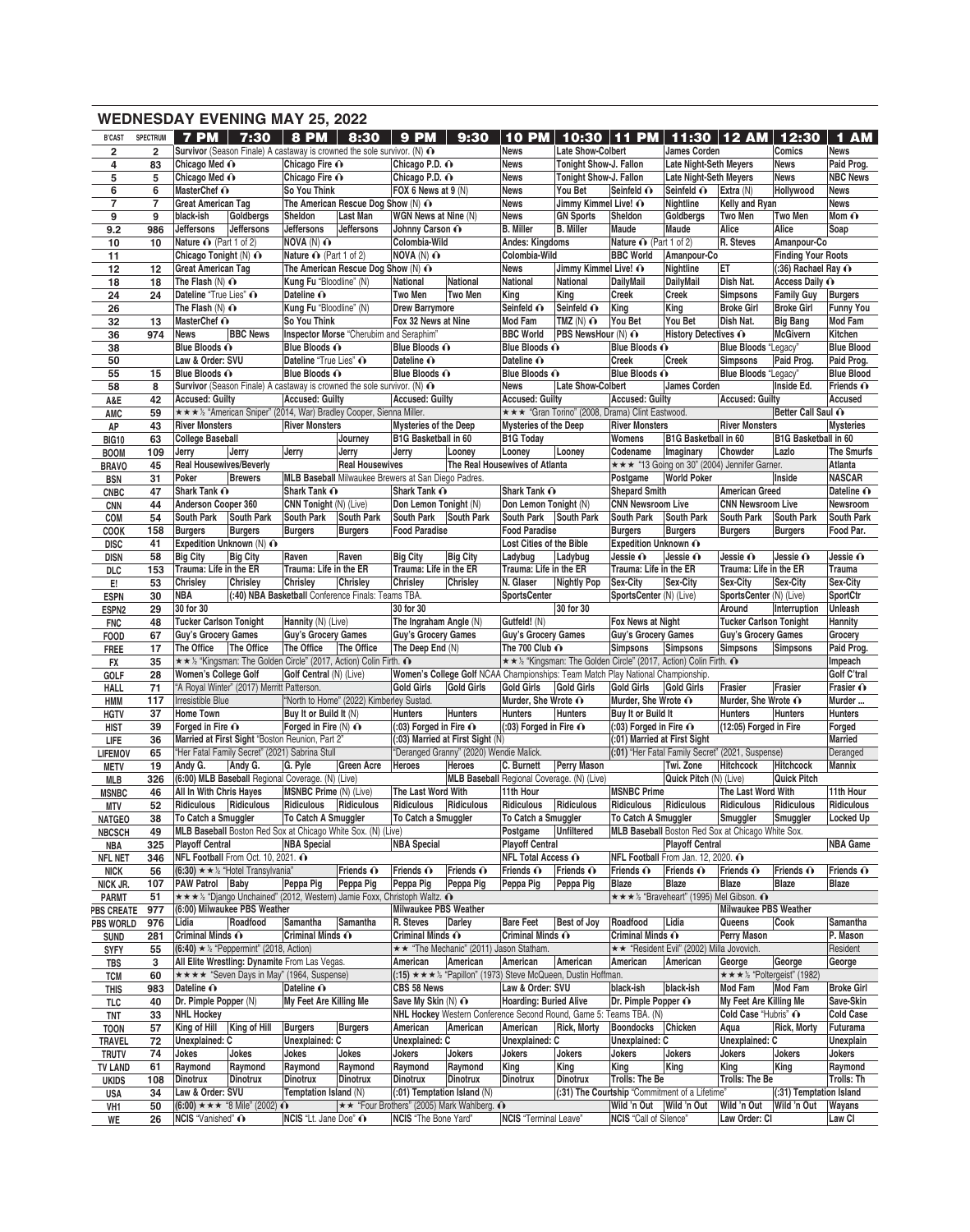|                            |                 |                                                                                     | <b>WEDNESDAY EVENING MAY 25, 2022</b> |                                          |                                                                                     |                                                             |                                         |                                                         |                                                                                 |                                                                  |                                              |                                                |                             |                                 |
|----------------------------|-----------------|-------------------------------------------------------------------------------------|---------------------------------------|------------------------------------------|-------------------------------------------------------------------------------------|-------------------------------------------------------------|-----------------------------------------|---------------------------------------------------------|---------------------------------------------------------------------------------|------------------------------------------------------------------|----------------------------------------------|------------------------------------------------|-----------------------------|---------------------------------|
| <b>B'CAST</b>              | <b>SPECTRUM</b> | <b>7 PM</b>                                                                         | 7:30                                  | <b>8 PM</b>                              | 8:30                                                                                | <b>9 PM</b>                                                 | 9:30                                    | 10<br><b>PM</b>                                         | 10:30                                                                           | <b>PM</b><br>11                                                  | 11:30                                        | 12AM                                           | 12:30                       | <b>AM</b><br>1                  |
| $\overline{\mathbf{2}}$    | $\overline{2}$  |                                                                                     |                                       |                                          | Survivor (Season Finale) A castaway is crowned the sole survivor. (N) $\odot$       |                                                             |                                         | <b>News</b>                                             | Late Show-Colbert                                                               |                                                                  | <b>James Corden</b>                          |                                                | Comics                      | <b>News</b>                     |
| 4                          | 83              | Chicago Med ∩                                                                       |                                       | Chicago Fire O                           |                                                                                     | Chicago P.D. o                                              |                                         | <b>News</b>                                             | Tonight Show-J. Fallon                                                          |                                                                  | <b>Late Night-Seth Meyers</b>                |                                                | <b>News</b>                 | Paid Prog.                      |
| 5                          | 5               | Chicago Med O                                                                       |                                       | Chicago Fire O                           |                                                                                     | Chicago P.D. o                                              |                                         | <b>News</b>                                             | Tonight Show-J. Fallon                                                          |                                                                  | <b>Late Night-Seth Meyers</b>                |                                                | <b>News</b>                 | <b>NBC News</b>                 |
| 6                          | 6               | MasterChef O                                                                        |                                       | So You Think                             |                                                                                     | FOX 6 News at 9 (N)                                         |                                         | <b>News</b>                                             | You Bet                                                                         | Seinfeld O                                                       | Seinfeld O                                   | Extra (N)                                      | Hollywood                   | <b>News</b>                     |
| $\overline{7}$             | $\overline{7}$  | <b>Great American Tag</b>                                                           |                                       |                                          | The American Rescue Dog Show (N) O                                                  |                                                             |                                         | <b>News</b>                                             | Jimmy Kimmel Live! O                                                            |                                                                  | Nightline                                    | Kelly and Ryan                                 |                             | <b>News</b>                     |
| 9<br>9.2                   | 9<br>986        | black-ish<br>Jeffersons                                                             | Goldbergs<br><b>Jeffersons</b>        | Sheldon<br>Jeffersons                    | Last Man<br>Jeffersons                                                              | WGN News at Nine (N)<br>Johnny Carson O                     |                                         | <b>News</b><br><b>B.</b> Miller                         | <b>GN Sports</b><br><b>B.</b> Miller                                            | Sheldon<br>Maude                                                 | Goldbergs<br>Maude                           | Two Men<br>Alice                               | <b>Two Men</b><br>Alice     | Mom $\mathbf{\odot}$<br>Soap    |
| 10                         | 10              | Nature O (Part 1 of 2)                                                              |                                       | $NOVA$ (N) $\odot$                       |                                                                                     | Colombia-Wild                                               |                                         | Andes: Kingdoms                                         |                                                                                 | Nature $\odot$ (Part 1 of 2)                                     |                                              | R. Steves                                      | Amanpour-Co                 |                                 |
| 11                         |                 | Chicago Tonight (N) ∩                                                               |                                       | Nature $\odot$ (Part 1 of 2)             |                                                                                     | $NOVA$ (N) $\odot$                                          |                                         | Colombia-Wild                                           |                                                                                 | <b>BBC World</b>                                                 | Amanpour-Co                                  |                                                | <b>Finding Your Roots</b>   |                                 |
| 12                         | 12              | <b>Great American Tag</b>                                                           |                                       |                                          | The American Rescue Dog Show (N) O                                                  |                                                             |                                         | <b>News</b>                                             | Jimmy Kimmel Live! O                                                            |                                                                  | Nightline                                    | ET                                             | $(.36)$ Rachael Ray $\odot$ |                                 |
| 18                         | 18              | The Flash $(N)$ $\odot$                                                             |                                       | Kung Fu "Bloodline" (N)                  |                                                                                     | National                                                    | National                                | National                                                | National                                                                        | <b>DailyMail</b>                                                 | <b>DailvMail</b>                             | Dish Nat.                                      | Access Daily O              |                                 |
| 24                         | 24              | Dateline "True Lies" O                                                              |                                       | Dateline O                               |                                                                                     | <b>Two Men</b>                                              | Two Men                                 | King                                                    | King                                                                            | <b>Creek</b>                                                     | Creek                                        | <b>Simpsons</b>                                | <b>Family Guy</b>           | Burgers                         |
| 26                         |                 | The Flash $(N)$ $\odot$                                                             |                                       | Kung Fu "Bloodline" (N)                  |                                                                                     | <b>Drew Barrymore</b>                                       |                                         | Seinfeld O                                              | Seinfeld O                                                                      | King                                                             | King                                         | <b>Broke Girl</b>                              | <b>Broke Girl</b>           | <b>Funny You</b>                |
| 32                         | 13              | MasterChef O                                                                        |                                       | So You Think                             |                                                                                     | Fox 32 News at Nine                                         |                                         | Mod Fam                                                 | $TMZ(N)$ $\odot$                                                                | You Bet                                                          | You Bet                                      | Dish Nat.                                      | <b>Big Bang</b>             | Mod Fam                         |
| 36                         | 974             | <b>News</b>                                                                         | <b>BBC News</b>                       |                                          | Inspector Morse "Cherubim and Seraphim"                                             |                                                             |                                         | <b>BBC World</b>                                        | PBS NewsHour (N) O                                                              |                                                                  | History Detectives O                         |                                                | <b>McGivern</b>             | Kitchen                         |
| 38                         |                 | Blue Bloods O<br>Law & Order: SVU                                                   |                                       | Blue Bloods O<br>Dateline "True Lies" O  |                                                                                     | Blue Bloods O<br>Dateline O                                 |                                         | Blue Bloods O<br>Dateline O                             |                                                                                 | Blue Bloods O<br><b>Creek</b>                                    | <b>Creek</b>                                 | <b>Blue Bloods "Legacy"</b><br><b>Simpsons</b> | Paid Prog.                  | <b>Blue Blood</b><br>Paid Prog. |
| 50<br>55                   | 15              | Blue Bloods O                                                                       |                                       | Blue Bloods O                            |                                                                                     | Blue Bloods O                                               |                                         | Blue Bloods O                                           |                                                                                 | Blue Bloods O                                                    |                                              | <b>Blue Bloods "Legacy"</b>                    |                             | <b>Blue Blood</b>               |
| 58                         | 8               |                                                                                     |                                       |                                          | Survivor (Season Finale) A castaway is crowned the sole survivor. (N) $\odot$       |                                                             |                                         | <b>News</b>                                             | <b>Late Show-Colbert</b>                                                        |                                                                  | James Corden                                 |                                                | Inside Ed.                  | Friends O                       |
| A&E                        | 42              | <b>Accused: Guilty</b>                                                              |                                       | <b>Accused: Guilty</b>                   |                                                                                     | <b>Accused: Guilty</b>                                      |                                         | <b>Accused: Guilty</b>                                  |                                                                                 | <b>Accused: Guilty</b>                                           |                                              | <b>Accused: Guilty</b>                         |                             | Accused                         |
| AMC                        | 59              | ★ ★ ★ ½ "American Sniper" (2014, War) Bradley Cooper, Sienna Miller.                |                                       |                                          |                                                                                     |                                                             |                                         |                                                         | ★★★ "Gran Torino" (2008, Drama) Clint Eastwood.                                 |                                                                  |                                              |                                                | Better Call Saul O          |                                 |
| AP                         | 43              | <b>River Monsters</b>                                                               |                                       | <b>River Monsters</b>                    |                                                                                     | <b>Mysteries of the Deep</b>                                |                                         | <b>Mysteries of the Deep</b>                            |                                                                                 | <b>River Monsters</b>                                            |                                              | <b>River Monsters</b>                          |                             | <b>Mysteries</b>                |
| <b>BIG10</b>               | 63              | <b>College Baseball</b>                                                             |                                       |                                          | Journey                                                                             | B1G Basketball in 60                                        |                                         | <b>B1G Today</b>                                        |                                                                                 | Womens                                                           | <b>B1G Basketball in 60</b>                  |                                                | B1G Basketball in 60        |                                 |
| <b>BOOM</b>                | 109             | Jerry                                                                               | Jerry                                 | Jerry                                    | Jerry                                                                               | Jerry                                                       | Looney                                  | Looney                                                  | Looney                                                                          | Codename                                                         | Imaginary                                    | Chowder                                        | Lazlo                       | The Smurfs                      |
| <b>BRAVO</b>               | 45              | <b>Real Housewives/Beverly</b>                                                      |                                       |                                          | <b>Real Housewives</b>                                                              |                                                             |                                         | The Real Housewives of Atlanta                          |                                                                                 |                                                                  | *** "13 Going on 30" (2004) Jennifer Garner. |                                                |                             | Atlanta                         |
| <b>BSN</b>                 | 31              | Poker                                                                               | <b>Brewers</b>                        |                                          | MLB Baseball Milwaukee Brewers at San Diego Padres.                                 |                                                             |                                         |                                                         |                                                                                 | Postgame                                                         | <b>World Poker</b>                           |                                                | Inside                      | <b>NASCAR</b>                   |
| <b>CNBC</b>                | 47              | Shark Tank O                                                                        |                                       | Shark Tank O                             |                                                                                     | Shark Tank $\odot$                                          |                                         | Shark Tank O                                            |                                                                                 | <b>Shepard Smith</b>                                             |                                              | <b>American Greed</b>                          |                             | Dateline O                      |
| <b>CNN</b>                 | 44              | Anderson Cooper 360                                                                 |                                       | CNN Tonight (N) (Live)                   |                                                                                     | Don Lemon Tonight (N)                                       |                                         | Don Lemon Tonight (N)<br><b>South Park</b>              | South Park                                                                      | <b>CNN Newsroom Live</b>                                         |                                              | <b>CNN Newsroom Live</b>                       | South Park                  | Newsroom                        |
| COM<br><b>COOK</b>         | 54<br>158       | South Park<br><b>Burgers</b>                                                        | <b>South Park</b><br><b>Burgers</b>   | <b>South Park</b><br><b>Burgers</b>      | South Park<br><b>Burgers</b>                                                        | South Park South Park<br><b>Food Paradise</b>               |                                         | <b>Food Paradise</b>                                    |                                                                                 | South Park<br><b>Burgers</b>                                     | South Park<br><b>Burgers</b>                 | South Park<br><b>Burgers</b>                   | <b>Burgers</b>              | <b>South Park</b><br>Food Par.  |
| <b>DISC</b>                | 41              | Expedition Unknown (N) O                                                            |                                       |                                          |                                                                                     |                                                             |                                         | Lost Cities of the Bible                                |                                                                                 | Expedition Unknown O                                             |                                              |                                                |                             |                                 |
| <b>DISN</b>                | 58              | <b>Big City</b>                                                                     | <b>Big City</b>                       | Raven                                    | Raven                                                                               | <b>Big City</b>                                             | <b>Big City</b>                         | Ladybug                                                 | Ladybug                                                                         | Jessie O                                                         | Jessie O                                     | Jessie O                                       | Jessie O                    | Jessie O                        |
| DLC                        | 153             | Trauma: Life in the ER                                                              |                                       | Trauma: Life in the ER                   |                                                                                     | Trauma: Life in the ER                                      |                                         | Trauma: Life in the ER                                  |                                                                                 | Trauma: Life in the ER                                           |                                              | Trauma: Life in the ER                         |                             | Trauma                          |
| E!                         | 53              | Chrisley                                                                            | Chrisley                              | Chrisley                                 | Chrisley                                                                            | Chrisley                                                    | Chrisley                                | N. Glaser                                               | Nightly Pop                                                                     | Sex-City                                                         | Sex-City                                     | Sex-City                                       | Sex-City                    | Sex-City                        |
| <b>ESPN</b>                | 30              | NBA                                                                                 |                                       |                                          | (:40) NBA Basketball Conference Finals: Teams TBA.                                  |                                                             |                                         | <b>SportsCenter</b>                                     |                                                                                 | SportsCenter (N) (Live)                                          |                                              | SportsCenter (N) (Live)                        |                             | SportCtr                        |
| ESPN <sub>2</sub>          | 29              | 30 for 30                                                                           |                                       |                                          |                                                                                     | 30 for 30                                                   |                                         |                                                         | 30 for 30                                                                       |                                                                  |                                              | Around                                         | Interruption                | Unleash                         |
| <b>FNC</b>                 | 48              | <b>Tucker Carlson Tonight</b>                                                       |                                       | Hannity (N) (Live)                       |                                                                                     | The Ingraham Angle (N)                                      |                                         | Gutfeld! (N)                                            |                                                                                 | Fox News at Night                                                |                                              | <b>Tucker Carlson Tonight</b>                  |                             | Hannity                         |
| <b>FOOD</b>                | 67              | Guy's Grocery Games                                                                 |                                       | Guy's Grocery Games<br>The Office        |                                                                                     | Guy's Grocery Games                                         |                                         | <b>Guy's Grocery Games</b>                              |                                                                                 | Guy's Grocery Games                                              |                                              | Guy's Grocery Games                            |                             | Grocery<br>Paid Prog.           |
| <b>FREE</b>                | 17<br>35        | The Office                                                                          | The Office                            |                                          | The Office<br>★★½ "Kingsman: The Golden Circle" (2017, Action) Colin Firth. ^       | The Deep End (N)                                            |                                         | The 700 Club $\odot$                                    | ★★½ "Kingsman: The Golden Circle" (2017, Action) Colin Firth. $\odot$           | <b>Simpsons</b>                                                  | Simpsons                                     | <b>Simpsons</b>                                | Simpsons                    | Impeach                         |
| FX<br><b>GOLF</b>          | 28              | Women's College Golf                                                                |                                       | Golf Central (N) (Live)                  |                                                                                     |                                                             |                                         |                                                         | Women's College Golf NCAA Championships: Team Match Play National Championship. |                                                                  |                                              |                                                |                             | Golf C'tral                     |
| HALL                       | 71              | "A Royal Winter" (2017) Merritt Patterson.                                          |                                       |                                          |                                                                                     | <b>Gold Girls</b>                                           | <b>Gold Girls</b>                       | <b>Gold Girls</b>                                       | Gold Girls                                                                      | <b>Gold Girls</b>                                                | <b>Gold Girls</b>                            | Frasier                                        | <b>Frasier</b>              | Frasier O                       |
| HMM                        | 117             | Irresistible Blue                                                                   |                                       |                                          | "North to Home" (2022) Kimberley Sustad.                                            |                                                             |                                         | Murder, She Wrote ∩                                     |                                                                                 | Murder, She Wrote ∩                                              |                                              | Murder, She Wrote O                            |                             | Murder                          |
| <b>HGTV</b>                | 37              | <b>Home Town</b>                                                                    |                                       | Buy It or Build It (N)                   |                                                                                     | <b>Hunters</b>                                              | <b>Hunters</b>                          | <b>Hunters</b>                                          | Hunters                                                                         | Buy It or Build It                                               |                                              | <b>Hunters</b>                                 | <b>Hunters</b>              | <b>Hunters</b>                  |
| <b>HIST</b>                | 39              | Forged in Fire O                                                                    |                                       | Forged in Fire $(N)$ $\odot$             |                                                                                     | $(0.03)$ Forged in Fire $\odot$                             |                                         | $(.03)$ Forged in Fire $\odot$                          |                                                                                 | (:03) Forged in Fire $\odot$                                     |                                              | (12:05) Forged in Fire                         |                             | Forged                          |
| LIFE                       | 36              | Married at First Sight "Boston Reunion, Part 2"                                     |                                       |                                          |                                                                                     |                                                             | (:03) Married at First Sight (N)        |                                                         |                                                                                 | (:01) Married at First Sight                                     |                                              |                                                |                             | <b>Married</b>                  |
| <b>LIFEMOV</b>             | 65              | "Her Fatal Family Secret" (2021) Sabrina Stull                                      |                                       |                                          |                                                                                     | "Deranged Granny" (2020) Wendie Malick.                     |                                         |                                                         |                                                                                 | (:01) "Her Fatal Family Secret" (2021, Suspense)                 |                                              |                                                |                             | Deranged                        |
| <b>METV</b>                | 19              | Andy G. Andy G. G. Pyle                                                             |                                       |                                          | Green Acre Heroes Heroes                                                            |                                                             |                                         |                                                         | C. Burnett Perry Mason   Twi. Zone   Hitchcock   Hitchcock                      |                                                                  |                                              |                                                |                             | Mannix                          |
| MLB                        | 326<br>46       | (6:00) MLB Baseball Regional Coverage. (N) (Live)<br><b>All In With Chris Hayes</b> |                                       | MSNBC Prime (N) (Live)                   |                                                                                     | The Last Word With                                          |                                         | MLB Baseball Regional Coverage. (N) (Live)<br>11th Hour |                                                                                 | <b>MSNBC Prime</b>                                               | Quick Pitch (N) (Live)                       | The Last Word With                             | Quick Pitch                 | 11th Hour                       |
| <b>MSNBC</b><br>MTV        | 52              | Ridiculous Ridiculous                                                               |                                       | Ridiculous                               | Ridiculous                                                                          | Ridiculous                                                  | Ridiculous                              | Ridiculous                                              | Ridiculous                                                                      | Ridiculous                                                       | Ridiculous                                   | Ridiculous                                     | Ridiculous                  | Ridiculous                      |
| <b>NATGEO</b>              | 38              | To Catch a Smuggler                                                                 |                                       | To Catch A Smuggler                      |                                                                                     | To Catch a Smuggler                                         |                                         | To Catch a Smuggler                                     |                                                                                 | To Catch A Smuggler                                              |                                              | Smuggler                                       | Smuggler                    | Locked Up                       |
| <b>NBCSCH</b>              | 49              | MLB Baseball Boston Red Sox at Chicago White Sox. (N) (Live)                        |                                       |                                          |                                                                                     |                                                             |                                         | Postgame                                                | Unfiltered                                                                      | MLB Baseball Boston Red Sox at Chicago White Sox.                |                                              |                                                |                             |                                 |
| NBA                        | 325             | <b>Playoff Central</b>                                                              |                                       | <b>NBA Special</b>                       |                                                                                     | <b>NBA Special</b>                                          |                                         | <b>Playoff Central</b>                                  |                                                                                 |                                                                  | <b>Playoff Central</b>                       |                                                |                             | <b>NBA Game</b>                 |
| <b>NFL NET</b>             | 346             | NFL Football From Oct. 10, 2021. O                                                  |                                       |                                          |                                                                                     |                                                             |                                         | <b>NFL Total Access O</b>                               |                                                                                 | NFL Football From Jan. 12, 2020. O                               |                                              |                                                |                             |                                 |
| <b>NICK</b>                | 56              | $(6:30) \star \star \frac{1}{2}$ "Hotel Transylvania"                               |                                       |                                          | Friends O                                                                           | Friends $\odot$                                             | Friends $\odot$                         | Friends $\odot$                                         | Friends $\odot$                                                                 | Friends $\odot$                                                  | Friends $\odot$                              | Friends $\odot$                                | Friends O                   | Friends $\hat{\mathbf{O}}$      |
| NICK JR.                   | 107             | <b>PAW Patrol Baby</b>                                                              |                                       | Peppa Pig                                | Peppa Pig                                                                           | Peppa Pig                                                   | Peppa Pig                               | Peppa Pig                                               | Peppa Pig                                                                       | Blaze                                                            | <b>Blaze</b>                                 | Blaze                                          | Blaze                       | Blaze                           |
| <b>PARMT</b>               | 51              |                                                                                     |                                       |                                          | <b>★★★½</b> "Django Unchained" (2012, Western) Jamie Foxx, Christoph Waltz. $\odot$ |                                                             |                                         |                                                         |                                                                                 |                                                                  | ★★★½ "Braveheart" (1995) Mel Gibson. 1       |                                                |                             |                                 |
| <b>PBS CREATE</b>          | 977             | (6:00) Milwaukee PBS Weather                                                        |                                       |                                          |                                                                                     | <b>Milwaukee PBS Weather</b>                                |                                         |                                                         |                                                                                 |                                                                  |                                              | <b>Milwaukee PBS Weather</b>                   |                             | Samantha                        |
| <b>PBS WORLD</b>           | 976             | Lidia<br>Criminal Minds O                                                           | Roadfood                              | Samantha<br>Criminal Minds O             | Samantha                                                                            | R. Steves<br>Criminal Minds O                               | Darley                                  | <b>Bare Feet</b><br>Criminal Minds O                    | Best of Joy                                                                     | Roadfood<br>Criminal Minds O                                     | Lidia                                        | Queens<br><b>Perry Mason</b>                   | Cook                        | P. Mason                        |
| <b>SUND</b><br><b>SYFY</b> | 281<br>55       | $(6:40) \star \frac{1}{2}$ "Peppermint" (2018, Action)                              |                                       |                                          |                                                                                     |                                                             | ★★ "The Mechanic" (2011) Jason Statham. |                                                         |                                                                                 |                                                                  | ★★ "Resident Evil" (2002) Milla Jovovich.    |                                                |                             | Resident                        |
| TBS                        | 3               | All Elite Wrestling: Dynamite From Las Vegas.                                       |                                       |                                          |                                                                                     | American                                                    | American                                | American                                                | American                                                                        | American                                                         | American                                     | George                                         | George                      | George                          |
| <b>TCM</b>                 | 60              | <b>★★★★ "Seven Days in May" (1964, Suspense)</b>                                    |                                       |                                          |                                                                                     |                                                             |                                         |                                                         | (:15) $\star \star \star$ % "Papillon" (1973) Steve McQueen, Dustin Hoffman.    |                                                                  |                                              | ★★★½ "Poltergeist" (1982)                      |                             |                                 |
| <b>THIS</b>                | 983             | Dateline O                                                                          |                                       | Dateline O                               |                                                                                     | CBS 58 News                                                 |                                         | Law & Order: SVU                                        |                                                                                 | black-ish                                                        | black-ish                                    | Mod Fam                                        | <b>Mod Fam</b>              | <b>Broke Girl</b>               |
| TLC                        | 40              | Dr. Pimple Popper (N)                                                               |                                       | My Feet Are Killing Me                   |                                                                                     | Save My Skin $(N)$ $\odot$                                  |                                         | <b>Hoarding: Buried Alive</b>                           |                                                                                 | Dr. Pimple Popper O                                              |                                              | My Feet Are Killing Me                         |                             | Save-Skin                       |
| TNT                        | 33              | <b>NHL Hockey</b>                                                                   |                                       |                                          |                                                                                     |                                                             |                                         |                                                         | NHL Hockey Western Conference Second Round, Game 5: Teams TBA. (N)              |                                                                  |                                              | Cold Case "Hubris" O                           |                             | <b>Cold Case</b>                |
| <b>TOON</b>                | 57              | King of Hill King of Hill                                                           |                                       | <b>Burgers</b>                           | <b>Burgers</b>                                                                      | American                                                    | American                                | American                                                | Rick, Morty                                                                     | Boondocks Chicken                                                |                                              | Aqua                                           | <b>Rick, Morty</b>          | Futurama                        |
| TRAVEL                     | 72              | <b>Unexplained: C</b>                                                               |                                       | <b>Unexplained: C</b>                    |                                                                                     | <b>Unexplained: C</b>                                       |                                         | Unexplained: C                                          |                                                                                 | Unexplained: C                                                   |                                              | Unexplained: C                                 |                             | Unexplain                       |
| <b>TRUTV</b>               | 74              | Jokes                                                                               | Jokes                                 | Jokes                                    | Jokes                                                                               | Jokers                                                      | Jokers                                  | Jokers                                                  | Jokers                                                                          | Jokers                                                           | Jokers                                       | Jokers                                         | Jokers                      | Jokers                          |
| <b>TV LAND</b>             | 61              | Raymond                                                                             | Raymond                               | Raymond                                  | Raymond                                                                             | Raymond                                                     | Raymond                                 | King                                                    | King                                                                            | King                                                             | King                                         | King                                           | King                        | Raymond                         |
| <b>UKIDS</b>               | 108<br>34       | Dinotrux<br>Law & Order: SVU                                                        | <b>Dinotrux</b>                       | <b>Dinotrux</b><br>Temptation Island (N) | Dinotrux                                                                            | <b>Dinotrux</b><br>(:01) Temptation Island (N)              | Dinotrux                                | <b>Dinotrux</b>                                         | <b>Dinotrux</b>                                                                 | Trolls: The Be<br>(:31) The Courtship "Commitment of a Lifetime" |                                              | Trolls: The Be                                 | (:31) Temptation Island     | Trolls: Th                      |
| USA<br>VH1                 | 50              | $(6:00)$ ★ ★ $\star$ "8 Mile" (2002) $\odot$                                        |                                       |                                          |                                                                                     | $\star \star$ "Four Brothers" (2005) Mark Wahlberg. $\odot$ |                                         |                                                         |                                                                                 | Wild 'n Out   Wild 'n Out                                        |                                              | Wild 'n Out                                    | Wild 'n Out                 | Wayans                          |
| WE                         | 26              | NCIS "Vanished" ∩                                                                   |                                       | NCIS "Lt. Jane Doe" O                    |                                                                                     | NCIS "The Bone Yard"                                        |                                         | <b>NCIS</b> "Terminal Leave"                            |                                                                                 | NCIS "Call of Silence"                                           |                                              | Law Order: CI                                  |                             | Law CI                          |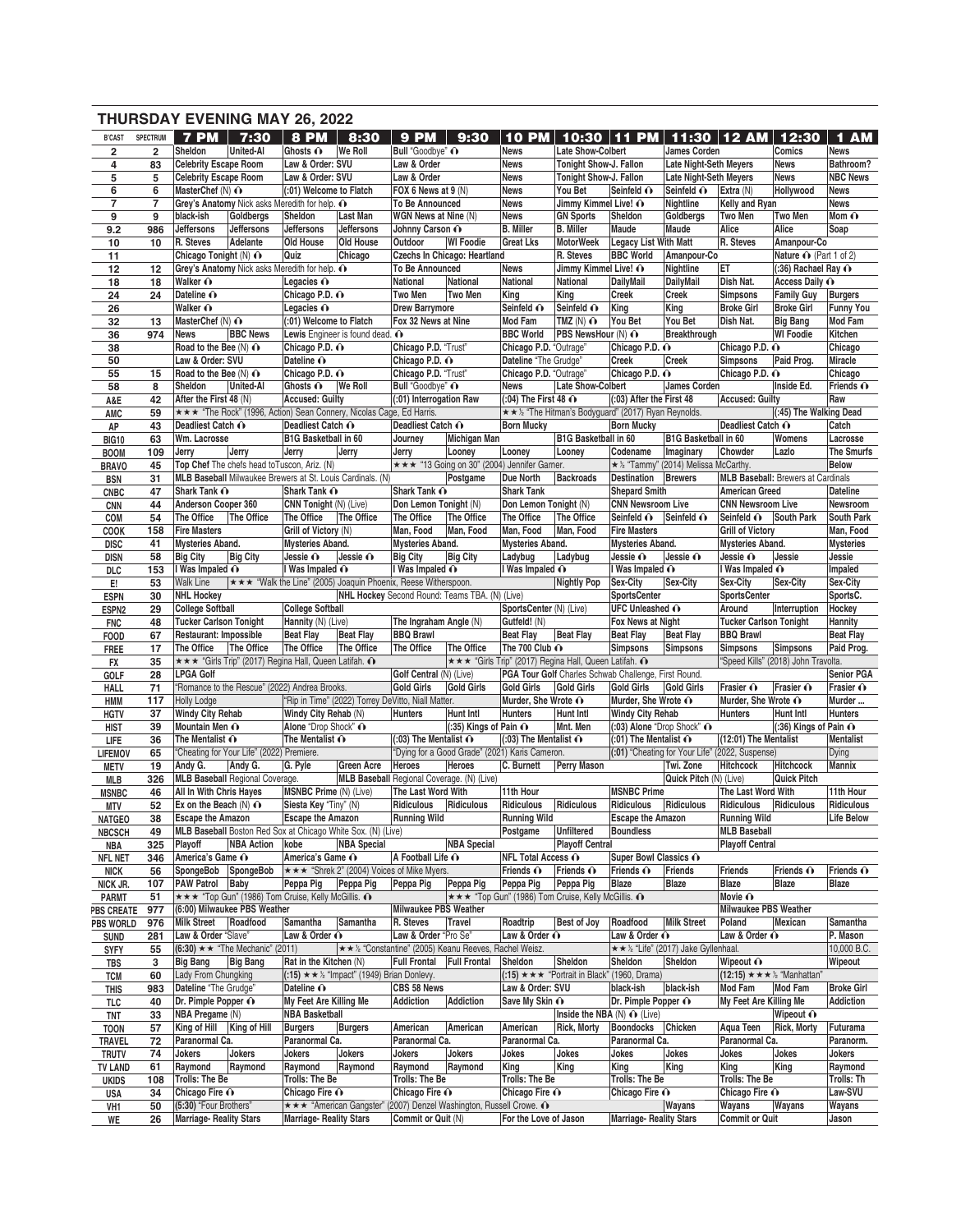|                         |                 | <b>THURSDAY EVENING MAY 26, 2022</b>          |                                                                             |                                                   |                                                                |                                             |                                                                    |                                             |                                                             |                                                            |                               |                                                                        |                                           |                             |
|-------------------------|-----------------|-----------------------------------------------|-----------------------------------------------------------------------------|---------------------------------------------------|----------------------------------------------------------------|---------------------------------------------|--------------------------------------------------------------------|---------------------------------------------|-------------------------------------------------------------|------------------------------------------------------------|-------------------------------|------------------------------------------------------------------------|-------------------------------------------|-----------------------------|
| <b>B'CAST</b>           | <b>SPECTRUM</b> | 7 PM                                          | 7:30                                                                        | <b>8 PM</b>                                       | 8:30                                                           | 9 PM                                        | 9:30                                                               | 10<br><b>PM</b>                             | 10:30                                                       | <b>PM</b><br>11                                            |                               | 11:30   12 AM                                                          | 12:30                                     | <b>AM</b><br>$\blacksquare$ |
| $\overline{\mathbf{2}}$ | $\overline{2}$  | Sheldon                                       | <b>United-Al</b>                                                            | Ghosts $\mathbf{\odot}$                           | <b>We Roll</b>                                                 | Bull "Goodbye" ∩                            |                                                                    | <b>News</b>                                 | <b>Late Show-Colbert</b>                                    |                                                            | <b>James Corden</b>           |                                                                        | Comics                                    | <b>News</b>                 |
| 4                       | 83              | <b>Celebrity Escape Room</b>                  |                                                                             | Law & Order: SVU                                  |                                                                | Law & Order                                 |                                                                    | <b>News</b>                                 | <b>Tonight Show-J. Fallon</b>                               |                                                            | <b>Late Night-Seth Meyers</b> |                                                                        | <b>News</b>                               | Bathroom?                   |
| 5                       | 5               | <b>Celebrity Escape Room</b>                  |                                                                             | Law & Order: SVU                                  |                                                                | Law & Order                                 |                                                                    | <b>News</b>                                 | Tonight Show-J. Fallon                                      |                                                            | <b>Late Night-Seth Meyers</b> |                                                                        | <b>News</b>                               | <b>NBC News</b>             |
| 6                       | 6               | MasterChef (N) O                              |                                                                             | (:01) Welcome to Flatch                           |                                                                | FOX 6 News at 9 (N)                         |                                                                    | <b>News</b>                                 | You Bet                                                     | Seinfeld O                                                 | Seinfeld O                    | Extra (N)                                                              | Hollywood                                 | <b>News</b>                 |
| $\overline{7}$          | $\overline{7}$  |                                               | Grey's Anatomy Nick asks Meredith for help. O                               |                                                   |                                                                | <b>To Be Announced</b>                      |                                                                    | <b>News</b>                                 | Jimmy Kimmel Live! O                                        |                                                            | Nightline                     | Kelly and Ryan                                                         |                                           | <b>News</b>                 |
| 9                       | 9               | black-ish                                     | Goldbergs                                                                   | Sheldon                                           | Last Man                                                       | WGN News at Nine (N)                        |                                                                    | <b>News</b>                                 | <b>GN Sports</b>                                            | Sheldon                                                    | Goldbergs                     | Two Men                                                                | <b>Two Men</b>                            | Mom $\mathbf{\odot}$        |
| 9.2<br>10               | 986<br>10       | Jeffersons<br>R. Steves                       | Jeffersons<br>Adelante                                                      | Jeffersons<br>Old House                           | <b>Jeffersons</b><br>Old House                                 | Johnny Carson O<br>Outdoor                  | <b>WI Foodie</b>                                                   | <b>B.</b> Miller<br><b>Great Lks</b>        | <b>B.</b> Miller<br><b>MotorWeek</b>                        | Maude<br><b>Legacy List With Matt</b>                      | Maude                         | Alice<br>R. Steves                                                     | Alice<br>Amanpour-Co                      | Soap                        |
| 11                      |                 | Chicago Tonight (N) ∩                         |                                                                             | Quiz                                              | Chicago                                                        |                                             | <b>Czechs In Chicago: Heartland</b>                                |                                             | R. Steves                                                   | <b>BBC World</b>                                           | Amanpour-Co                   |                                                                        | Nature $\odot$ (Part 1 of 2)              |                             |
| 12                      | 12              |                                               | Grey's Anatomy Nick asks Meredith for help. O                               |                                                   |                                                                | <b>To Be Announced</b>                      |                                                                    | <b>News</b>                                 | Jimmy Kimmel Live! O                                        |                                                            | Nightline                     | ET                                                                     | $(.36)$ Rachael Ray $\odot$               |                             |
| 18                      | 18              | Walker O                                      |                                                                             | Legacies $\odot$                                  |                                                                | National                                    | National                                                           | National                                    | National                                                    | DailyMail                                                  | <b>DailvMail</b>              | Dish Nat.                                                              | Access Daily O                            |                             |
| 24                      | 24              | Dateline O                                    |                                                                             | Chicago P.D. o                                    |                                                                | Two Men                                     | Two Men                                                            | King                                        | King                                                        | <b>Creek</b>                                               | Creek                         | <b>Simpsons</b>                                                        | <b>Family Guy</b>                         | Burgers                     |
| 26                      |                 | Walker O                                      |                                                                             | Legacies $\odot$                                  |                                                                | <b>Drew Barrymore</b>                       |                                                                    | Seinfeld O                                  | Seinfeld O                                                  | King                                                       | King                          | <b>Broke Girl</b>                                                      | <b>Broke Girl</b>                         | <b>Funny You</b>            |
| 32                      | 13              | MasterChef $(N)$ $\odot$                      |                                                                             | (:01) Welcome to Flatch                           |                                                                | Fox 32 News at Nine                         |                                                                    | <b>Mod Fam</b>                              | TMZ $(N)$ $\odot$                                           | You Bet                                                    | You Bet                       | Dish Nat.                                                              | <b>Big Bang</b>                           | Mod Fam                     |
| 36                      | 974             | <b>News</b>                                   | <b>BBC News</b>                                                             |                                                   | Lewis Engineer is found dead. ∩                                |                                             |                                                                    | <b>BBC World</b>                            | PBS NewsHour (N) O                                          |                                                            | Breakthrough                  |                                                                        | <b>WI Foodie</b>                          | Kitchen                     |
| 38                      |                 | Road to the Bee $(N)$ $\odot$                 |                                                                             | Chicago P.D. O                                    |                                                                | Chicago P.D. "Trust"                        |                                                                    | Chicago P.D. "Outrage"                      |                                                             | Chicago P.D. O                                             |                               | Chicago P.D. O                                                         |                                           | Chicago                     |
| 50                      |                 | Law & Order: SVU                              |                                                                             | Dateline O                                        |                                                                | Chicago P.D. o                              |                                                                    | Dateline "The Grudge"                       |                                                             | <b>Creek</b>                                               | <b>Creek</b>                  | <b>Simpsons</b>                                                        | Paid Prog.                                | Miracle                     |
| 55                      | 15              | Road to the Bee (N) O                         | <b>United-Al</b>                                                            | Chicago P.D. ∩                                    |                                                                | Chicago P.D. "Trust"                        |                                                                    | Chicago P.D. "Outrage"                      | Late Show-Colbert                                           | Chicago P.D. o                                             | James Corden                  | Chicago P.D. O                                                         |                                           | Chicago<br>Friends $\odot$  |
| 58                      | 8<br>42         | Sheldon<br>After the First 48 (N)             |                                                                             | Ghosts O<br><b>Accused: Guilty</b>                | <b>We Roll</b>                                                 | Bull "Goodbye" O<br>(:01) Interrogation Raw |                                                                    | News<br>$(.04)$ The First 48 $\odot$        |                                                             | (:03) After the First 48                                   |                               | <b>Accused: Guilty</b>                                                 | Inside Ed.                                | Raw                         |
| A&E<br>AMC              | 59              |                                               | <b>★★★ "The Rock" (1996, Action) Sean Connery, Nicolas Cage, Ed Harris.</b> |                                                   |                                                                |                                             |                                                                    |                                             |                                                             | ★★½ "The Hitman's Bodyguard" (2017) Ryan Reynolds.         |                               |                                                                        | (:45) The Walking Dead                    |                             |
| AP                      | 43              | Deadliest Catch O                             |                                                                             | Deadliest Catch O                                 |                                                                | Deadliest Catch O                           |                                                                    | <b>Born Mucky</b>                           |                                                             | <b>Born Mucky</b>                                          |                               | Deadliest Catch O                                                      |                                           | Catch                       |
| <b>BIG10</b>            | 63              | Wm. Lacrosse                                  |                                                                             | B1G Basketball in 60                              |                                                                | Journey                                     | <b>Michigan Man</b>                                                |                                             | B1G Basketball in 60                                        |                                                            | <b>B1G Basketball in 60</b>   |                                                                        | Womens                                    | Lacrosse                    |
| <b>BOOM</b>             | 109             | Jerry                                         | Jerry                                                                       | Jerry                                             | Jerry                                                          | Jerry                                       | Looney                                                             | Looney                                      | Looney                                                      | Codename                                                   | Imaginary                     | Chowder                                                                | Lazlo                                     | The Smurfs                  |
| <b>BRAVO</b>            | 45              |                                               | Top Chef The chefs head to Tuscon, Ariz. (N)                                |                                                   |                                                                |                                             | *** "13 Going on 30" (2004) Jennifer Garner.                       |                                             |                                                             | ★ ½ "Tammy" (2014) Melissa McCarthy.                       |                               |                                                                        |                                           | <b>Below</b>                |
| <b>BSN</b>              | 31              |                                               | MLB Baseball Milwaukee Brewers at St. Louis Cardinals. (N)                  |                                                   |                                                                |                                             | Postgame                                                           | <b>Due North</b>                            | <b>Backroads</b>                                            | Destination                                                | <b>Brewers</b>                |                                                                        | <b>MLB Baseball:</b> Brewers at Cardinals |                             |
| <b>CNBC</b>             | 47              | Shark Tank O                                  |                                                                             | Shark Tank O                                      |                                                                | Shark Tank O                                |                                                                    | <b>Shark Tank</b>                           |                                                             | <b>Shepard Smith</b>                                       |                               | <b>American Greed</b>                                                  |                                           | <b>Dateline</b>             |
| <b>CNN</b>              | 44              | Anderson Cooper 360                           |                                                                             | CNN Tonight (N) (Live)                            |                                                                | Don Lemon Tonight (N)                       |                                                                    | Don Lemon Tonight (N)                       |                                                             | <b>CNN Newsroom Live</b>                                   |                               | <b>CNN Newsroom Live</b>                                               |                                           | Newsroom                    |
| COM                     | 54              | The Office                                    | The Office                                                                  | The Office                                        | The Office                                                     | The Office                                  | The Office                                                         | The Office                                  | The Office                                                  | Seinfeld $\odot$                                           | Seinfeld O                    | Seinfeld ∩                                                             | <b>South Park</b>                         | <b>South Park</b>           |
| <b>COOK</b>             | 158             | <b>Fire Masters</b>                           |                                                                             | Grill of Victory (N)                              |                                                                | Man, Food                                   | Man, Food                                                          | Man, Food                                   | Man, Food                                                   | <b>Fire Masters</b>                                        |                               | <b>Grill of Victory</b>                                                |                                           | Man, Food                   |
| <b>DISC</b>             | 41              | <b>Mysteries Aband.</b>                       |                                                                             | Mysteries Aband.                                  |                                                                | <b>Mysteries Aband.</b>                     |                                                                    | Mysteries Aband.                            |                                                             | <b>Mysteries Aband.</b>                                    |                               | Mysteries Aband.                                                       |                                           | <b>Mysteries</b>            |
| <b>DISN</b>             | 58              | <b>Big City</b><br>I Was Impaled $\odot$      | <b>Big City</b>                                                             | Jessie $\mathbf{\Omega}$<br>I Was Impaled $\odot$ | Jessie O                                                       | <b>Big City</b><br>I Was Impaled $\odot$    | <b>Big City</b>                                                    | Ladybug<br>I Was Impaled $\hat{\mathbf{O}}$ | Ladybug                                                     | Jessie $\mathbf{\Omega}$<br>I Was Impaled ∩                | Jessie O                      | Jessie O<br>I Was Impaled ∩                                            | Jessie                                    | Jessie<br>Impaled           |
| DLC<br>E.               | 153<br>53       | <b>Walk Line</b>                              |                                                                             |                                                   | ★★★ "Walk the Line" (2005) Joaquin Phoenix, Reese Witherspoon. |                                             |                                                                    |                                             | Nightly Pop                                                 | Sex-City                                                   | Sex-City                      | Sex-City                                                               | Sex-City                                  | Sex-City                    |
| <b>ESPN</b>             | 30              | <b>NHL Hockey</b>                             |                                                                             |                                                   |                                                                |                                             | NHL Hockey Second Round: Teams TBA. (N) (Live)                     |                                             |                                                             | <b>SportsCenter</b>                                        |                               | <b>SportsCenter</b>                                                    |                                           | SportsC.                    |
| ESPN <sub>2</sub>       | 29              | <b>College Softball</b>                       |                                                                             | <b>College Softball</b>                           |                                                                |                                             |                                                                    | SportsCenter (N) (Live)                     |                                                             | <b>UFC Unleashed O</b>                                     |                               | Around                                                                 | Interruption                              | Hockey                      |
| <b>FNC</b>              | 48              | <b>Tucker Carlson Tonight</b>                 |                                                                             | Hannity (N) (Live)                                |                                                                | The Ingraham Angle (N)                      |                                                                    | Gutfeld! (N)                                |                                                             | Fox News at Night                                          |                               | <b>Tucker Carlson Tonight</b>                                          |                                           | Hannity                     |
| <b>FOOD</b>             | 67              | Restaurant: Impossible                        |                                                                             | <b>Beat Flay</b>                                  | <b>Beat Flay</b>                                               | <b>BBQ Brawl</b>                            |                                                                    | <b>Beat Flay</b>                            | <b>Beat Flay</b>                                            | <b>Beat Flay</b>                                           | <b>Beat Flay</b>              | <b>BBQ Brawl</b>                                                       |                                           | <b>Beat Flay</b>            |
| <b>FREE</b>             | 17              | The Office                                    | The Office                                                                  | The Office                                        | The Office                                                     | The Office                                  | The Office                                                         | The 700 Club ∩                              |                                                             | <b>Simpsons</b>                                            | Simpsons                      | <b>Simpsons</b>                                                        | Simpsons                                  | Paid Prog.                  |
| FX                      | 35              |                                               | *** "Girls Trip" (2017) Regina Hall, Queen Latifah. ^                       |                                                   |                                                                |                                             |                                                                    |                                             | *** "Girls Trip" (2017) Regina Hall, Queen Latifah. ^       |                                                            |                               |                                                                        | "Speed Kills" (2018) John Travolta.       |                             |
| <b>GOLF</b>             | 28              | <b>LPGA Golf</b>                              |                                                                             |                                                   |                                                                | Golf Central (N) (Live)                     |                                                                    |                                             |                                                             | PGA Tour Golf Charles Schwab Challenge, First Round.       |                               |                                                                        |                                           | Senior PGA                  |
| HALL                    | 71              | "Romance to the Rescue" (2022) Andrea Brooks. |                                                                             |                                                   |                                                                |                                             | Gold Girls                                                         | <b>Gold Girls</b>                           | <b>Gold Girls</b>                                           | Gold Girls                                                 | Gold Girls                    |                                                                        |                                           |                             |
| HMM                     |                 |                                               |                                                                             |                                                   |                                                                | <b>Gold Girls</b>                           |                                                                    |                                             |                                                             |                                                            |                               | Frasier O                                                              | Frasier O                                 | Frasier O                   |
| <b>HGTV</b>             | 117             | <b>Holly Lodge</b>                            |                                                                             |                                                   | "Rip in Time" (2022) Torrey DeVitto, Niall Matter.             |                                             |                                                                    | Murder, She Wrote O                         |                                                             | Murder, She Wrote ∩                                        |                               | Murder, She Wrote O                                                    |                                           | Murder                      |
|                         | 37              | <b>Windy City Rehab</b>                       |                                                                             | Windy City Rehab (N)                              |                                                                | <b>Hunters</b>                              | <b>Hunt Intl</b>                                                   | <b>Hunters</b>                              | <b>Hunt Intl</b>                                            | <b>Windy City Rehab</b>                                    |                               | <b>Hunters</b>                                                         | <b>Hunt Intl</b>                          | <b>Hunters</b>              |
| <b>HIST</b>             | 39              | Mountain Men O                                |                                                                             | Alone "Drop Shock" O                              |                                                                |                                             | $(.35)$ Kings of Pain $\odot$                                      |                                             | Mnt. Men                                                    | (:03) Alone "Drop Shock" ∩                                 |                               |                                                                        | $(.36)$ Kings of Pain $\odot$             |                             |
| LIFE                    | 36              | The Mentalist $\odot$                         |                                                                             | The Mentalist $\mathbf{\odot}$                    |                                                                | $(0.03)$ The Mentalist $\odot$              |                                                                    | $(.03)$ The Mentalist $\odot$               |                                                             | $(.01)$ The Mentalist $\odot$                              |                               | (12:01) The Mentalist                                                  |                                           | Mentalist                   |
| <b>LIFEMOV</b>          | 65              |                                               | "Cheating for Your Life" (2022) Premiere.                                   |                                                   |                                                                |                                             | "Dying for a Good Grade" (2021) Karis Cameron.                     |                                             |                                                             | (:01) "Cheating for Your Life" (2022, Suspense)            |                               |                                                                        |                                           | Dying                       |
| <b>METV</b>             | 19              | Andy G. Andy G.                               |                                                                             | G. Pyle                                           | Green Acre Heroes Heroes                                       |                                             |                                                                    |                                             |                                                             | C. Burnett Perry Mason Twi. Zone Hitchcock Hitchcock       |                               |                                                                        |                                           | Mannix                      |
| MLB                     | 326<br>46       | <b>All In With Chris Hayes</b>                | <b>MLB Baseball Regional Coverage.</b>                                      | <b>MSNBC Prime (N) (Live)</b>                     |                                                                | The Last Word With                          | MLB Baseball Regional Coverage. (N) (Live)                         | 11th Hour                                   |                                                             | <b>MSNBC Prime</b>                                         | Quick Pitch (N) (Live)        | The Last Word With                                                     | Quick Pitch                               | 11th Hour                   |
| <b>MSNBC</b><br>MTV     | 52              | Ex on the Beach $(N)$ $\odot$                 |                                                                             | Siesta Key "Tiny" (N)                             |                                                                | Ridiculous Ridiculous                       |                                                                    | Ridiculous                                  | Ridiculous                                                  | Ridiculous                                                 | Ridiculous                    | Ridiculous                                                             | Ridiculous                                | Ridiculous                  |
| <b>NATGEO</b>           | 38              | <b>Escape the Amazon</b>                      |                                                                             | <b>Escape the Amazon</b>                          |                                                                | <b>Running Wild</b>                         |                                                                    | <b>Running Wild</b>                         |                                                             | <b>Escape the Amazon</b>                                   |                               | <b>Running Wild</b>                                                    |                                           | <b>Life Below</b>           |
| <b>NBCSCH</b>           | 49              |                                               | MLB Baseball Boston Red Sox at Chicago White Sox. (N) (Live)                |                                                   |                                                                |                                             |                                                                    | Postgame                                    | Unfiltered                                                  | <b>Boundless</b>                                           |                               | <b>MLB Baseball</b>                                                    |                                           |                             |
| NBA                     | 325             | Plavoff                                       | <b>NBA Action</b>                                                           | kobe                                              | <b>NBA</b> Special                                             |                                             | <b>NBA Special</b>                                                 |                                             | <b>Playoff Central</b>                                      |                                                            |                               | <b>Playoff Central</b>                                                 |                                           |                             |
| <b>NFL NET</b>          | 346             | America's Game O                              |                                                                             | America's Game O                                  |                                                                | A Football Life O                           |                                                                    | <b>NFL Total Access O</b>                   |                                                             | Super Bowl Classics O                                      |                               |                                                                        |                                           |                             |
| <b>NICK</b>             | 56              | SpongeBob SpongeBob                           |                                                                             |                                                   | <del>★★★</del> "Shrek 2" (2004) Voices of Mike Myers.          |                                             |                                                                    | Friends $\odot$                             | Friends $\odot$                                             | Friends O                                                  | Friends                       | Friends                                                                | Friends $\odot$                           | Friends $\hat{\mathbf{O}}$  |
| NICK JR.                | 107             | PAW Patrol Baby                               |                                                                             | Peppa Pig                                         | Peppa Pig                                                      | Peppa Pig                                   | Peppa Pig                                                          | Peppa Pig                                   | Peppa Pig                                                   | Blaze                                                      | Blaze                         | Blaze                                                                  | Blaze                                     | Blaze                       |
| <b>PARMT</b>            | 51              |                                               | <b>★★★ "Top Gun" (1986) Tom Cruise, Kelly McGillis. ①</b>                   |                                                   |                                                                |                                             |                                                                    |                                             | <b>★★★ "Top Gun" (1986) Tom Cruise, Kelly McGillis. ①</b>   |                                                            |                               | Movie $\mathbf{\Omega}$                                                |                                           |                             |
| <b>PBS CREATE</b>       | 977             |                                               | (6:00) Milwaukee PBS Weather                                                |                                                   |                                                                | Milwaukee PBS Weather                       |                                                                    |                                             |                                                             |                                                            |                               | <b>Milwaukee PBS Weather</b>                                           |                                           |                             |
| <b>PBS WORLD</b>        | 976             | Milk Street Roadfood                          |                                                                             | Samantha                                          | Samantha                                                       | R. Steves                                   | Travel                                                             | Roadtrip                                    | <b>Best of Joy</b>                                          | Roadfood                                                   | <b>Milk Street</b>            | Poland<br>Law & Order O                                                | Mexican                                   | Samantha                    |
| <b>SUND</b>             | 281<br>55       | Law & Order "Slave"                           | $(6:30) \star \star$ "The Mechanic" (2011)                                  | Law & Order $\odot$                               |                                                                | Law & Order "Pro Se"                        | <b>★★½ "Constantine" (2005) Keanu Reeves, Rachel Weisz.</b>        | Law & Order $\hat{\mathbf{O}}$              |                                                             | Law & Order $\odot$<br>★★ ½ "Life" (2017) Jake Gyllenhaal. |                               |                                                                        |                                           | P. Mason<br>10,000 B.C.     |
| <b>SYFY</b><br>TBS      | 3               | <b>Big Bang</b>                               | <b>Big Bang</b>                                                             | Rat in the Kitchen (N)                            |                                                                | <b>Full Frontal Full Frontal</b>            |                                                                    | Sheldon                                     | Sheldon                                                     | Sheldon                                                    | Sheldon                       | Wipeout $\bigcirc$                                                     |                                           | Wipeout                     |
| <b>TCM</b>              | 60              | Lady From Chungking                           |                                                                             |                                                   | $(.15) \star \star \cdot \cdot$ "Impact" (1949) Brian Donlevy. |                                             |                                                                    |                                             | (:15) $\star \star \star$ "Portrait in Black" (1960, Drama) |                                                            |                               | $(12:15) \star \star \star \text{ } \text{ }^{\backprime}$ "Manhattan" |                                           |                             |
| <b>THIS</b>             | 983             | Dateline "The Grudge"                         |                                                                             | Dateline O                                        |                                                                | CBS 58 News                                 |                                                                    | Law & Order: SVU                            |                                                             | black-ish                                                  | black-ish                     | Mod Fam                                                                | Mod Fam                                   | <b>Broke Girl</b>           |
| TLC                     | 40              | Dr. Pimple Popper $\mathbf{\odot}$            |                                                                             | My Feet Are Killing Me                            |                                                                | <b>Addiction</b>                            | <b>Addiction</b>                                                   | Save My Skin ∩                              |                                                             | Dr. Pimple Popper O                                        |                               | My Feet Are Killing Me                                                 |                                           | <b>Addiction</b>            |
| TNT                     | 33              | NBA Pregame (N)                               |                                                                             | <b>NBA Basketball</b>                             |                                                                |                                             |                                                                    |                                             | Inside the NBA $(N)$ $\odot$ (Live)                         |                                                            |                               |                                                                        | Wipeout $\mathbf{\odot}$                  |                             |
| <b>TOON</b>             | 57              | King of Hill King of Hill                     |                                                                             | <b>Burgers</b>                                    | <b>Burgers</b>                                                 | American                                    | American                                                           | American                                    | Rick, Morty                                                 | Boondocks Chicken                                          |                               | Aqua Teen                                                              | <b>Rick, Morty</b>                        | Futurama                    |
| TRAVEL                  | 72              | Paranormal Ca.                                |                                                                             | Paranormal Ca.                                    |                                                                | Paranormal Ca.                              |                                                                    | Paranormal Ca.                              |                                                             | Paranormal Ca.                                             |                               | Paranormal Ca.                                                         |                                           | Paranorm.                   |
| <b>TRUTV</b>            | 74              | Jokers                                        | Jokers                                                                      | Jokers                                            | Jokers                                                         | Jokers                                      | Jokers                                                             | Jokes                                       | Jokes                                                       | Jokes                                                      | Jokes                         | Jokes                                                                  | Jokes                                     | Jokers                      |
| <b>TV LAND</b>          | 61              | Raymond                                       | Raymond                                                                     | Raymond                                           | Raymond                                                        | Raymond                                     | Raymond                                                            | King                                        | King                                                        | King                                                       | King                          | King                                                                   | King                                      | Raymond                     |
| <b>UKIDS</b>            | 108             | Trolls: The Be                                |                                                                             | Trolls: The Be                                    |                                                                | Trolls: The Be                              |                                                                    | Trolls: The Be                              |                                                             | Trolls: The Be                                             |                               | Trolls: The Be                                                         |                                           | Trolls: Th                  |
| USA<br>VH1              | 34<br>50        | Chicago Fire O<br>(5:30) "Four Brothers"      |                                                                             | Chicago Fire O                                    |                                                                | Chicago Fire O                              | ★★★ "American Gangster" (2007) Denzel Washington, Russell Crowe. ^ | Chicago Fire O                              |                                                             | Chicago Fire O                                             | Wayans                        | Chicago Fire O<br>Wayans                                               | Wayans                                    | Law-SVU<br>Wayans           |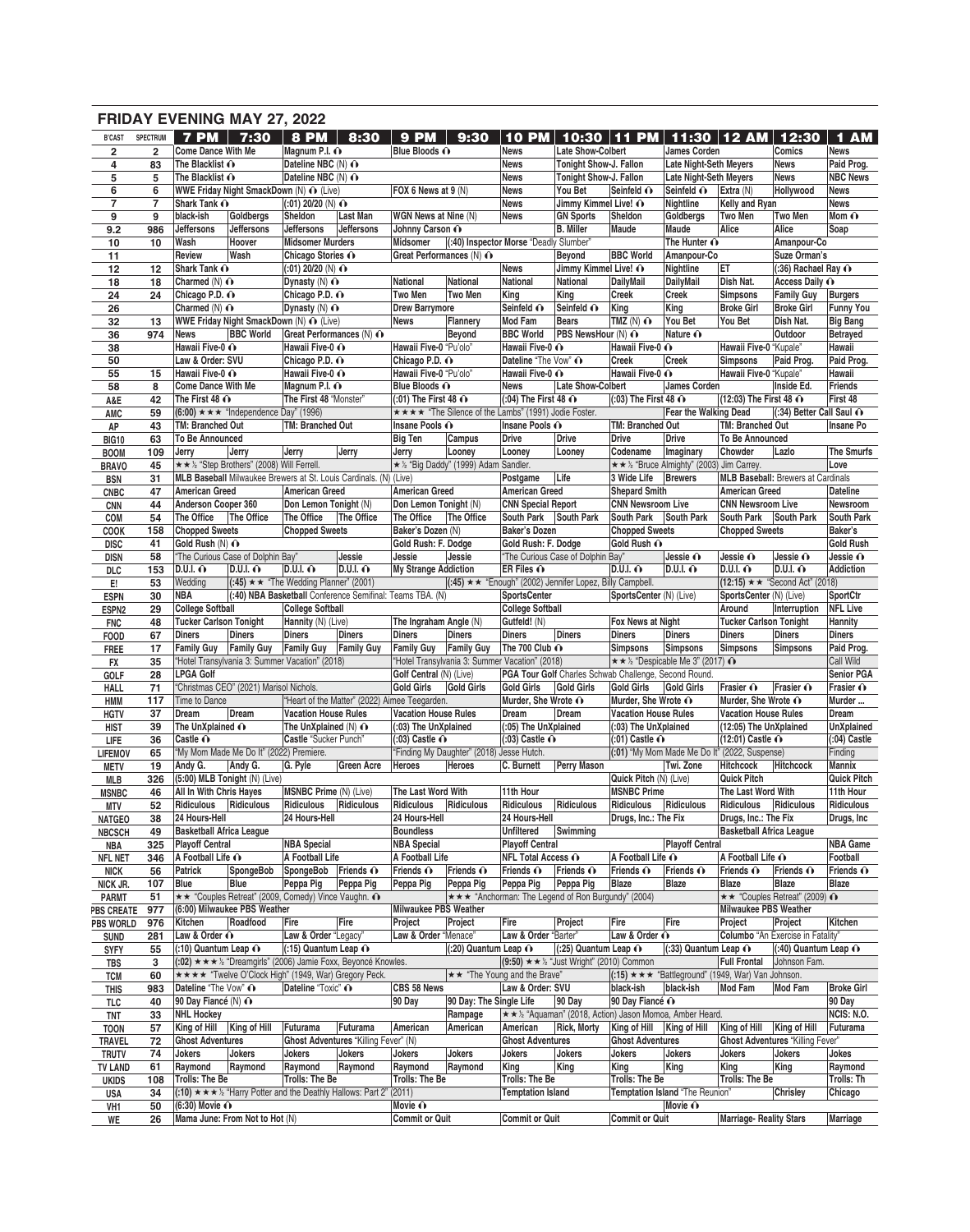|                             |                     |                                 | <b>FRIDAY EVENING MAY 27, 2022</b>                                                |                                      |                           |                                               |                                           |                                                      |                                                           |                                                                               |                                                       |                                 |                                           |                                    |
|-----------------------------|---------------------|---------------------------------|-----------------------------------------------------------------------------------|--------------------------------------|---------------------------|-----------------------------------------------|-------------------------------------------|------------------------------------------------------|-----------------------------------------------------------|-------------------------------------------------------------------------------|-------------------------------------------------------|---------------------------------|-------------------------------------------|------------------------------------|
| <b>B'CAST</b>               | <b>SPECTRUM</b>     | <b>7 PM</b>                     | $7:30$ 8 PM                                                                       |                                      | 8:30                      | <b>9 PM</b>                                   | 9:30                                      | 10<br><b>PM</b>                                      | 10:30                                                     | <b>PM</b><br>11                                                               |                                                       | 11:30   12 AM                   | 12:30                                     | 1 AM                               |
| $\overline{\mathbf{2}}$     | $\overline{2}$      | <b>Come Dance With Me</b>       |                                                                                   | Magnum P.I. O                        |                           | Blue Bloods O                                 |                                           | <b>News</b>                                          | Late Show-Colbert                                         |                                                                               | <b>James Corden</b>                                   |                                 | Comics                                    | <b>News</b>                        |
| 4                           | 83                  | The Blacklist O                 |                                                                                   | Dateline NBC (N) O                   |                           |                                               |                                           | <b>News</b>                                          | Tonight Show-J. Fallon                                    |                                                                               | <b>Late Night-Seth Meyers</b>                         |                                 | <b>News</b>                               | Paid Prog.                         |
| 5                           | 5                   | The Blacklist O                 |                                                                                   | Dateline NBC (N) O                   |                           |                                               |                                           | <b>News</b>                                          | Tonight Show-J. Fallon                                    |                                                                               | <b>Late Night-Seth Meyers</b>                         |                                 | <b>News</b>                               | <b>NBC News</b>                    |
| 6<br>$\overline{7}$         | 6<br>$\overline{7}$ | Shark Tank O                    | WWE Friday Night SmackDown (N) O (Live)                                           | $(.01)$ 20/20 (N) $\odot$            |                           | FOX 6 News at 9 (N)                           |                                           | <b>News</b><br><b>News</b>                           | You Bet<br>Jimmy Kimmel Live! O                           | Seinfeld O                                                                    | Seinfeld O<br>Nightline                               | Extra (N)<br>Kelly and Ryan     | Hollywood                                 | <b>News</b><br><b>News</b>         |
| 9                           | 9                   | black-ish                       | Goldbergs                                                                         | Sheldon                              | Last Man                  | WGN News at Nine (N)                          |                                           | <b>News</b>                                          | <b>GN Sports</b>                                          | Sheldon                                                                       | Goldbergs                                             | <b>Two Men</b>                  | <b>Two Men</b>                            | Mom $\hat{\mathbf{O}}$             |
| 9.2                         | 986                 | Jeffersons                      | Jeffersons                                                                        | <b>Jeffersons</b>                    | Jeffersons                | Johnny Carson O                               |                                           |                                                      | <b>B.</b> Miller                                          | Maude                                                                         | Maude                                                 | Alice                           | Alice                                     | Soap                               |
| 10                          | 10                  | Wash                            | Hoover                                                                            | <b>Midsomer Murders</b>              |                           | Midsomer                                      |                                           | (:40) Inspector Morse "Deadly Slumber"               |                                                           |                                                                               | The Hunter $\hat{\mathbf{O}}$                         |                                 | Amanpour-Co                               |                                    |
| 11                          |                     | Review                          | Wash                                                                              | Chicago Stories O                    |                           | Great Performances (N) O                      |                                           |                                                      | Beyond                                                    | <b>BBC World</b>                                                              | Amanpour-Co                                           |                                 | Suze Orman's                              |                                    |
| 12                          | 12                  | Shark Tank O                    |                                                                                   | $(.01)$ 20/20 (N) $\odot$            |                           |                                               |                                           | <b>News</b>                                          | Jimmy Kimmel Live! O                                      |                                                                               | Nightline                                             | ET                              | $(.36)$ Rachael Ray $\odot$               |                                    |
| 18                          | 18                  | Charmed $(N)$ $\odot$           |                                                                                   | Dynasty $(N)$ $\odot$                |                           | National                                      | National                                  | <b>National</b>                                      | National                                                  | DailyMail                                                                     | DailyMail                                             | Dish Nat.                       | Access Daily O                            |                                    |
| 24                          | 24                  | Chicago P.D. O                  |                                                                                   | Chicago P.D. o                       |                           | Two Men                                       | Two Men                                   | King                                                 | King                                                      | <b>Creek</b>                                                                  | Creek                                                 | <b>Simpsons</b>                 | <b>Family Guy</b>                         | Burgers                            |
| 26                          |                     | Charmed (N) O                   |                                                                                   | Dynasty $(N)$ $\odot$                |                           | <b>Drew Barrymore</b>                         |                                           | Seinfeld O                                           | Seinfeld O                                                | King                                                                          | King                                                  | <b>Broke Girl</b>               | <b>Broke Girl</b>                         | <b>Funny You</b>                   |
| 32<br>36                    | 13<br>974           | <b>News</b>                     | WWE Friday Night SmackDown (N) O (Live)<br><b>BBC World</b>                       | Great Performances (N) O             |                           | <b>News</b>                                   | Flannery<br>Beyond                        | <b>Mod Fam</b><br><b>BBC World</b>                   | <b>Bears</b><br><b>PBS NewsHour (N) O</b>                 | TMZ $(N)$ $\odot$                                                             | You Bet<br>Nature O                                   | You Bet                         | Dish Nat.<br>Outdoor                      | <b>Big Bang</b><br><b>Betrayed</b> |
| 38                          |                     | Hawaii Five-0 O                 |                                                                                   | Hawaii Five-0 O                      |                           | Hawaii Five-0 "Pu'olo"                        |                                           | Hawaii Five-0 O                                      |                                                           | Hawaii Five-0 O                                                               |                                                       | Hawaii Five-0 "Kupale"          |                                           | Hawaii                             |
| 50                          |                     | Law & Order: SVU                |                                                                                   | Chicago P.D. o                       |                           | Chicago P.D. o                                |                                           | Dateline "The Vow" O                                 |                                                           | <b>Creek</b>                                                                  | <b>Creek</b>                                          | <b>Simpsons</b>                 | Paid Prog.                                | Paid Prog.                         |
| 55                          | 15                  | Hawaii Five-0 O                 |                                                                                   | Hawaii Five-0 O                      |                           | Hawaii Five-0 "Pu'olo"                        |                                           | Hawaii Five-0 O                                      |                                                           | Hawaii Five-0 O                                                               |                                                       | Hawaii Five-0 "Kupale"          |                                           | Hawaii                             |
| 58                          | 8                   | <b>Come Dance With Me</b>       |                                                                                   | Magnum P.I. O                        |                           | Blue Bloods O                                 |                                           | <b>News</b>                                          | <b>Late Show-Colbert</b>                                  |                                                                               | James Corden                                          |                                 | Inside Ed.                                | <b>Friends</b>                     |
| A&E                         | 42                  | The First 48 O                  |                                                                                   | The First 48 "Monster"               |                           | $(.01)$ The First 48 $\odot$                  |                                           | (:04) The First 48 ∩                                 |                                                           | (:03) The First 48 ∩                                                          |                                                       | (12:03) The First 48 $\odot$    |                                           | First 48                           |
| AMC                         | 59                  |                                 | $(6:00) \star \star \star$ "Independence Day" (1996)                              |                                      |                           |                                               |                                           | ★★★★ "The Silence of the Lambs" (1991) Jodie Foster. |                                                           |                                                                               | Fear the Walking Dead                                 |                                 | (:34) Better Call Saul ∩                  |                                    |
| AP                          | 43                  | TM: Branched Out                |                                                                                   | TM: Branched Out                     |                           | Insane Pools O                                |                                           | Insane Pools ∩                                       |                                                           | TM: Branched Out                                                              |                                                       | TM: Branched Out                |                                           | Insane Po                          |
| <b>BIG10</b>                | 63                  | To Be Announced<br>Jerry        | Jerry                                                                             |                                      | Jerry                     | <b>Big Ten</b><br>Jerry                       | Campus<br>Looney                          | <b>Drive</b>                                         | <b>Drive</b>                                              | <b>Drive</b><br>Codename                                                      | <b>Drive</b>                                          | To Be Announced<br>Chowder      | Lazlo                                     | The Smurfs                         |
| <b>BOOM</b><br><b>BRAVO</b> | 109<br>45           |                                 | ★★% "Step Brothers" (2008) Will Ferrell.                                          | Jerry                                |                           |                                               | * 1/2 "Big Daddy" (1999) Adam Sandler.    | Looney                                               | Looney                                                    |                                                                               | Imaginary<br>★★ ½ "Bruce Almighty" (2003) Jim Carrey. |                                 |                                           | Love                               |
| <b>BSN</b>                  | 31                  |                                 | MLB Baseball Milwaukee Brewers at St. Louis Cardinals. (N) (Live)                 |                                      |                           |                                               |                                           | Postgame                                             | Life                                                      | 3 Wide Life                                                                   | <b>Brewers</b>                                        |                                 | <b>MLB Baseball:</b> Brewers at Cardinals |                                    |
| <b>CNBC</b>                 | 47                  | <b>American Greed</b>           |                                                                                   | <b>American Greed</b>                |                           | <b>American Greed</b>                         |                                           | <b>American Greed</b>                                |                                                           | <b>Shepard Smith</b>                                                          |                                                       | <b>American Greed</b>           |                                           | <b>Dateline</b>                    |
| <b>CNN</b>                  | 44                  | Anderson Cooper 360             |                                                                                   | Don Lemon Tonight (N)                |                           | Don Lemon Tonight (N)                         |                                           | <b>CNN Special Report</b>                            |                                                           | <b>CNN Newsroom Live</b>                                                      |                                                       | <b>CNN Newsroom Live</b>        |                                           | Newsroom                           |
| COM                         | 54                  | The Office                      | The Office                                                                        | The Office                           | The Office                | The Office                                    | The Office                                | South Park South Park                                |                                                           | <b>South Park</b>                                                             | South Park                                            | South Park                      | <b>South Park</b>                         | <b>South Park</b>                  |
| <b>COOK</b>                 | 158                 | <b>Chopped Sweets</b>           |                                                                                   | <b>Chopped Sweets</b>                |                           | Baker's Dozen (N)                             |                                           | <b>Baker's Dozen</b>                                 |                                                           | <b>Chopped Sweets</b>                                                         |                                                       | <b>Chopped Sweets</b>           |                                           | Baker's                            |
| <b>DISC</b>                 | 41                  | Gold Rush (N) ∩                 |                                                                                   |                                      |                           | Gold Rush: F. Dodge                           |                                           | Gold Rush: F. Dodge                                  |                                                           | Gold Rush O                                                                   |                                                       |                                 |                                           | <b>Gold Rush</b>                   |
| <b>DISN</b>                 | 58<br>153           | $D.U.I.$ $\odot$                | "The Curious Case of Dolphin Bay"<br>$D.U.I.$ $\odot$                             | $D.U.I.$ $\odot$                     | Jessie<br><b>D.U.I. O</b> | Jessie<br><b>My Strange Addiction</b>         | Jessie                                    | ER Files $\odot$                                     | "The Curious Case of Dolphin Bay"                         | $D.U.I.$ $\odot$                                                              | Jessie O<br><b>D.U.I. O</b>                           | Jessie O<br><b>D.U.I. O</b>     | Jessie O<br>$D.U.I.$ $\odot$              | Jessie O<br><b>Addiction</b>       |
| DLC<br>E!                   | 53                  | Wedding                         | $(.45) \star \star$ "The Wedding Planner" (2001)                                  |                                      |                           |                                               |                                           |                                                      | $(2002)$ Jennifer Lopez, Billy Campbell.                  |                                                                               |                                                       |                                 | (12:15) ★ ★ "Second Act" (2018)           |                                    |
| <b>ESPN</b>                 | 30                  | <b>NBA</b>                      | (:40) NBA Basketball Conference Semifinal: Teams TBA. (N)                         |                                      |                           |                                               |                                           | <b>SportsCenter</b>                                  |                                                           | SportsCenter (N) (Live)                                                       |                                                       | SportsCenter (N) (Live)         |                                           | SportCtr                           |
| ESPN <sub>2</sub>           | 29                  | <b>College Softball</b>         |                                                                                   | <b>College Softball</b>              |                           |                                               |                                           | <b>College Softball</b>                              |                                                           |                                                                               |                                                       | Around                          | Interruption                              | <b>NFL Live</b>                    |
| <b>FNC</b>                  | 48                  | <b>Tucker Carlson Tonight</b>   |                                                                                   | Hannity (N) (Live)                   |                           | The Ingraham Angle (N)                        |                                           | Gutfeld! (N)                                         |                                                           | Fox News at Night                                                             |                                                       | <b>Tucker Carlson Tonight</b>   |                                           | Hannity                            |
| <b>FOOD</b>                 | 67                  | <b>Diners</b>                   | <b>Diners</b>                                                                     | <b>Diners</b>                        | <b>Diners</b>             | <b>Diners</b>                                 | <b>Diners</b>                             | <b>Diners</b>                                        | <b>Diners</b>                                             | <b>Diners</b>                                                                 | <b>Diners</b>                                         | <b>Diners</b>                   | <b>Diners</b>                             | <b>Diners</b>                      |
| <b>FREE</b>                 | 17                  | <b>Family Guy</b>               | <b>Family Guy</b>                                                                 | <b>Family Guy</b>                    | <b>Family Guy</b>         | <b>Family Guy</b>                             | <b>Family Guy</b>                         | The 700 Club O                                       |                                                           | <b>Simpsons</b>                                                               | Simpsons<br>★★½ "Despicable Me 3" (2017) 1            | <b>Simpsons</b>                 | <b>Simpsons</b>                           | Paid Prog.<br>Call Wild            |
| FX<br>GOLF                  | 35<br>28            | <b>LPGA Golf</b>                | "Hotel Transylvania 3: Summer Vacation" (2018)                                    |                                      |                           | Golf Central (N) (Live)                       |                                           | "Hotel Transylvania 3: Summer Vacation" (2018)       | PGA Tour Golf Charles Schwab Challenge, Second Round.     |                                                                               |                                                       |                                 |                                           | <b>Senior PGA</b>                  |
| HALL                        | 71                  |                                 | "Christmas CEO" (2021) Marisol Nichols.                                           |                                      |                           | <b>Gold Girls</b>                             | <b>Gold Girls</b>                         | <b>Gold Girls</b>                                    | <b>Gold Girls</b>                                         | <b>Gold Girls</b>                                                             | Gold Girls                                            | Frasier O                       | Frasier O                                 | Frasier O                          |
| <b>HMM</b>                  | 117                 | Time to Dance                   |                                                                                   |                                      |                           | "Heart of the Matter" (2022) Aimee Teegarden. |                                           | Murder, She Wrote ∩                                  |                                                           | Murder, She Wrote ∩                                                           |                                                       | Murder, She Wrote O             |                                           | Murder                             |
| <b>HGTV</b>                 | 37                  | Dream                           | Dream                                                                             | <b>Vacation House Rules</b>          |                           | <b>Vacation House Rules</b>                   |                                           | Dream                                                | Dream                                                     | <b>Vacation House Rules</b>                                                   |                                                       | <b>Vacation House Rules</b>     |                                           | <b>Dream</b>                       |
| <b>HIST</b>                 | 39                  | The UnXplained O                |                                                                                   | The UnXplained $(N)$ $\odot$         |                           | (:03) The UnXplained                          |                                           | (:05) The UnXplained                                 |                                                           | (:03) The UnXplained                                                          |                                                       | (12:05) The UnXplained          |                                           | <b>UnXplained</b>                  |
| LIFE                        | 36                  | Castle O                        |                                                                                   | Castle "Sucker Punch"                |                           | $(.03)$ Castle $\odot$                        |                                           | $(.03)$ Castle $\odot$                               |                                                           | $(.01)$ Castle $\odot$                                                        |                                                       | (12:01) Castle ∩                |                                           | $(.04)$ Castle                     |
| <b>LIFEMOV</b>              | 65                  |                                 | "My Mom Made Me Do It" (2022) Premiere.                                           |                                      |                           | Green Acre Heroes Heroes                      | "Finding My Daughter" (2018) Jesse Hutch. |                                                      | C. Burnett   Perry Mason   Twi. Zone                      |                                                                               | (:01) "My Mom Made Me Do It" (2022, Suspense)         | Hitchcock Hitchcock             |                                           | Finding<br>Mannix                  |
| <b>METV</b><br>MLB          | 19<br>326           |                                 | Andy G. Andy G.<br>$(5:00)$ MLB Tonight $(N)$ (Live)                              | G. Pyle                              |                           |                                               |                                           |                                                      |                                                           | Quick Pitch (N) (Live)                                                        |                                                       | Quick Pitch                     |                                           | <b>Quick Pitch</b>                 |
| <b>MSNBC</b>                | 46                  | <b>All In With Chris Hayes</b>  |                                                                                   | MSNBC Prime (N) (Live)               |                           | The Last Word With                            |                                           | 11th Hour                                            |                                                           | <b>MSNBC Prime</b>                                                            |                                                       | The Last Word With              |                                           | 11th Hour                          |
| MTV                         | 52                  | Ridiculous                      | Ridiculous                                                                        | Ridiculous                           | Ridiculous                | Ridiculous                                    | Ridiculous                                | Ridiculous                                           | Ridiculous                                                | Ridiculous                                                                    | Ridiculous                                            | Ridiculous                      | Ridiculous                                | Ridiculous                         |
| <b>NATGEO</b>               | 38                  | 24 Hours-Hell                   |                                                                                   | 24 Hours-Hell                        |                           | 24 Hours-Hell                                 |                                           | 24 Hours-Hell                                        |                                                           | Drugs, Inc.: The Fix                                                          |                                                       | Drugs, Inc.: The Fix            |                                           | Drugs, Inc.                        |
| <b>NBCSCH</b>               | 49                  | <b>Basketball Africa League</b> |                                                                                   |                                      |                           | <b>Boundless</b>                              |                                           | Unfiltered                                           | Swimming                                                  |                                                                               |                                                       | <b>Basketball Africa League</b> |                                           |                                    |
| NBA                         | 325                 | <b>Playoff Central</b>          |                                                                                   | <b>NBA Special</b>                   |                           | <b>NBA Special</b>                            |                                           | <b>Playoff Central</b>                               |                                                           |                                                                               | <b>Playoff Central</b>                                |                                 |                                           | <b>NBA Game</b>                    |
| <b>NFL NET</b>              | 346                 | A Football Life O               |                                                                                   | A Football Life                      |                           | A Football Life                               |                                           | <b>NFL Total Access O</b>                            |                                                           | A Football Life O                                                             |                                                       | A Football Life O               |                                           | Football                           |
| <b>NICK</b><br>NICK JR.     | 56<br>107           | Patrick<br>Blue                 | SpongeBob<br><b>Blue</b>                                                          | SpongeBob Friends ∩<br>Peppa Pig     | Peppa Piq                 | Friends $\odot$<br>Peppa Pig                  | Friends $\odot$<br>Peppa Pig              | Friends $\odot$<br>Peppa Pig                         | Friends $\odot$<br>Peppa Pig                              | Friends O<br>Blaze                                                            | Friends $\odot$<br>Blaze                              | Friends $\odot$<br>Blaze        | Friends $\odot$<br>Blaze                  | Friends O<br>Blaze                 |
| <b>PARMT</b>                | 51                  |                                 | <b>★★ "Couples Retreat" (2009, Comedy) Vince Vaughn. ①</b>                        |                                      |                           |                                               |                                           |                                                      | <b>★★★ "Anchorman: The Legend of Ron Burgundy" (2004)</b> |                                                                               |                                                       |                                 | ★★ "Couples Retreat" (2009) 心             |                                    |
| <b>PBS CREATE</b>           | 977                 |                                 | (6:00) Milwaukee PBS Weather                                                      |                                      |                           | <b>Milwaukee PBS Weather</b>                  |                                           |                                                      |                                                           |                                                                               |                                                       | Milwaukee PBS Weather           |                                           |                                    |
| <b>PBS WORLD</b>            | 976                 | Kitchen                         | Roadfood                                                                          | Fire                                 | Fire                      | Project                                       | Project                                   | Fire                                                 | Project                                                   | Fire                                                                          | Fire                                                  | Project                         | Project                                   | Kitchen                            |
| <b>SUND</b>                 | 281                 | Law & Order O                   |                                                                                   | Law & Order "Legacy"                 |                           | Law & Order "Menace"                          |                                           | Law & Order "Barter"                                 |                                                           | Law & Order $\hat{\mathbf{O}}$                                                |                                                       |                                 | Columbo "An Exercise in Fatality"         |                                    |
| <b>SYFY</b>                 | 55                  | $(10)$ Quantum Leap $\odot$     |                                                                                   | $(15)$ Quantum Leap $\odot$          |                           |                                               | $(20)$ Quantum Leap $\odot$               |                                                      | $ (25)$ Quantum Leap $\odot$                              |                                                                               | $(33)$ Quantum Leap $\odot$                           |                                 | $(40)$ Quantum Leap $\odot$               |                                    |
| TBS                         | 3                   |                                 | $(0.02)$ $\star \star \star$ % "Dreamgirls" (2006) Jamie Foxx, Beyoncé Knowles.   |                                      |                           |                                               |                                           |                                                      | (9:50) ★ ★ ½ "Just Wright" (2010) Common                  |                                                                               |                                                       |                                 | Full Frontal Johnson Fam.                 |                                    |
| <b>TCM</b>                  | 60<br>983           | Dateline "The Vow" O            | <b>★★★★ "Twelve O'Clock High" (1949, War) Gregory Peck.</b>                       | Dateline "Toxic" O                   |                           | CBS 58 News                                   |                                           | ★★ "The Young and the Brave"<br>Law & Order: SVU     |                                                           | $(15) \star \star \star$ "Battleground" (1949, War) Van Johnson.<br>black-ish | black-ish                                             | Mod Fam                         | Mod Fam                                   | <b>Broke Girl</b>                  |
| <b>THIS</b><br>TLC          | 40                  | 90 Day Fiancé (N) O             |                                                                                   |                                      |                           | 90 Day                                        | 90 Day: The Single Life                   |                                                      | $90$ Day                                                  | 90 Day Fiancé O                                                               |                                                       |                                 |                                           | 90 Day                             |
| TNT                         | 33                  | <b>NHL Hockey</b>               |                                                                                   |                                      |                           |                                               | Rampage                                   |                                                      | ** % "Aquaman" (2018, Action) Jason Momoa, Amber Heard.   |                                                                               |                                                       |                                 |                                           | <b>NCIS: N.O.</b>                  |
| <b>TOON</b>                 | 57                  | King of Hill King of Hill       |                                                                                   | Futurama                             | Futurama                  | American                                      | American                                  | American                                             | <b>Rick, Morty</b>                                        | King of Hill King of Hill                                                     |                                                       | King of Hill                    | King of Hill                              | Futurama                           |
| TRAVEL                      | 72                  | <b>Ghost Adventures</b>         |                                                                                   | Ghost Adventures "Killing Fever" (N) |                           |                                               |                                           | <b>Ghost Adventures</b>                              |                                                           | <b>Ghost Adventures</b>                                                       |                                                       |                                 | <b>Ghost Adventures "Killing Fever"</b>   |                                    |
| <b>TRUTV</b>                | 74                  | Jokers                          | Jokers                                                                            | Jokers                               | Jokers                    | Jokers                                        | Jokers                                    | Jokers                                               | Jokers                                                    | Jokers                                                                        | Jokers                                                | Jokers                          | Jokers                                    | Jokes                              |
| <b>TV LAND</b>              | 61                  | Raymond                         | Raymond                                                                           | Raymond                              | Raymond                   | Raymond                                       | Raymond                                   | King                                                 | King                                                      | King                                                                          | King                                                  | King                            | King                                      | Raymond                            |
| <b>UKIDS</b>                | 108                 | Trolls: The Be                  | (:10) $\star \star \star$ % "Harry Potter and the Deathly Hallows: Part 2" (2011) | <b>Trolls: The Be</b>                |                           | Trolls: The Be                                |                                           | Trolls: The Be<br><b>Temptation Island</b>           |                                                           | Trolls: The Be                                                                | Temptation Island "The Reunion"                       | Trolls: The Be                  | Chrisley                                  | Trolls: Th                         |
| USA<br>VH1                  | 34<br>50            | $(6:30)$ Movie $\odot$          |                                                                                   |                                      |                           | Movie O                                       |                                           |                                                      |                                                           |                                                                               | Movie O                                               |                                 |                                           | Chicago                            |
| WE                          | 26                  |                                 | Mama June: From Not to Hot (N)                                                    |                                      |                           | <b>Commit or Quit</b>                         |                                           | <b>Commit or Quit</b>                                |                                                           | Commit or Quit                                                                |                                                       | <b>Marriage- Reality Stars</b>  |                                           | Marriage                           |